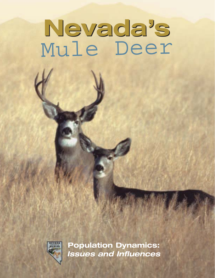# **Nevada's Nevada's** Mule Deer



**Population Dynamics:** *Issues and Influences*

> **Biological Bulletin No.14** Nevada's Mule Deer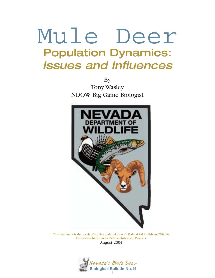## Population Dynamics: Issues and Influences Mule Deer

By Tony Wasley NDOW Big Game Biologist



This document is the result of studies undertaken with Federal Aid in Fish and Wildlife Restoration funds under Pittman-Robertson Projects. August 2004

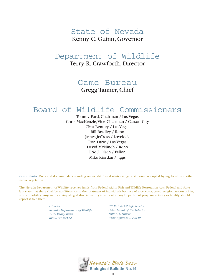## Kenny C. Guinn, Governor State of Nevada

## Terry R. Crawforth, Director Department of Wildlife

## Gregg Tanner, Chief Game Bureau

## Board of Wildlife Commissioners

Tommy Ford, Chairman / Las Vegas Chris MacKenzie,Vice Chairman / Carson City Clint Bentley / Las Vegas Bill Bradley / Reno James Jeffress / Lovelock Ron Lurie / Las Vegas David McNinch / Reno Eric J. Olsen / Fallon Mike Riordan / Jiggs

Cover Photo: Buck and doe mule deer standing on weed-infested winter range, a site once occupied by sagebrush and other native vegetation.

 $\_$  , and the set of the set of the set of the set of the set of the set of the set of the set of the set of the set of the set of the set of the set of the set of the set of the set of the set of the set of the set of th

The Nevada Department of Wildlife receives funds from Federal Aid in Fish and Wildlife Restoration Acts. Federal and State law state that there shall be no difference in the treatment of individuals because of race, color, creed, religion, nation origin, sex or disability. Anyone receiving alleged discriminatory treatment in any Department program, activity or facility should report it to either:

> *Director Nevada Department of Wildlife 1100 Valley Road Reno, NV 89512*

*U.S. Fish & Wildlife Service Department of the Interior 18th & C Streets Washington D.C. 20240*

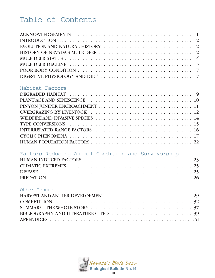## Table of Contents

#### Habitat Factors

## Factors Reducing Animal Condition and Survivorship

#### Other Issues

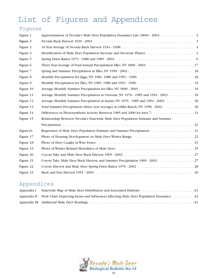## List of Figures and Appendices

## Figures

| Figure 1  |                                                                                  |  |
|-----------|----------------------------------------------------------------------------------|--|
| Figure 2  |                                                                                  |  |
| Figure 3  |                                                                                  |  |
| Figure 4  |                                                                                  |  |
| Figure 5  |                                                                                  |  |
| Figure 6  |                                                                                  |  |
| Figure 7  |                                                                                  |  |
| Figure 8  |                                                                                  |  |
| Figure 9  |                                                                                  |  |
| Figure 10 |                                                                                  |  |
| Figure 11 |                                                                                  |  |
| Figure 12 |                                                                                  |  |
| Figure 13 |                                                                                  |  |
| Figure 14 |                                                                                  |  |
| Figure 15 | Relationship Between Nevada's Statewide Mule Deer Population Estimate and Summer |  |
|           |                                                                                  |  |
| Figure16  |                                                                                  |  |
| Figure 17 |                                                                                  |  |
| Figure 18 |                                                                                  |  |
| Figure 19 |                                                                                  |  |
| Figure 20 |                                                                                  |  |
| Figure 21 |                                                                                  |  |
| Figure 22 |                                                                                  |  |
| Figure 23 |                                                                                  |  |

## Appendices

| Appendix II Flow Chart Depicting Issues and Influences Affecting Mule Deer Population Dynamics:  A2 |
|-----------------------------------------------------------------------------------------------------|
|                                                                                                     |

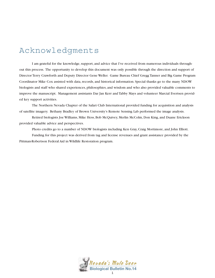## Acknowledgments

I am grateful for the knowledge, support, and advice that I've received from numerous individuals throughout this process. The opportunity to develop this document was only possible through the direction and support of Director Terry Crawforth and Deputy Director Gene Weller. Game Bureau Chief Gregg Tanner and Big Game Program Coordinator Mike Cox assisted with data, records, and historical information. Special thanks go to the many NDOW biologists and staff who shared experiences, philosophies, and wisdom and who also provided valuable comments to improve the manuscript. Management assistants Dar Jan Kerr and Tabby Mays and volunteer Marcial Evertsen provided key support activities.

The Northern Nevada Chapter of the Safari Club International provided funding for acquisition and analysis of satellite imagery. Bethany Bradley of Brown University's Remote Sensing Lab performed the image analysis.

Retired biologists Joe Williams, Mike Hess, Bob McQuivey, Merlin McColm, Don King, and Duane Erickson provided valuable advice and perspectives.

Photo credits go to a number of NDOW biologists including Ken Gray, Craig Mortimore, and John Elliott.

Funding for this project was derived from tag and license revenues and grant assistance provided by the Pittman-Robertson Federal Aid in Wildlife Restoration program.

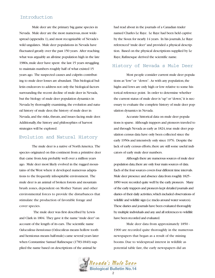#### Introduction

Mule deer are the primary big game species in Nevada. Mule deer are the most numerous, most widespread (appendix 1), and most recognizable of Nevada's wild ungulates. Mule deer populations in Nevada have fluctuated greatly over the past 150 years. After reaching what was arguably an all-time population high in the late 1980s,mule deer have spent the last 15 years struggling to maintain numbers roughly half of what existed 15 years ago. The suspected causes and culprits contributing to mule deer losses are abundant. This biological bulletin endeavors to address not only the biological factors surrounding the recent decline of mule deer in Nevada, but the biology of mule deer population dynamics in Nevada by thoroughly examining, the evolution and natural history of mule deer, the history of mule deer in Nevada, and the risks, threats, and issues facing mule deer. Additionally, the history and philosophies of harvest strategies will be explored.

#### Evolution and Natural History

The mule deer is a native of North America. The species originated on this continent from a primitive deer that came from Asia probably well over a million years ago. Mule deer most likely evolved in the rugged mountains of the West where it developed numerous adaptations to the frequently inhospitable environment. The mule deer is an animal of broken forests and mountain brush zones, dependent on Mother Nature and other environmental forces to provide the disturbances that stimulate the production of favorable forage and cover species.

The mule deer was first described by Lewis and Clark in 1804. They gave it the name "mule deer"on account of the length of its ears. The scientific name *Odocoileus hemionus* (Odocoileus means hollow tooth and hemionus means half-mule) came several years later when Constantine Samuel Rafinesque (1783-1840) supplied the name based on descriptions of the animal he

had read about in the journals of a Canadian trader named Charles Le Raye. Le Raye had been held captive by the Sioux for nearly 14 years. In his journals,Le Raye referenced "mule deer"and provided a physical description. Based on the physical descriptions supplied by Le Raye,Rafinesque derived the scientific name.

#### History of Nevada s Mule Deer

Most people consider current mule deer populations as "low"or "down". As with any population,the highs and lows are only high or low relative to some historical reference point. In order to determine whether the current status of mule deer is "up"or "down,"it is necessary to evaluate the complete history of mule deer population dynamics in Nevada.

Accurate historical data on mule deer populations is sparse. Although trappers and pioneers traveled to and through Nevada as early as 1824, true mule deer population census data have only been collected since the early 1950s and intensively only since 1976. Despite the lack of early census efforts, there are still some useful indicators of early mule deer numbers.

Although there are numerous sources of mule deer population data, there are only four main sources of data. Each of the four sources covers four different time intervals. Mule deer presence and absence data from roughly 1825 - 1850 were recorded quite well by the early pioneers. Many of the early trappers and pioneers kept detailed journals and diaries of their daily activities,which included observations of wildlife and wildlife sign (i.e.tracks around water sources). These diaries and journals have been evaluated thoroughly by multiple individuals and any and all references to wildlife have been recorded and evaluated.

Mule deer data from approximately 1850 - 1900 are recorded quite thoroughly in the numerous newspapers that began as a result of the mining booms. Due to widespread interest in wildlife as potential table fare, the early newspapers did an

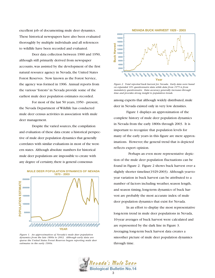excellent job of documenting mule deer dynamics. These historical newspapers have also been evaluated thoroughly by multiple individuals and all references to wildlife have been recorded and evaluated.

Deer data collection between 1900 and 1950, although still primarily derived from newspaper accounts, was assisted by the development of the first natural resource agency in Nevada, the United States Forest Reserves. Now known as the Forest Service, the agency was formed in 1906. Annual reports from the various "forests" in Nevada provide some of the earliest mule deer population estimates recorded.

For most of the last 50 years, 1950 - present, the Nevada Department of Wildlife has conducted mule deer census activities in association with mule deer management.

Despite the varied sources, the compilation and evaluation of these data create a historical perspective of mule deer population dynamics that generally correlates with similar evaluations in most of the western states. Although absolute numbers for historical mule deer populations are impossible to create with any degree of certainty, there is general consensus



#### **MULE DEER POPULATION DYNAMICS OF NEVADA**

*Figure 1. An approximation of Nevada's mule deer population dynamics from the late 1800s to 2003. Although early data are sparse the United States Forest Reserves began reporting mule deer estimates in the early 1900s.*



*Figure 2. Total reported buck harvest for Nevada. Early data were based on expanded 10% questionnaire data while data from 1975 is from mandatory questionnaire. Data accuracy generally increases through time and provides strong insight to population trends.*

among experts that although widely distributed, mule deer in Nevada existed only in very low densities.

Figure 1 displays an approximation of the complete history of mule deer population dynamics in Nevada from the early 1800s through 2003. It is important to recognize that population levels for many of the early years in this figure are mere approximations. However, the general trend that is depicted reflects expert opinion.

Perhaps an even more representative depiction of the mule deer population fluctuations can be found in Figure 2. Figure 2 shows buck harvest over a slightly shorter timeline(1929-2003). Although year-toyear variation in buck harvest can be attributed to a number of factors including weather, season length, and season timing, long-term dynamics of buck harvest are probably the most accurate index of mule deer population dynamics that exist for Nevada.

In an effort to display the most representative long-term trend in mule deer populations in Nevada, 10-year averages of buck harvest were calculated and are represented by the dark line in Figure 3. Averaging long-term buck harvest data creates a smoother picture of mule deer population dynamics through time.

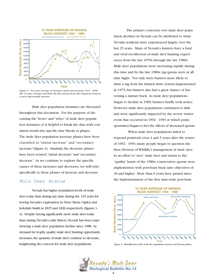

*Figure 3. Ten year average of Nevada's buck harvest from 1934 - 1998. The 10 year average smoothes the line and portrays the long-term trend in a more discernable manner.*

Mule deer population dynamics are discussed throughout this document. For the purpose of discussing the "hows" and "whys" of mule deer population dynamics, it is helpful to break the data with consistent trends into specific time blocks or phases. The mule deer population increase phases have been classified as "initial increase" and "secondary increase."(figure 4). Similarly, the decrease phases have been termed, "initial decrease" and "secondary decrease." As we continue to explore the specific causes of these increases and decreases, we will refer specifically to these phases of increase and decrease.

Nevada has higher population levels of mule deer today than during any time during the 125 years following Nevada's exploration by Peter Skene Ogden and Jedediah Smith in 1825 and 1826 respectively (figures 1- 4). Despite having significantly more mule deer today than during Nevada's early history, Nevada has been experiencing a mule deer population decline since 1988. As demand for trophy quality mule deer hunting opportunity increases, the quantity of mule deer continue to decrease, heightening the concern for mule deer populations.

The primary concerns over mule deer population declines in Nevada can be attributed to what Nevada residents have experienced largely over the last 25 years. Many of Nevada's hunters have a fond and vivid recollection of mule deer hunting experiences from the late 1970s through the late 1980s. Mule deer populations were increasing rapidly during this time and by the late 1980s, tag quotas were at all time highs. Not only were hunters more likely to draw a tag from the limited draw system implemented in 1975, but hunters also had a great chance of harvesting a mature buck. As mule deer populations began to decline in 1989, hunters hardly took notice. However, mule deer populations continued to slide and were significantly impacted by the severe winter event that occurred in 1992 - 1993 at which point, sportsmen began to feel the effects of decreased quotas.

When mule deer populations failed to respond positively even 4 and 5 years after the winter of 1992 - 1993, many people began to question the then Division of Wildlife's management of mule deer. In an effort to "save" mule deer and return to the "quality" hunts of the 1980s, conservative quotas were implemented, with post-hunt buck ratio objectives of 30 and higher. More than 6 years have passed since Mule Deer Status the implementation of the first state-wide post-hunt

#### **10 YEAR AVERAGE OF NEVADA BUCK HARVEST 1934 - 1998**



*Figure 4. Identification of the mule deer population increase and decrease phases.*

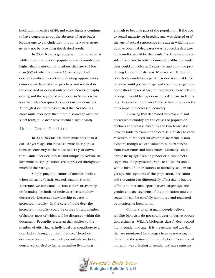buck ratio objective of 30, and some hunters continue to have concerns about the absence of large bucks, leading one to conclude that this conservative strategy may not be providing the desired result.

In 2004, Nevada grapples with the notion that while current mule deer populations are considerably higher than historical populations, they are still less than 50% of what they were 15 years ago. And despite significantly curtailing hunting opportunities, conservative harvest strategies have not resulted in the expected or desired outcome of increased trophy quality, and the supply of mule deer in Nevada is far less than what's required to meet current demands. Although it can be substantiated that Nevada has more mule deer now than it did historically, over the short term, mule deer have declined significantly.

#### Mule Deer Decline

In 2004 Nevada has more mule deer than it did 100 years ago, but Nevada's mule deer populations are currently in the midst of a 15-year downturn. Mule deer declines are not unique to Nevada; in fact, mule deer populations are depressed throughout much of their range.

Simply put, populations of animals decline when mortality (death) exceeds natality (births). Therefore, we can conclude that either survivorship or fecundity (or both) of mule deer has somehow decreased. Decreased survivorship equates to increased mortality. In the case of mule deer, the increase in mortality could be caused by any number of factors, most of which will be discussed within this document. Fecundity is a term that applies to the number of offspring an individual can contribute to a population throughout their lifetime. Therefore, decreased fecundity means fewer animals are being conceived, carried to full term, and/or living long

enough to become part of the population. If the age to sexual maturity, or breeding age, was delayed or if the age of sexual senescence (the age at which reproductive potential decreases) was reduced, a decrease in fecundity would be the result. To demonstrate, consider a scenario in which a normal healthy doe mule deer could conceive at 2 years old and continue producing fawns until she was 10 years old. If, due to poor body condition, a particular doe was unable to conceive until 3 years of age and could no longer conceive after 8 years of age, the population to which she belonged would be experiencing a decrease in fecundity. A decrease in the incidence of twinning is another example of decreased fecundity.

Knowing that decreased survivorship and decreased fecundity are the causes of population declines and what is meant by the two terms, it is now possible to examine the data as it relates to each. Measures of reduced survivorship are virtually nonexistent, though we can sometimes index survival from fawn ratios and buck ratios. Mortality can discriminate by age class or gender or it can affect all segments of a population. Vehicle collisions, and a whole host of other sources of mortality seldom target specific segments of the population. Predation and starvation can differentially affect fawns but are difficult to measure. Sport harvest targets specific gender and age segments of the population, and consequently can be carefully monitored and regulated by monitoring buck ratios.

Contrary to what many people believe, wildlife biologists do not count deer to derive population estimates. Wildlife biologists classify deer according to gender and age. It is the gender and age data that are monitored for changes from year-to-year, to determine the status of the population. If a source of mortality was affecting all gender and age segments

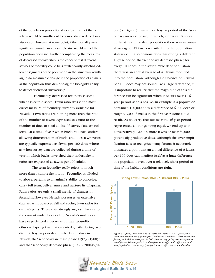of the population proportionally,ratios in and of themselves, would be insufficient to demonstrate reduced survivorship. However, at some point, if the mortality was significant enough, survey sample size would reflect the population decrease. Further complicating the measures of decreased survivorship is the concept that different sources of mortality could be simultaneously affecting different segments of the population in the same way, resulting in no measurable change in the proportion of animals in the population, thus diminishing the biologist's ability to detect decreased survivorship.

Fortunately, decreased fecundity is somewhat easier to discern. Fawn ratio data is the most direct measure of fecundity currently available for Nevada. Fawn ratios are nothing more than the ratio of the number of fawns expressed as a ratio to the number of does or total adults. If survey data are collected at a time of year when bucks still have antlers, allowing differentiation of bucks and does, fawn ratios are typically expressed as fawns per 100 does; whereas when survey data are collected during a time of year in which bucks have shed their antlers, fawn ratios are expressed as fawns per 100 adults.

The term fecundity really refers to much more than a simple fawn ratio. Fecundity, as alluded to above, pertains to an animal's ability to conceive, carry full term, deliver, nurse and nurture its offspring. Fawn ratios are only a small metric of changes in fecundity. However, Nevada possesses an extensive data set with observed fall and spring fawn ratios for over 40 years. These data strongly suggest that during the current mule deer decline, Nevada's mule deer have experienced a decrease in their fecundity. Observed spring fawn ratios varied greatly during two distinct 16-year periods of mule deer history in Nevada, the "secondary increase phase (1973 - 1988)" and the "secondary decrease phase (1989 - 2004)"(figure 5). Figure 5 illustrates a 16-year period of the "secondary increase phase," in which, for every 100 does in the state's mule deer population there was an annual average of 47 fawns recruited into the population statewide. It also demonstrates that during a different 16-year period, the "secondary decrease phase," for every 100 does in the state's mule deer population there was an annual average of 41 fawns recruited into the population. Although a difference of 6 fawns per 100 does may not sound like a large difference, it is important to realize that the magnitude of this difference can be significant when it occurs over a 16 year period, as this has. As an example, if a population contained 100,000 does, a difference of 6,000 deer, or roughly 3,000 females in the first year alone could result. As we carry that out over the 16-year period represented, all things being equal, we end up with conservatively 120,000 more fawns or over 60,000 potentially productive does. Although this oversimplification fails to recognize many factors, it accurately illustrates a point that an annual difference of 6 fawns per 100 does can manifest itself as a huge difference in a population even over a relatively short period of time if the habitat conditions are right.



**Spring Fawn Ratios 1973 - 1988 and 1989 - 2004**

*Figure 5. Spring fawn ratios 1973 - 1988 and 1989 - 2004. Spring fawn ratios are the number of fawns per 100 does or 100 adults. These values are fawns per 100 does surveyed via helicopter during spring deer surveys over two different 16 year periods. Although a seemingly small difference, mule deer populations can be hugely impacted by a difference as small as this.*

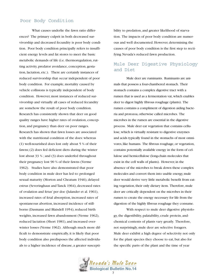#### Poor Body Condition

What causes underlie the fawn ratio differences? The primary culprit in both decreased survivorship and decreased fecundity is poor body condition. Poor body condition principally refers to insufficient energy levels and fat stores to meet the basic metabolic demands of life (i.e. thermoregulation, rutting activity, predator avoidance, conception, gestation, lactation, etc.). There are certainly instances of reduced survivorship that occur independent of poor body condition. For example, mortality caused by vehicle collisions is typically independent of body condition. However, most instances of reduced survivorship and virtually all cases of reduced fecundity are somehow the result of poor body condition. Research has consistently shown that deer on good quality ranges have higher rates of ovulation, conception, and pregnancy than deer on poor ranges. Research has shown that fawn losses are associated with the nutritional condition of the does: whereas (1) well-nourished does lost only about 5 % of their fawns; (2) does fed deficient diets during the winter lost about 33 % ; and (3) does underfed throughout their pregnancy lost 90 % of their fawns (Verme 1962). Studies have also demonstrated that poor body condition in mule deer has led to: prolonged sexual maturity (Morton and Cheatum 1946), delayed estrus (Severinghaus and Tanck 1964), decreased rates of ovulation and fetus' per doe (Julander et al. 1961), increased rates of fetal absorption, increased rates of spontaneous abortion, increased incidence of stillborns (Dasmann and Blaisdell 1954), reduced birth weights, increased fawn abandonment (Verme 1962), reduced lactation (Short 1981), and increased overwinter losses (Verme 1962). Although much more difficult to demonstrate empirically, it is likely that poor body condition also predisposes the affected individuals to a higher incidence of disease, a greater susceptibility to predation, and greater likelihood of starvation. The impacts of poor body condition are numerous and well documented. However, determining the causes of poor body condition is the first step to rectifying Nevada's reduced fawn production.

#### Mule Deer Digestive Physiology and Diet

Mule deer are ruminants. Ruminants are animals that possess a four-chambered stomach. Their stomach contains a complex digestive tract with a rumen that is used as a fermentation vat, which enables deer to digest highly fibrous roughage (plants). The rumen contains a compliment of digestion aiding bacteria and protozoa, otherwise called microbes. The microbes in the rumen are essential in the digestive process. Mule deer eat vegetation that contains cellulose, which is virtually resistant to digestive enzymes and acids typically found in the stomachs of most omnivores, like humans. The fibrous roughage, or vegetation, contains potentially available energy in the form of cellulose and hemicellulose (long-chain molecules that exist in the cell walls of plants). However, in the absence of the microbes to break down these complex molecules and convert them into usable energy, mule deer would derive very little metabolic benefit from eating vegetation, their only dietary item. Therefore, mule deer are critically dependent on the microbes in their rumen to create the energy necessary for life from the digestion of the highly fibrous roughage they consume.

With respect to mule deer digestive physiology, the digestibility, palatability, crude protein, andchemical contents of plants vary greatly. Therefore, not surprisingly, mule deer are selective foragers. Mule deer exhibit a high degree of selectivity not only for the plant species they choose to eat, but also for the specific parts of the plant and the time of year

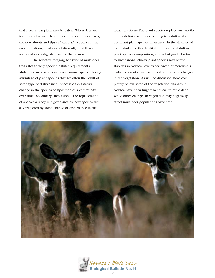that a particular plant may be eaten. When deer are feeding on browse, they prefer the most tender parts, the new shoots and tips or "leaders." Leaders are the most nutritious, most easily bitten off, most flavorful, and most easily digested part of the browse.

The selective foraging behavior of mule deer translates to very specific habitat requirements. Mule deer are a secondary successional species, taking advantage of plant species that are often the result of some type of disturbance. Succession is a natural change in the species composition of a community over time. Secondary succession is the replacement of species already in a given area by new species, usually triggered by some change or disturbance in the

local conditions.The plant species replace one another in a definite sequence, leading to a shift in the dominant plant species of an area. In the absence of the disturbance that facilitated the original shift in plant species composition, a slow but gradual return to successional climax plant species may occur. Habitats in Nevada have experienced numerous disturbance events that have resulted in drastic changes in the vegetation. As will be discussed more completely below, some of the vegetation changes in Nevada have been hugely beneficial to mule deer, while other changes in vegetation may negatively affect mule deer populations over time.



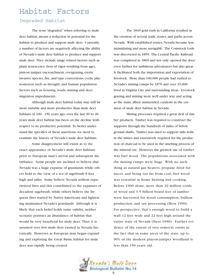## Habitat Factors

#### Degraded Habitat

The term "degraded," when referring to mule deer habitat, means a reduction in potential for the habitat to produce and support mule deer. Currently, a number of factors are negatively affecting the ability of Nevada's mule deer habitat to produce and support mule deer. They include range related factors such as plant senescence (loss of vigor resulting from age), pinyon juniper encroachment, overgrazing, exotic invasive species, fire, and type conversions; cyclic phenomenon such as drought; and human population factors such as housing, roads, mining and deer migration impediments.

Although mule deer habitat today may still be more suitable and more productive than mule deer habitats of 100 - 150 years ago, over the last 30 to 40 years mule deer habitat has been on the decline with respect to its productive potential. To better understand the specifics of these assertions, we need to examine the history of Nevada's mule deer habitats.

Some disagreement still exists as to the exact appearance of Nevada's mule deer habitats prior to European man's arrival and subsequent disturbance. Some people are inclined to believe that Nevada was a huge expanse of grasslands while others hold to the view of a sea of sagebrush 8 feet high and taller. Some believe Nevada seldom experienced fires and this contributed to the expanses of decadent sagebrush, while others believe the frequent fires started by Native Americans and lightening maintained Nevada's grasslands. Although it is likely that each belief holds some validity, neither scenario portrays an abundance of habitat that would be very beneficial for mule deer. Thus, it is assumed very few mule deer existed in Nevada historically. However, as European man began expanding and exploring the Great Basin, habitat for mule deer was rapidly being created.

The 1849 gold rush in California resulted in the creation of several trails, routes, and paths across Nevada. With established routes, Nevada became less intimidating and more navigable. The Comstock Lode was discovered in 1859. The Central Pacific Railroad was completed in 1869 and not only opened the door even further for ambitious adventurers but also greatly facilitated both the importation and exportation of livestock. More than 100,000 people had rushed to Nevada's mining camps by 1870 and over 35,000 lived in Virginia City and surrounding areas. Livestock grazing and mining were well under way and acting as the main, albeit unintended, catalysts in the creation of mule deer habitat in Nevada.

Mining processes required a great deal of timber products. Timber was required to construct the supports through the hundreds of miles of below ground shafts. Timber was used to support rails within the mines and extensively required for the production of charcoal to be used in the smelting process of the mineral ore. However, the greatest use of timber was fuel wood. The populations associated with the mining camps were huge. With no such thing as natural gas heaters, propane fired furnaces, and being too far from coal, fuel wood was essential in home heating and cooking. Before 1900 alone, more than 16 million cords of wood and 3.5 billion board feet of lumber were harvested for wood consumption, bullion production, and ore processing (Hess 1990). For perspective, that's enough wood to build a wall 12 feet wide and 22 feet high around the entire state of Nevada (Hess 1990). Further evidence of the extent of tree removal, exists in the fact that in some areas of the state, up to 90% of the modern pinyon-juniper woodland is less than 150 years old.

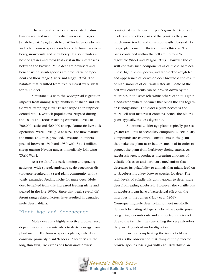The removal of trees and associated disturbances, resulted in an immediate increase in sagebrush habitat. "Sagebrush habitat" includes sagebrush and other browse species such as bitterbrush, serviceberry, snowbrush, and snowberry. It also includes a host of grasses and forbs that exist in the interspaces between the browse. Mule deer are browsers and benefit when shrub species are productive components of their range (Dietz and Nagy 1976). The habitats that resulted from tree removal were ideal for mule deer.

Simultaneous with the widespread vegetation impacts from mining, large numbers of sheep and cattle were trampling Nevada's landscape at an unprecedented rate. Livestock populations irrupted during the 1870s and 1880s reaching estimated levels of 700,000 cattle and 400,000 sheep. Domestic livestock operations were developed to serve the new markets the mines and mills provided. Livestock numbers peaked between 1910 and 1930 with 3 to 4 million sheep grazing Nevada ranges immediately following World War I.

As a result of the early mining and grazing activities, wide-spread, landscape scale vegetation disturbance resulted in a seral plant community with a vastly expanded feeding niche for mule deer. Mule deer benefited from this increased feeding niche and peaked in the late 1950s. Since that peak, several different range related factors have resulted in degraded mule deer habitats.

#### Plant Age and Senescence

Mule deer are a highly selective browser very dependent on rumen microbes to derive energy from plant matter. For browse species plants, mule deer consume primarily plant "leaders". "Leaders" are the long thin twig like extensions from most browse

plants, that are the current year's growth. Deer prefer leaders to the other parts of the plant, as they are much more tender and thus more easily digested. As forage plants mature, their cell walls thicken. The parts contained within the cell are up to 98% digestible (Short and Reagor 1977). However, the cell wall contains such components as cellulose, hemicellulose, lignin, cutin, pectin, and tannin.The rough feel and appearance of leaves on deer browse is the result of high amounts of cell wall materials. Some of the cell wall constituents can be broken down by the microbes in the stomach, while others cannot. Lignin, a non-carbohydrate polymer that binds the cell together, is indigestible. The older a plant becomes, the more cell wall material it contains, hence, the older a plant, typically, the less digestible.

Additionally, older age plants typically possess greater amounts of secondary compounds. Secondary compounds are chemical constituents in the plant that make the plant taste bad or smell bad in order to protect the plant from herbivory (being eaten). As sagebrush ages, it produces increasing amounts of volatile oils as an anti-herbivory mechanism that decreases its palatability to animals that might feed on it. Sagebrush is a key browse species for deer. The high levels of volatile oils don't appear to deter mule deer from eating sagebrush. However, the volatile oils in sagebrush can have a bactericidal effect on the microbes in the rumen (Nagy et al. 1964). Consequently, mule deer trying to meet metabolic demands by eating old age sagebrush are quite possibly getting less nutrients and energy from their diet due to the fact that they are killing the very microbes they are dependent on for digestion.

Further complicating the issue of old age plants is the observation that many of the preferred browse species lose vigor with age. Bitterbrush, in

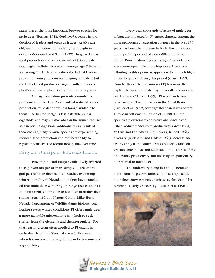many places the most important browse species for mule deer (Hormay 1943, Nord 1965), ceases its production of leaders and seeds as it ages. At 60 years old, seed production and leader growth begin to decline(McConnell and Smith 1977). In grazed areas seed production and leader growth of bitterbrush may begin declining at a much younger age (Clements and Young 2001). Not only does the lack of leaders present obvious problems for foraging mule deer, but the lack of seed production significantly reduces a plant's ability to replace itself or recruit new plants.

Old age vegetation presents a number of problems to mule deer. As a result of reduced leader production, mule deer have less forage available to them. The limited forage is less palatable, is less digestible, and may kill microbes in the rumen that are so essential in digestion. Additionally, as a result of their old age, many browse species are experiencing reduced seed production and reduced ability to replace themselves or recruit new plants over time.

#### Pinyon Juniper Encroachment

Pinyon pine and juniper, collectively referred to as pinyon-juniper or more simply PJ, are an integral part of mule deer habitat. Studies examining winter mortality in Nevada mule deer have concluded that mule deer wintering on range that contains a PJ component, experience less winter mortality than similar areas without PJ(pers. Comm. Mike Hess, Nevada Department of Wildlife Game Bioloists ret.). During severe winter conditions, PJ offers mule deer a more favorable microclimate in which to seek shelter from the elements and thermoregulate. For that reason, a term often applied to PJ extant in mule deer habitat is "thermal cover". However, when it comes to PJ cover, there can be too much of a good thing.

Every year, thousands of acres of mule deer habitat are impacted by PJ encroachment. Among the most pronounced vegetation changes in the past 130 years has been the increase in both distribution and density of juniper and pinyon (Miller and Tausch 2001). Prior to about 150 years ago PJ woodlands were more open. The most important factor contributing to this openness appears to be a much higher fire frequency during this period (Gruell 1999, Tausch 1999). The expansion of PJ has more than tripled the area dominated by PJ woodlands over the last 150 years (Tausch 1999). PJ woodlands now cover nearly 18 million acres in the Great Basin (Tueller et al. 1979), cover greater than it was before European settlement (Tausch et al. 1981). Both species are extremely aggressive and, once established, reduce understory productivity (West 1984, Vaitkus and Eddleman1987), cover (Driscoll 1964), diversity (Burkhardt and Tisdale 1969), increase site aridity (Angell and Miller 1994), and accelerate soil erosion (Buckhouse and Mattison 1980). Losses of the understory productivity and diversity are particulary detrimental to mule deer.

The understory being lost to PJ encroachment contains grasses, forbs, and most importantly mule deer browse species such as sagebrush and bitterbrush. Nearly 25 years ago Tausch et al. (1981)



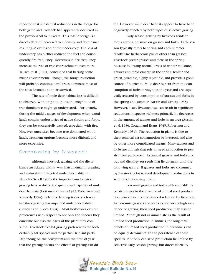reported that substantial reductions in the forage for both game and livestock had apparently occurred in the previous 50 to 70 years. This loss in forage is a direct effect of increased tree density and dominance resulting in exclusion of the understory. The loss of understory has further reduced the fuel and consequently fire frequency. Decreases in fire frequency increase the rate of tree encroachment even more. Tausch et al. (1981) concluded that barring some major environmental change, this forage reduction will probably continue until trees dominate most of the sites favorable to their survival.

The rate of mule deer habitat loss is difficult to observe. Without photo plots, the magnitude of tree dominance might go understated. Fortunately, during the middle stages of development when woodlands contain understories of native shrubs and forbs, they can be successfully treated, especially with fire. However, once sites become tree dominated woodlands, treatment options become more difficult and more expensive.

#### Overgrazing by Livestock

Although livestock grazing and the disturbance associated with it, was instrumental in creating and maintaining historical mule deer habitat in Nevada (Gruell 1986), the impacts from long-term grazing have reduced the quality and capacity of mule deer habitats (Cottam and Evans 1945, Robertson and Kennedy 1954). Selective feeding is one such way livestock grazing has impacted mule deer habitat (Bowyer and Bliech 1984) . Most herbivores exhibit preferences with respect to not only the species they consume but also the parts of the plant they consume. Livestock exhibit grazing preferences for both certain plant species and for particular plant parts. Depending on the ecosystem and the time of year that the grazing occurs, the effects of grazing can dif-

fer. However, mule deer habitats appear to have been negatively affected by both types of selective grazing.

Early season grazing by livestock tends to focus grazing pressure on grasses and forbs. Early season typically refers to spring and early summer. "Forbs" are herbaceous plants other than grasses. Livestock prefer grasses and forbs in the spring because following normal levels of winter moisture, grasses and forbs emerge in the spring, tender and green, palatable, highly digestible, and provide a good source of nutrients. Mule deer benefit from the consumption of forbs throughout the year and are especially assisted by consumption of grasses and forbs in the spring and summer (Austin and Urness 1985). However, heavy livestock use can result in significant reductions in species richness primarily by decreases in the amount of grasses and forbs in an area (Austin et al. 1986, Cottam and Evans 1945, Robertson and Kennedy 1954). The reduction in plants is due to their removal via consumption by livestock and also by other more complicated means. Many grasses and forbs are annuals that rely on seed production to persist from year-to-year. As annual grasses and forbs dry out and die, they set seeds that lie dormant until the following spring. If grasses and forbs are consumed by livestock prior to seed development, reductions in seed production may result.

Perennial grasses and forbs, although able to persist longer in the absence of annual seed production, also suffer from continued selection by livestock. As perennial grasses and forbs experience a high incidence of grazing, their seed production may also be limited. Although not as immediate as the result of limited seed production in annuals, the long-term effects of limited seed production in perennials can be equally detrimental to the persistence of these species. Not only can seed production be limited by selective early season grazing, but direct mortality

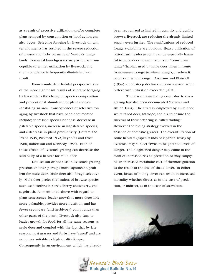as a result of excessive utilization and/or complete plant removal by consumption or hoof action can also occur. Selective foraging by livestock on winter allotments has resulted in the severe reduction of grasses and forbs on many of Nevada's rangelands. Perennial bunchgrasses are particularly susceptible to winter utilization by livestock, and their abundance is frequently diminished as a result.

From a mule deer habitat perspective, one of the more significant results of selective foraging by livestock is the change in species composition and proportional abundance of plant species inhabiting an area. Consequences of selective foraging by livestock that have been documented include; decreased species richness, decrease in palatable species, increase in unpalatable species, and a decrease in plant productivity (Cottam and Evans 1945, Pickford 1932, Reynolds and Trost 1980, Robertson and Kennedy 1954). Each of these effects of livestock grazing can decrease the suitability of a habitat for mule deer.

Late season or hot season livestock grazing presents another, perhaps more significant, problem for mule deer. Mule deer also forage selectively. Mule deer prefer the leaders of browse species such as; bitterbrush, serviceberry, snowberry, and sagebrush. As mentioned above with regard to plant senescence, leader growth is more digestible, more palatable, provides more nutrition, and has fewer secondary (anti-herbivory) compounds than other parts of the plant. Livestock also turn to leader growth for food, for all the same reasons as mule deer and coupled with the fact that by late season, most grasses and forbs have "cured" and are no longer suitable as high quality forage. Consequently, in an environment which has already been recognized as limited in quantity and quality browse, livestock are reducing the already limited supply even further. The ramifications of reduced forage availability are obvious. Heavy utilization of bitterbrush leader growth can be especially harmful to mule deer when it occurs on "transitional range" (habitat used by mule deer when in route from summer range to winter range), or when it occurs on winter range. Dasmann and Blaisdell (1954) found steep declines in fawn survival when bitterbrush utilization exceeded 34 % .

The loss of fawn hiding cover due to overgrazing has also been documented (Bowyer and Bleich 1984). The strategy employed by mule deer, white-tailed deer, antelope, and elk to ensure the survival of their offspring is called "hiding." However, the hiding strategy evolved in the absence of domestic grazers. The over-utilization of some habitats (aspen stands or riparian areas) by livestock may subject fawns to heightened levels of danger. The heightened danger may come in the form of increased risk to predation or may simply be an increased metabolic cost of thermoregulation as the result of the loss of shade cover. In either event, losses of hiding cover can result in increased mortality whether direct, as in the case of predation, or indirect, as in the case of starvation.



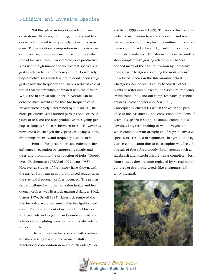#### Wildfire and Invasive Species

Wildfire plays an important role in many ecosystems. However, the timing, intensity, and frequency of fire tend to vary greatly between ecosystems. The vegetational composition in an ecosystem can reveal significant information as to the specific role of fire in an area. For example, very productive sites with a high number of fire tolerant species suggests a relatively high frequency of fire. Conversely, unproductive sites with few fire tolerant species suggests a low fire frequency and likely a reduced role of fire in that system when compared with the former. While the historical role of fire in Nevada can be debated most would agree that fire frequencies in Nevada were largely determined by fuel loads. The more productive sites burned perhaps once every 20 years or less and the least productive sites going perhaps as long as 300 years between fires. However, as new land-uses changed the vegetation, changes in the fire timing, intensity, and frequency also occurred.

Prior to European-American settlement, fire influenced vegetation by suppressing shrubs and trees, and promoting the production of forbs (Cooper 1961, Daubenmire 1968,Vogl 1979,Arno 1985). However, as studies of fire history have shown, with the arrival European man, a pronounced reduction in the size and frequency of fires occurred. The primary factor attributed with the reduction in size and frequency of fires, was livestock grazing (Julander 1962, Urness 1976, Gruell 1985). Livestock removed the fine fuels that were instrumental in fire ignition and travel. The development of man-made fuel breaks such as roads and irrigated land, combined with the advent of fire fighting agencies to reduce the role of fire even further.

The reduction in fire coupled with continued livestock grazing has resulted in major shifts in the vegetational composition in much of Nevada (Miller

and Rose 1999, Gruell 1999). The loss of fire as a disturbance mechanism to reset succession and restore native grasses and forbs plus the continual removal of grasses and forbs by livestock, resulted in a shrub dominated landscape. The absence of a native understory coupled with grazing related disturbances opened many of the sites to invasion by non-native cheatgrass. Cheatgrass is among the most invasive introduced species in the Intermountain West. Cheatgrass, named for its ability to "cheat " other plants of water and nutrients, increases fire frequency (Whisenant 1990) and out-competes native perennial grasses (Reichenberger and Pyke 1990). Consequently, cheatgrass which thrives in the presence of fire, has affected the conversion of millions of acres of sage-brush steppe to annual communities. Nevada's long-term buildup of woody vegetation when combined with drought and fire-prone invasive species, has resulted in significant changes to the vegetative composition due to catastrophic wildfires. As a result of these fires, woody shrub species such as sagebrush and bitterbrush are being completely lost from sites as they become replaced by virtual monocultures of fire prone weeds like cheatgrass and tansy mustard.



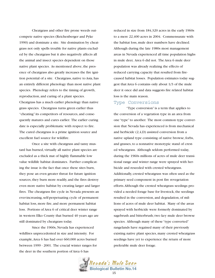Cheatgrass and other fire prone weeds outcompete native species (Reichenberger and Pyke 1990) and dominate a site. Site domination by cheatgrass not only spells trouble for native plants excluded by the cheatgrass but it also negatively affects all the animal and insect species dependent on those native plant species. As mentioned above, the presence of cheatgrass also greatly increases the fire ignition potential of a site. Cheatgrass, native to Asia, has an entirely different phenology than most native plant species. Phenology refers to the timing of growth, reproduction, and curing of a plant species. Cheatgrass has a much earlier phenology than native grass species. Cheatgrass turns green earlier thus "cheating" its competitors of resources, and consequently matures and cures earlier. The earlier curing date is especially problematic with respect to fire. The cured cheatgrass is a prime ignition source and excellent fuel source for wildfire.

Once a site with cheatgrass and tansy mustard has burned, virtually all native plant species are excluded as a thick mat of highly flammable low value wildlife habitat dominates. Further complicating the issue is the fact that once these sites burn, they pose an even greater threat for future ignition sources, they burn more readily, and the fires destroy even more native habitat by creating larger and larger fires. The cheatgrass fire cycle in Nevada presents an ever-increasing, self-perpetuating cycle of permanent habitat loss, more fire, and more permanent habitat loss. Portions of Area 6 of critical deer winter range in western Elko County that burned 40 years ago are still dominated by cheatgrass today.

Since the 1960s, Nevada has experienced wildfires unprecedented in size and intensity. For example,Area 6 has had over 660,000 acres burned between 1999 - 2001. The crucial winter ranges for the deer in the southern portion of Area 6 has

reduced in size from 184,320 acres in the early 1960s to a mere 22,400 acres in 2004. Commensurate with the habitat loss, mule deer numbers have declined. Although during the late 1980s most management areas in Nevada experienced all time population highs in mule deer, Area 6 did not. The Area 6 mule deer population was already realizing the effects of reduced carrying capacity that resulted from firecaused habitat losses. Population estimates today suggest that Area 6 contains only about 1/3 of the mule deer it once did and data suggests fire related habitat loss is the main reason.

#### Type Conversions

"Type conversion" is a term that applies to the conversion of a vegetation type in an area from one "type" to another. The most common type conversion that Nevada has experienced is from mechanical and herbicide (2,4,D) assisted conversion from a native upland type consisting of native browse, forbs, and grasses, to a nonnative monotypic stand of crested wheatgrass. Although seldom performed today, during the 1960s millions of acres of mule deer transitional range and winter range were sprayed with herbicide and reseeded with crested wheatgrass. Additionally, crested wheatgrass was often used as the primary seed component in post fire revegetation efforts.Although the crested wheatgrass seedings provided a needed forage base for livestock, the seedings resulted in the conversion, and degradation, of millions of acres of mule deer habitat. Many of the areas sprayed with herbicide were formerly dominated by sagebrush and bitterbrush; two key mule deer browse species. Although many of these "type converted" rangelands have regained many of their previously existing native plant species, many crested wheatgrass seedings have yet to experience the return of more preferable mule deer forage.

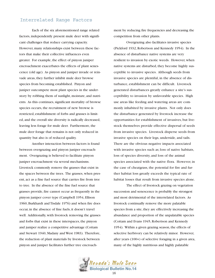#### Interrelated Range Factors

Each of the six aforementioned range related factors, independently present mule deer with significant challenges that reduce carrying capacity. However, many relationships exist between these factors that make their collective influences even greater. For example, the effect of pinyon juniper encroachment exacerbates the effects of plant senescence (old age). As pinyon and juniper invade or reinvade areas, they further inhibit mule deer browse species from becoming established. Pinyon and juniper outcompete most plant species in the understory by robbing them of sunlight, moisture, and nutrients. As this continues, significant mortality of browse species occurs, the recruitment of new browse is restricted, establishment of forbs and grasses is limited, and the overall site diversity is radically decreased, leaving less forage for mule deer. Furthermore, the mule deer forage that remains is not only reduced in quantity but also is of reduced quality.

Another interaction between factors is found between overgrazing and pinyon juniper encroachment. Overgrazing is believed to facilitate pinyon juniper encroachment via several mechanisms. Livestock commonly remove the grasses that exist in the spaces between the trees. The grasses, when present, act as a fine fuel source that carries fire from tree to tree. In the absence of the fine fuel source that grasses provide, fire cannot occur as frequently in the pinyon juniper cover type (Campbell 1954, Ellison 1960, Burkhardt and Tisdale 1976) and when fire does occur, in the absence of fine fuels, it doesn't travel well. Additionally, with livestock removing the grasses and forbs that exist in these interspaces, the pinyon and juniper realize a competitive advantage (Cottam and Stewart 1940, Madany and West 1983). Therefore, the reduction of plant materials by livestock between pinyon and juniper facilitates further tree encroachment by reducing fire frequencies and decreasing the competition from other plants.

Overgrazing also facilitates invasive species (Pickford 1932, Robertson and Kennedy 1954). In the absence of disturbance native systems are very resilient to invasion by exotic weeds. However, when native systems are disturbed, they become highly susceptible to invasive species. Although seeds from invasive species are plentiful, in the absence of disturbance, establishment can be difficult. Livestock generated disturbances greatly enhance a site's susceptibility to invasion by unfavorable species. High use areas like feeding and watering areas are commonly inhabited by invasive plants. Not only does the disturbance generated by livestock increase the opportunities for establishment of invasives, but livestock themselves provide effective dispersal of seeds from invasive species. Livestock disperse seeds from invasive species on their legs, underside, and tails. There are the obvious negative impacts associated with invasive species such as; loss of native habitats, loss of species diversity, and loss of the animal species associated with the native flora. However, in the case of cheatgrass, the potential for fire and further habitat loss greatly exceeds the typical rate of habitat losses that result from invasive species alone.

The effect of livestock grazing on vegetation succession and senescence is probably the strongest and most detrimental of the interrelated factors. As livestock continually remove the more palatable species from a site, they are effectively increasing the abundance and proportion of the unpalatable species (Cottam and Evans 1945, Robertson and Kennedy 1954). Within a given grazing season, the effects of selective herbivory can be relatively minor. However, after years (100+) of selective foraging in a given area, many of the highly nutritious and highly palatable

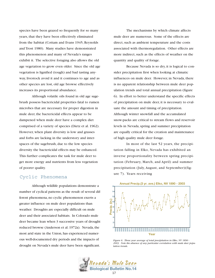species have been grazed so frequently for so many years, that they have been effectively eliminated from the habitat (Cottam and Evans 1945, Reynolds and Trost 1980). Many studies have demonstrated this phenomenon and many of Nevada's ranges exhibit it. The selective foraging also allows the old age vegetation to grow even older. Since the old age vegetation is lignified (tough) and bad tasting anyway, livestock avoid it and it continues to age and as other species are lost, old age browse effectively increases its proportional abundance.

Although volatile oils found in old age sagebrush possess bactericidal properties fatal to rumen microbes that are necessary for proper digestion in mule deer, the bactericidal effects appear to be dampened when mule deer have a complex diet comprised of a variety of species (Dietz et al. 1962). However, when plant diversity is low and grasses and forbs are lacking in the understory and interspaces of the sagebrush, due to the low species diversity the bactericidal effects may be enhanced. This further complicates the task for mule deer to get more energy and nutrients from less vegetation of poorer quality.

## ure 7). Years receiving Cyclic Phenomena

Although wildlife populations demonstrate a number of cyclical patterns as the result of several different phenomena, no cyclic phenomenon exerts a greater influence on mule deer populations than weather. Droughts are especially difficult on mule deer and their associated habitats. In Colorado mule deer became lean when 3 successive years of drought reduced browse (Anderson et al. 1972a). Nevada, the most arid state in the Union, has experienced numerous well-documented dry periods and the impacts of drought on Nevada's mule deer have been significant.

The mechanisms by which climate affects mule deer are numerous. Some of the effects are direct, such as ambient temperature and the costs associated with thermoregulation. Other effects are more indirect, such as the effects of weather on the quantity and quality of forage.

Because Nevada is so dry, it is logical to consider precipitation first when looking at climatic influences on mule deer. However, in Nevada, there is no apparent relationship between mule deer population trends and total annual precipitation (figure 6). In effort to better understand the specific effects of precipitation on mule deer, it is necessary to evaluate the amount and timing of precipitation. Although winter snowfall and the accumulated snow-packs are critical to stream flows and reservoir levels in Nevada, spring and summer precipitation are equally critical for the creation and maintenance of high quality mule deer forage.

In most of the last 52 years, the precipitation falling in Elko, Nevada has exhibited an inverse proportionality between spring precipitation (February, March, and April) and summer precipitation (July, August, and September)(fig-



*Figure 6. Three year average of total precipitation in Elko, NV 1890 - 2003. Note the absence of any particular correlation with mule deer population trends.*

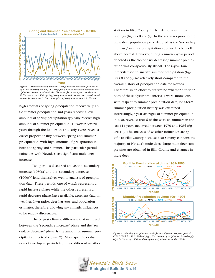

*Figure 7. The relationship between spring and summer precipitation is typically inversely related, as spring precipitation increases, summer precipitation declines and so forth. However, for several years in the late 1970s and early 1980s spring precipitation and summer increased simultaneously, uncharacteristic of long-term precipitation trends in Nevada.*

high amounts of spring precipitation receive very little summer precipitation and years receiving low amounts of spring precipitation typically receive high amounts of summer precipitation. However, several years through the late 1970s and early 1980s reveal a direct proportionality between spring and summer precipitation, with high amounts of precipitation in both the spring and summer. This particular period coincides with Nevada's last significant mule deer increase.

Two periods discussed above, the "secondary increase (1980s)" and the "secondary decrease (1990s)," lend themselves well to analysis of precipitation data. These periods, one of which represents a rapid increase phase while the other represents a rapid decrease phase, have available, excellent data on weather, fawn ratios, deer harvests, and population estimates, therefore, allowing any climatic influences to be readily discernable.

The biggest climatic difference that occurred between the "secondary increase" phase and the "secondary decrease" phase, is the amount of summer precipitation received (figure 7). More specific evaluation of two 6-year periods from two different weather stations in Elko County further demonstrate these findings (figures 8 and 9). In the six years prior to the mule deer population peak, denoted as the "secondary increase," summer precipitation appeared to be well above normal. However, during a similar 6-year period denoted as the "secondary decrease," summer precipitation was conspicuously absent. The 6-year time intervals used to analyze summer precipitation (figures 8 and 9) are relatively short compared to the overall history of precipitation data for Nevada. Therefore, in an effort to determine whether either or both of these 6-year time intervals were anomalous with respect to summer precipitation data, long-term summer precipitation history was examined. Interestingly, 3-year averages of summer precipitation in Elko, revealed that 6 of the wettest summers in the last 114 years occurred between 1970 and 1984 (figure 10). The analyses of weather influences are specific to Elko County because Elko County contains the majority of Nevada's mule deer. Large mule deer sample sizes are obtained in Elko County and changes in mule deer



*Figure 8. Monthly precipitation totals for two different six year periods (1981-1986 & 1991-1996) at Jiggs, NV. Summer precipitation is strikingly high in the early 1980s and conspicuously absent from the 1990s.*

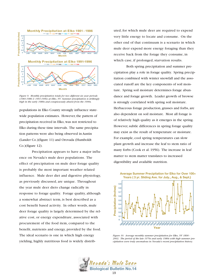

*Figure 9. Monthly precipitation totals for two different six year periods (1981-1986 & 1991-1996) at Elko, NV. Summer precipitation is strikingly high in the early 1980s and conspicuously absent from the 1990s.*

populations in Elko County strongly influence statewide population estimates. However, the pattern of precipitation received in Elko, was not restricted to Elko during these time intervals. The same precipitation patterns were also being observed in Austin (Lander Co.)(figure 11) and Orovada (Humboldt Co.)(figure 12).

Precipitation appears to have a major influence on Nevada's mule deer populations. The effect of precipitation on mule deer forage quality is probably the most important weather related influence. Mule deer diet and digestive physiology, as previously discussed, are unique. Throughout the year mule deer diets change radically in response to forage quality. Forage quality, although a somewhat abstract term, is best described as a cost benefit based activity. In other words, mule deer forage quality is largely determined by the relative cost, or energy expenditure, associated with procurement of the food item, compared to the benefit, nutrients and energy, provided by the food. The ideal scenario is one in which high energy yielding, highly nutritious food is widely distributed, for which mule deer are required to expend very little energy to locate and consume. On the other end of that continuum is a scenario in which mule deer expend more energy foraging than they receive back from the forage they consume, in which case, if prolonged, starvation results.

Both spring precipitation and summer precipitation play a role in forage quality. Spring precipitation combined with winter snowfall and the associated runoff are the key components of soil moisture. Spring soil moisture determines forage abundance and forage growth. Leader growth of browse is strongly correlated with spring soil moisture. Herbaceous forage production, grasses and forbs, are also dependent on soil moisture. Most all forage is of relatively high quality as it emerges in the spring. However, subtle differences in spring forage quality may exist as the result of temperature or moisture. For example, cool spring temperatures can slow plant growth and increase the leaf to stem ratio of many forbs (Cook et al. 1956). The increase in leaf matter to stem matter translates to increased digestibility and available nutrition.

**Average Summer Precipitation for Elko for Over 100+ Years ( 3 yr. Sliding Ave. for July., Aug., & Sept.)**



*Figure 10. Average monthly summer precipitation for Elko, NV 1890 - 2003. The period of the late 1970s and early 1980s with high summer precipitation were truly anomalous in Nevada's recent precipitation history.*

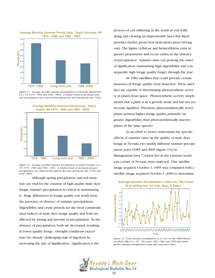

*Figure 11. Average monthly summer precipitation at Orovada (Humboldt Co.), NV 1976 - 1985 and 1994 - 2003. A similar trend of increased summer precipitation was observed throughout the state during the late 1970s*



*Figure 12. Average monthly summer precipitation at Austin (Lander Co.), NV 1976 - 1985 and 1994 - 2003. A similar trend of increased summer precipitation was observed throughout the state during the late 1970s and early 1980s.*

Although spring precipitation and soil moisture are vital for the creation of high quality mule deer forage, summer precipitation is critical in maintaining it. Huge differences in forage quality can result from the presence or absence of summer precipitation. Digestibility and crude protein are the most commonly used indices of mule deer forage quality and both are affected by timing and amount of precipitation. In the absence of precipitation, both are decreased, resulting in lower quality forage. Drought conditions exacerbate the already challenging task of digestion by increasing the rate of lignification. Lignification is the

process of cell stiffening as the result of cell walls dying and creating an impermeable layer that likely provides further protection from desiccation (drying out). The lignin, cellulose and hemicellulose exist in greater proportions and occur earlier, in the absence of precipitation. Summer rains can prolong the onset of lignification, maintaining high digestibility and consequently high forage quality longer through the year.

In 1984, satellites that could provide certain measures of forage quality were launched. These satellites are capable of determining photosynthetic activity in plants from space. Photosynthetic activity simply means that a plant is in a growth mode and has not yet become lignified. Therefore, photosynthetically active plants possess higher forage quality, primarily via greater digestibility, than photosynthetically inactive plants of the same species.

In an effort to better understand the specific effects of summer rains on the quality of mule deer forage in Nevada, two starkly different summer precipitation years (1985 and 2000 (figure 13)) in Management Area 7, which lies in the extreme northeast corner of Nevada, were analyzed. One satellite image acquired October 1, 1985 was compared with a satellite image acquired October 1, 2000 to determine



*Figure 13. Total summer precipitation (3 yr. ave.) at the Gibbs Ranch (northern Elko Co.), NV. The years 1983, 1984 and 1985 had much greater summer precipitation totals than any years since.*

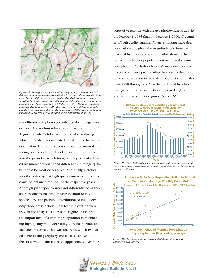

*Figure 14. Management Area 7 satellite image analysis results in which differences in forage quality are indicated by photosynthetic activity. Only areas below 7000' elevation were analyzed and all areas in green possessed higher forage quality in 1985 than in 2000. Conversly, areas in red were of higher forage quality in 2000 than in 1985. The image analysis indicated that in Area 7 in 1985, there were over 250,000 acres of higher quality forage available than in the same area in 2000. The three pairs of parallel lines represent jet contrails and their associated shadows.*

the difference in photosynthetic activity of vegetation. October 1 was chosen for several reasons. Late August to early October is the time of year during which mule deer accumulate key fat stores that are so essential in determining their over-winter survival and spring body condition. This late summer period is also the period in which forage quality is most affected by summer drought and differences in forage quality should be most discernable. And finally, October 1 was the only day that high quality images of this area could be obtained for both of the respective years. Although plant species were not differentiated in this analysis, due to the time of year, location of key species, and the probable distribution of mule deer, only those areas below 7,000 feet in elevation were used in the analysis. The results (figure 14) express the importance of summer precipitation in maintaining high quality mule deer forage. In the portion of Management Area 7 that was analyzed, which excluded some of the periphery and all areas above 7,000 feet in elevation, there existed approximately 250,000

acres of vegetation with greater photosynthetic activity on October 1, 1985 than on October 1, 2000. If quantity of high quality summer forage is limiting mule deer populations and given the magnitude of difference revealed by this analysis, a correlation should exist between mule deer population estimates and summer precipitation. Analysis of Nevada's mule deer populations and summer precipitation data reveals that over 80% of the variation in mule deer population estimates from 1978 through 2002 can be explained by a 6-year average of monthly precipitation received in July, August, and September (figures 15 and 16).



*Figure 15. The relationship between statewide mule deer population estimate and summer precipitation. Summer precipitation is a six year average lagged 2 years.*



*Figure 16. Regression of mule deer population estimate and summer precipitation.*

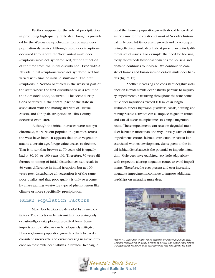Further support for the role of precipitation in producing high quality mule deer forage is provided by the West-wide synchronization of mule deer population dynamics.Although mule deer irruptions occurred throughout the West, initial mule deer irruptions were not synchronized, rather a function of the time from the initial disturbance. Even within Nevada initial irruptions were not synchronized but varied with time of initial disturbance. The first irruptions in Nevada occurred in the western part of the state where the first disturbances, as a result of the Comstock Lode, occurred. The second irruptions occurred in the central part of the state in association with the mining districts of Eureka, Austin, and Tonopah. Irruptions in Elko County occurred even later.

Although the initial increases were not synchronized, more recent population dynamics across the West have been. It appears that once vegetation attains a certain age, forage value ceases to decline. That is to say, that browse at 70 years old is equally bad at 80, 90, or 100 years old. Therefore, 30 years difference in timing of initial disturbances can result in 30 years difference in initial irruption, but at 100 years post disturbance all vegetation is of the same poor quality and that poor quality is only overcome by a far-reaching west-wide type of phenomenon like climate or more specifically, precipitation.

#### Human Population Factors

Mule deer habitats are degraded by numerous factors. The effects can be intermittent, occurring only occasionally,or take place on a cyclical basis. Some impacts are reversible or can be adequately mitigated. However, human population growth is likely to exert a consistent, irreversible, and ever-increasing negative influence on most mule deer habitats in Nevada. Keeping in

mind that human population growth should be credited as the cause for the creation of most of Nevada's historical mule deer habitats, current growth and its accompanying effects on mule deer habitat present an entirely different set of issues. For example, the need for housing today far exceeds historical demands for housing and demand continues to increase. We continue to construct homes and businesses on critical mule deer habitats (figure 17).

Another increasing and consistent negative influence on Nevada's mule deer habitats, pertains to migratory impediments. Occurring throughout the state, some mule deer migrations exceed 100 miles in length. Railroads, fences, highways, guardrails, canals, housing, and mining related activities can all impede migration routes and can all occur multiple times in a single migration route. These impediments can result in degraded mule deer habitat in more than one way. Initially, each of these impediments creates habitat destruction or habitat loss associated with its development. Subsequent to the initial habitat disturbance, is the potential to impede migration. Mule deer have exhibited very little adaptability with respect to altering migration routes to avoid impediments. Therefore, the ever-present and ever-increasing migratory impediments, continue to impose additional hardships on migrating mule deer.



*Figure 17. Mule deer winter range occupied by houses and mule deer. Gradual replacement of native browse by houses and ornamental shrubs is a significant challenge mule deer currently face throughout the west.*

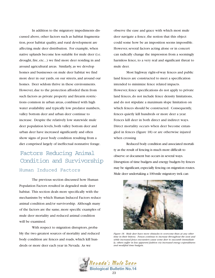In addition to the migratory impediments discussed above, other factors such as habitat fragmentation, poor habitat quality, and rural development are affecting mule deer distribution. For example, when native uplands become less suitable for mule deer (i.e. drought, fire, etc...) we find more deer residing in and around agricultural areas. Similarly, as we develop homes and businesses on mule deer habitat we find more deer in our yards, on our streets, and around our homes. Deer seldom thrive in these environments. However, due to the protection afforded them from such factors as private property and firearm restrictions common in urban areas, combined with high water availability and typically low predator numbers, valley bottom deer and urban deer continue to increase. Despite the relatively low statewide mule deer population levels, both valley bottom deer and urban deer have increased significantly and often show signs of poor body condition resulting from a diet comprised largely of ineffectual nonnative forage.

## Factors Reducing Animal Condition and Survivorship Human Induced Factors

The previous section discussed how Human Population Factors resulted in degraded mule deer habitat. This section deals more specifically with the mechanisms by which Human Induced Factors reduce animal condition and/or survivorship. Although many of the factors are the same, more specific examples of mule deer mortality and reduced animal condition will be examined.

With respect to migration disruptors, probably the two greatest sources of mortality and reduced body condition are fences and roads, which kill hundreds or more deer each year in Nevada. As we

observe the ease and grace with which most mule deer navigate a fence, the notion that this object could some how be an imposition seems impossible. However, several factors acting alone or in concert can radically change the impression from a seemingly harmless fence, to a very real and significant threat to mule deer.

Most highway right-of-way fences and public land fences are constructed to meet a specification intended to minimize fence related impacts. However, fence specifications do not apply to private land fences, do not include fence density limitations, and do not stipulate a maximum slope limitation on which fences should be constructed. Consequently, fences quietly kill hundreds or more deer a year. Fences kill deer in both direct and indirect ways. Direct mortality occurs when deer become entangled in fences (figure 18) or are otherwise injured when crossing

Reduced body condition and associated mortality as the result of fencing is much more difficult to observe or document but occurs in several ways. Disruption of time budgets and energy budgets by fences may be significant, especially fencing on migration routes. Mule deer undertaking a 100-mile migratory trek can



*Figure 18. Mule deer have more obstacles to overcome than at any other time in their history. Fences continue to increase throughout the west and while increased fence encounters cause some deer to succumb immediately, others suffer in less apparent fashion via increased energy expenditures and modified time budgets.*

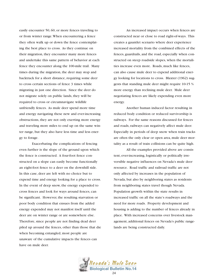easily encounter 50, 60, or more fences traveling to or from winter range.When encountering a fence they often walk up or down the fence contemplating the best place to cross. As they continue on their migration, they encounter many more fences and undertake this same pattern of behavior at each fence they encounter along the 100-mile trail. Many times during the migration, the deer may stop and backtrack for a short distance, requiring some deer to cross certain sections of fence 3 times while migrating in just one direction. Since the deer do not migrate solely on public lands, they will be required to cross or circumnavigate wildlife unfriendly fences. As mule deer spend more time and energy navigating these new and ever-increasing obstructions, they are not only exerting more energy and traveling more miles to end up on the same winter range, but they also have less time and less energy to forage.

Exacerbating the complications of fencing even further is the slope of the ground upon which the fence is constructed. A four-foot fence constructed on a slope can easily become functionally an eight-foot fence to a deer on the downhill side. In this case, deer are left with no choice but to expend time and energy looking for a place to cross. In the event of deep snow, the energy expended to cross fences and look for ways around fences, can be significant. However, the resulting starvation or poor body condition that ensues from the added energy expended may not manifest itself until the deer are on winter range or are somewhere else. Therefore, since people are not finding dead deer piled up around the fences, other than those that die when becoming entangled, most people are unaware of the cumulative impacts the fences can have on mule deer.

An increased impact occurs when fences are constructed near or close to road right-of-ways. This creates a gauntlet scenario where deer experience increased mortality from the combined effects of the fences, guardrails, and the road, especially when constructed on steep roadside slopes, when the mortalities increase even more. Roads, much like fences, can also cause mule deer to expend additional energy looking for locations to cross. Blaxter (1962) suggests that standing mule deer might require 10-15 % more energy than reclining mule deer. Mule deer negotiating fences are likely expending even more energy.

Another human induced factor resulting in reduced body condition or reduced survivorship is railways. For the same reasons discussed for fences and roads, railways can negatively affect mule deer. Especially in periods of deep snow when train tracks are often the only clear or open area, mule deer mortality as a result of train collisions can be quite high.

All the examples provided above are consistent, ever-increasing, logistically or politically irreversible negative influences on Nevada's mule deer resource. Road traffic and railroad traffic are not only affected by increases in the population of Nevada, but also by neighboring states as residents from neighboring states travel though Nevada. Population growth within the state results in increased traffic on all the state's roadways and the need for more roads. Property development and housing is adding to the number of fences already in place. With increased concerns over livestock management, additional fences on Nevada's public rangelands are being constructed daily.

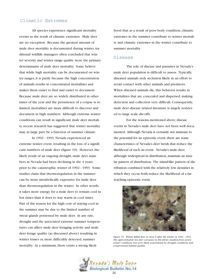#### Climatic Extremes

All species experience significant mortality events as the result of climatic extremes. Mule deer are no exception. Because the greatest amount of mule deer mortality is documented during winter, traditional wildlife managers often concluded that winter severity and winter range quality were the primary determinants of mule deer mortality. Some believe that while high mortality can be documented on winter ranges, it is partly because the high concentration of animals results in concentrated mortalities and makes them easier to find and easier to document. Because mule deer are so widely distributed in other times of the year and the persistence of a corpse is so limited, mortalities are more difficult to discover and document in high numbers. Although extreme winter conditions can result in significant mule deer mortality, recent research has suggested that winter mortality may, in large part, be a function of summer climate.

In 1992 - 1993, Nevada experienced an extreme winter event, resulting in the loss of a significant numbers of mule deer (figure 19). However, the likely result of an ongoing drought, mule deer numbers in Nevada had been declining in the 4 years prior to the catastrophic winter of 1992 - 1993. Some studies claim that thermoregulation in the summer can be more metabolically expensive for mule deer than thermoregulation in the winter. In other words, it takes more energy for a mule deer to remain cool in hot times than it does to stay warm in cool times. Part of the reason for the high cost of staying cool in the summer may be due to the limited number of sweat glands possessed by mule deer. At any rate, drought and the associated extreme summer temperatures can affect mule deer foraging activity and mule deer forage quality (as discussed above) resulting in winter losses or, more difficultly detected, summer mortality. At a minimum, there exists a strong likelihood that as a result of poor body condition, climatic extremes in the summer contribute to winter mortality and climatic extremes in the winter contribute to summer mortality.

#### Disease

The role of disease and parasites in Nevada's mule deer population is difficult to assess. Typically, diseased animals seek seclusion likely in an effort to avoid contact with other animals and predators. When diseased animals die, this behavior results in mortalities that are concealed and dispersed, making detection and collection very difficult. Consequently, mule deer disease related literature is largely restricted to large scale die-offs.

For the reasons mentioned above, disease events in Nevada's mule deer have not been well documented. Although Nevada is certainly not immune to the potential for an epizootic event, there are some characteristics of Nevada's deer herds that reduce the likelihood of such an event. Nevada's mule deer, although widespread in distribution, maintain an insular pattern of distribution. The island-like pattern of distribution combined with the relatively low densities in which they occur, both reduce the likelihood of a farreaching epizootic event.



*Figure 19. Winter killed deer in Area 6 after the winter of 1992 - 1993. The approximately ten deer carcasses in this photo resulted from severe winter conditions but were likely exacerbated by drought conditions and compromised habitat quality.*

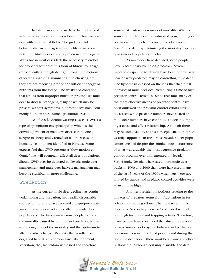Isolated cases of disease have been observed in Nevada and have often been found in close association with agricultural fields. The probable link between disease and agricultural fields is based on nutrition. Mule deer exhibit a preference for irrigated alfalfa but in most cases lack the necessary microbes for proper digestion of this form of fibrous roughage. Consequently, although deer go through the motions of feeding, ingesting, ruminating, cud chewing, etc., they are not receiving proper nor sufficient energy or nutrients from the forage. The weakened condition that results from improper nutrition predisposes mule deer to disease pathogens, many of which may be present without symptoms in domestic livestock commonly found in these same agricultural areas.

As of 2004, Chronic Wasting Disease (CWD), a type of spongiform encephalopathy which is the cervid equivalent of mad cow disease in bovines, scrapie in sheep, and Creutzfeldt-Jakob Disease in humans, has not been identified in Nevada. Some experts feel that CWD presents a "slow motion epidemic" that will eventually affect all deer populations. Should CWD ever be detected in Nevada, mule deer management and mule deer harvest management may become significantly more challenging.

#### Predation

As the current mule deer decline has continued, hunting and predation, two readily discernable sources of mortality, have received a disproportionate amount of attention as factors affecting mule deer populations. The two main reasons people focus on the mortality caused by hunting and predation is due to the tangibility of the mortality and the optimism to affect positive change. Mortality that results from degraded habitat, i.e. abortion, fawn abandonment, starvation, etc., are seldom witnessed and therefore

somewhat abstract as sources of mortality. When a source of mortality can be witnessed as in, hunting or predation, it compels the concerned observer to "save" mule deer by minimizing the mortality, especially in times of population decline.

As mule deer have declined, some people have placed heavy blame on predators. Several hypotheses specific to Nevada have been offered as to how or why predators may be controlling mule deer. One hypothesis is based on the idea that the "initial increase" of mule deer occurred during a time of high predator control activities. Since that time, many of the more effective means of predator control have been outlawed and predator control efforts have decreased while predator numbers have soared and mule deer numbers have continued to decline, implying a cause and effect relationship. Although there may be some validity to this concept, data do not necessarily support it. In the 1960s, Nevada's deer populations crashed despite the simultaneous occurrence of what was arguably the most aggressive predator control program ever implemented in Nevada. Surprisingly, Nevadans harvested more mule deer bucks in 1996 and 2000 than were harvested in any of the last 5 years of the 1960s when tags were not limited by quotas and predator control activities were at an all time high.

Another prevalent hypothesis relating to the impacts of predators stems from fluctuations in fur prices and trapping efforts. The most recent mule deer peak,"secondary increase," coincided with all time high fur prices and trapping activity. Therefore, many people have concluded that since the removal of large numbers of coyotes, bobcats, and perhaps an occasional lion occurred just prior to and during the last mule deer boom, there must be a cause and effect relationship. Although certainly plausible, the data

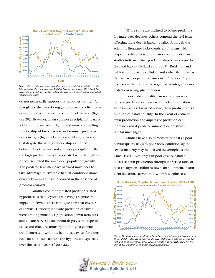

*Figure 20. Coyote take and mule deer buck harvest 1969 - 2002. Coyote take includes sport harvest and Wildlife Services activities. High buck harvests followed high coyote harvests and suggests a possible cause and effect relationship exists.*

do not necessarily support this hypothesis either. At first glance the data do suggest a cause and effect relationship between coyote take and buck harvest (figure 20). However, when summer precipitation data is added to the analysis, a tighter and more compelling relationship of buck harvest and summer precipitation emerges (figure 21). It is very likely, however, that despite the strong relationship exhibited between buck harvest and summer precipitation, that the high predator harvest associated with the high fur prices facilitated the mule deer population growth. The predator take may have allowed mule deer to take advantage of favorable habitat conditions more quickly than might have occurred in the absence of predator removal.

Another commonly stated predator related hypothesis is that coyotes are having a significant impact on fawns. There is no question that coyotes eat fawns. However, if coyote predation of fawns were limiting mule deer populations, fawn ratio data and coyote harvest data should display some type of cause and effect relationship. Although a general trend consistent with this hypothesis exists for a period, data fail to substantiate the hypothesis, especially over the last 10 years (figure 22).

While some are inclined to blame predators for mule deer declines, others contend the real issue affecting mule deer is habitat quality. Although the scientific literature lacks consistent findings with respect to the effects of predators on mule deer, many studies indicate a strong relationship between predation and habitat (Ballard et al. 2001). Predation and habitat are inextricably linked and rather than discuss the two as independent issues in an "either or" type discussion, they should be regarded as integrally associated, covarying phenomenon.

Poor habitat quality can result in increased rates of predation or increased effects of predation. For example, as discussed above, fawn production is a function of habitat quality. In the event of reduced fawn production, the impacts of predation can increase even if predator numbers or pressures remain unchanged.

Studies have also demonstrated that as poor habitat quality leads to poor body condition, age to sexual maturity may be delayed (Severinghaus and Tanck 1964). Not only can poor quality habitat decrease fawn production through increased rates of fetal absorption, stillbirths, fawn abandonment, insufficient lactation, starvation, low birth weights, etc.,



*Figure 21. Coyote take, mule deer buck harvest, and summer precipitation 1969 - 2002. Although a cause and effect relationship between coyote harvest and buck harvest seems to exist, the pattern is strengthened even further by the addition of summer precipitation data.*

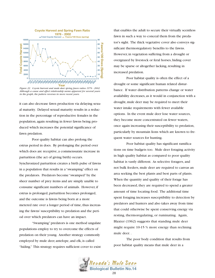

*Figure 22. Coyote harvest and mule deer spring fawn ratios 1976 - 2002. Although a cause and effect relationship seems apparent for several years in the graph, the pattern reverses in more recent years.*

it can also decrease fawn production via delaying sexual maturity. Delayed sexual maturity results in a reduction in the percentage of reproductive females in the population, again resulting in fewer fawns being produced which increases the potential significance of fawn predation.

Poor quality habitat can also prolong the estrus period in does. By prolonging the period over which does are receptive, a commensurate increase in parturition (the act of giving birth) occurs. Synchronized parturition creates a birth pulse of fawns in a population that results in a "swamping" effect on the predators. Predators become "swamped" by the sheer number of prey items and are simply unable to consume significant numbers of animals. However, if estrus is prolonged, parturition becomes prolonged, and the outcome is fawns being born at a more metered rate over a longer period of time, thus increasing the fawns' susceptibility to predation and the period over which predators can have an impact.

"Swamping" predators is one method ungulate populations employ to try to overcome the effects of predation on their young. Another strategy commonly employed by mule deer, antelope, and elk, is called "hiding." This strategy requires sufficient cover to exist that enables the adult to secure their virtually scentless fawn in such a way to conceal them from the predator's sight. The thick vegetative cover also conveys significant thermoregulatory benefits to the fawns. However, in vegetation suffering from a drought or overgrazed by livestock or feral horses, hiding cover may be sparse or altogether lacking, resulting in increased predation.

Poor habitat quality is often the effect of a drought or some significant human related disturbance. If water distribution patterns change or water availability decreases, as it would in conjunction with a drought, mule deer may be required to meet their water intake requirements with fewer available options. In the event mule deer lose water sources, they become more concentrated on fewer waters, once again increasing their susceptibility to predation, particularly by mountain lions which are known to frequent water sources for hunting.

Poor habitat quality has significant ramifications on time budgets too. Mule deer foraging activity in high quality habitat as compared to poor quality habitat is vastly different. As selective foragers, and not bulk feeders, mule deer are required to canvas an area seeking the best plants and best parts of plants. When the quantity and quality of their forage has been decreased, they are required to spend a greater amount of time locating food. The additional time spent foraging increases susceptibility to detection by predators and hunters and also takes away from time that could otherwise be spent conserving energy via resting, thermoregulating, or ruminating. Again, Blaxter (1962) suggests that standing mule deer might require 10-15 % more energy than reclining mule deer. .

The poor body condition that results from poor habitat quality means that mule deer in a

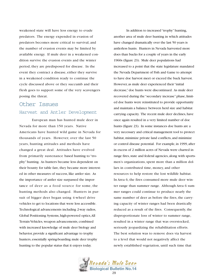weakened state will have less energy to evade predators. The energy expended in evasion of predators becomes more critical to survival, and the number of evasion events may be limited by available energy. If mule deer in a weakened condition survive the evasion events and the winter period, they are predisposed for disease. In the event they contract a disease, either they survive in a weakened condition ready to continue the cycle discussed above or they succumb and their flesh goes to support some of the very scavengers posing the threat.

### Harvest and Antler Development Other Issues

European man has hunted mule deer in Nevada for more than 150 years. Native Americans have hunted wild game in Nevada for thousands of years. However, over the last 50 years, hunting attitudes and methods have changed a great deal. Attitudes have evolved from primarily sustenance based hunting to "trophy" hunting. As hunters became less dependent on their bounty for table fare, they became more interested in other measures of success, like antler size. As the importance of antler size surpassed the importance of deer as a food source for some, the hunting methods also changed. Hunters in pursuit of bigger deer began using 4-wheel drive vehicles to get to locations that were less accessible. Technological advancements including 2-way radios, Global Positioning Systems, high-powered optics,All Terrain Vehicles, weapon advancements, combined with increased knowledge of mule deer biology and behavior, provide a significant advantage to trophy hunters, essentially spring-boarding mule deer trophy hunting to the popular status that it enjoys today.

In addition to increased "trophy"hunting, another area of mule deer hunting in which attitudes have changed dramatically over the last 50 years is antlerless hunts. Hunters in Nevada harvested more does than bucks for a couple of years in the early 1960s (figure 23). Mule deer populations had increased to a point that the state legislature mandated the Nevada Department of Fish and Game to attempt to have doe harvest meet or exceed the buck harvest. However, as mule deer experienced their "initial decrease,"doe hunts were discontinued. As mule deer recovered during the "secondary increase"phase, limited doe hunts were reinstituted to provide opportunity and maintain a balance between herd size and habitat carrying capacity. The recent mule deer declines, have once again resulted in a very limited number of doe hunts (figure 23). In some instances doe hunts are a very necessary and critical management tool to protect habitat, minimize private land conflicts, and minimize or control disease potential. For example, in 1999, after in excess of 2 million acres of Nevada were charred in range fires, state and federal agencies, along with sportsmen's organizations, spent more than a million dollars in contributed time, money, and other resources to help restore the lost wildlife habitat. In Area 6, the fires consumed more mule deer winter range than summer range. Although Area 6 summer ranges could continue to produce nearly the same number of deer as before the fires, the carrying capacity of winter ranges had been drastically reduced as a result of the fires. Consequently, the disproportionate loss of winter to summer range, resulted in a winter range that was overstocked, seriously jeopardizing the rehabilitation efforts. The best solution was to remove does via harvest to a level that would not negatively affect the newly established vegetation, until such time that

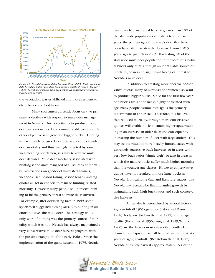

*Figure 23. Nevada's buck and doe harvests 1951 - 2003. Under state mandate Nevadans killed more does than bucks a couple of years in the early 1960s. Recent doe harvests have been extremely conservative relative to historic doe harvests.*

the vegetation was established and more resilient to disturbance and herbivory.

Many sportsmen currently focus on two primary objectives with respect to mule deer management in Nevada. One objective is to produce more deer, an obvious need and commendable goal, and the other objective is to generate bigger bucks. Hunting is inaccurately regarded as a primary source of mule deer mortality and thus wrongly targeted by some well-meaning sportsmen, as a way to reverse mule deer declines. Mule deer mortality associated with hunting is the most managed of all sources of mortality. Restrictions on gender of harvested animals, weapons used, season timing, season length, and tag quotas all act in concert to manage hunting related mortality. However, many people still perceive hunting to be the primary threat to mule deer survival. For example, after devastating fires in 1999, some sportsmen suggested closing Area 6 to hunting in an effort to "save" the mule deer. This strategy would only work if hunting was the primary source of mortality, which it is not. Nevada has always maintained a very conservative mule deer harvest program, with the possible exception of the early 1960s. Since the implementation of the quota system in 1975, Nevada

has never had an annual harvest greater than 10% of the statewide population estimate. Over the last 5 years, the percentage of the state's deer that have been harvested has steadily decreased from 10% 5 years ago, to just 5% in 2003. Harvesting 5% of the statewide mule deer population in the form of a virtual bucks only hunt, although an identifiable source of mortality, possess no significant biological threat to Nevada's mule deer.

In addition to creating more deer via conservative quotas, many of Nevada's sportsmen also want to produce bigger bucks. Since for the first few years of a buck's life, antler size is highly correlated with age, many people assume that age is the primary determinant of antler size. Therefore, it is believed that reduced mortality, through more conservative quotas, will enable bucks to attain higher ages, resulting in an increase in older deer, and consequently increasing the number of deer with large antlers. This may be the result in more heavily hunted states with extremely aggressive buck harvests, or in areas with very low buck ratios (single digit), or also in areas in which the mature bucks suffer much higher mortality than the younger age classes. However, conservative quotas have not resulted in more large bucks in Nevada. Ironically, the data and literature suggest that Nevada may actually be limiting antler growth by maintaining such high buck ratios and such conservative harvests.

Antler size is determined by several factors. Age (Steinhoff 1967), genetics (Taber and Dasman 1958), body size (Robinette et al. 1977), and forage quality (French et al. 1956, Long et al. 1959,Wallmo 1960) are the factors most often cited. Antler length, diameter, and spread have all been shown to peak at 6 years of age (Steinhoff 1967, Robinette et al. 1977). Nevada currently harvests approximately 15% of the

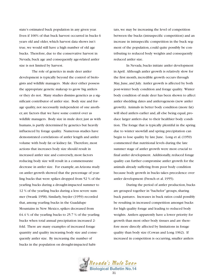state's estimated buck population in any given year. Even if 100% of that buck harvest occurred in bucks 6 years old and older, which harvest data shows isn't true, we would still have a high number of old age bucks. Therefore, due to the conservative harvest in Nevada, buck age and consequently age-related antler size is not limited by harvest.

The role of genetics in mule deer antler development is typically beyond the control of biologists and wildlife managers. Mule deer either possess the appropriate genetic makeup to grow big antlers or they do not. Many studies dismiss genetics as a significant contributor of antler size. Body size and forage quality, not necessarily independent of one another, are factors that we have some control over as wildlife managers. Body size in mule deer, just as with humans, is partly determined by genetics but heavily influenced by forage quality. Numerous studies have demonstrated correlations of antler length and antler volume with body fat or kidney fat. Therefore, most actions that increases body size should result in increased antler size and conversely, most factors reducing body size will result in a commensurate decrease in antler size. For example, an Arizona study on antler growth showed that the percentage of yearling bucks that were spikes dropped from 52 % of the yearling bucks during a drought-impacted summer to 12 % of the yearling bucks during a less severe summer (Swank 1958). Similarly, Snyder (1959) recorded that, among yearling bucks in the Guadalupe Mountains in New Mexico, spikes decreased from 64.4 % of the yearling bucks to 25.7 % of the yearling bucks when total annual precipitation increased 2 fold. There are many examples of increased forage quantity and quality increasing body size and consequently antler size. By increasing the number of bucks in the population on drought-impacted habitats, we may be increasing the level of competition between the bucks (intraspecific competition) and an increase in intraspecific competition in the buck segment of the population, could quite possibly be contributing to reduced body weights and consequently reduced antler size.

In Nevada, bucks initiate antler development in April. Although antler growth is relatively slow for the first month, incredible growth occurs through May, June, and July. Antler growth is affected by both post-winter body condition and forage quality. Winter body condition of mule deer has been shown to affect antler shedding dates and antlerogenesis (new antler growth). Animals in better body condition (more fat) will shed antlers earlier and, all else being equal, produce larger antlers due to their healthier body condition. The forage that is typically plentiful in the spring due to winter snowfall and spring precipitation can begin to lose quality by late June. Long et al. (1959) commented that nutritional levels during the late summer stage of antler growth were most crucial to final antler development. Additionally, reduced forage quality can further compromise antler growth for the animals already suffering from poor body condition because body growth in bucks takes precedence over antler development (French et al. 1955).

During the period of antler production, bucks are grouped together in "bachelor" groups, sharing buck pastures. Increases in buck ratios could possibly be resulting in increased competition amongst bucks for high quality forage and leading to reduced body weights. Antlers apparently have a lower priority for growth than most other body tissues and are therefore more directly affected by limitations in forage quality than body size (Cowan and Long 1962). If increased in competition is occurring, smaller antlers

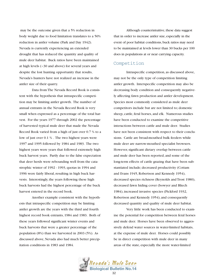may be the outcome given that a 5% reduction in body weight due to food limitation translates to a 50% reduction in antler volume (Park and Day 1942). Nevada is currently experiencing an extended drought that has reduced the quantity and quality of mule deer habitat. Buck ratios have been maintained at high levels (~30 and above) for several years and despite the lost hunting opportunity that results, Nevada's hunters have not realized an increase in the antler size of their quarry.

Data from The Nevada Record Book is consistent with the hypothesis that intraspecific competition may be limiting antler growth. The number of annual entrants in the Nevada Record Book is very small when expressed as a percentage of the total harvest. For the years 1977 through 2002 the percentage of harvested typical mule deer that made the Nevada Record Book varied from a high of just over 0.7 % to a low of just over 0.1 % . The two highest years were 1997 and 1995 followed by 1984 and 1983. The two highest years were years that followed extremely high buck harvest years. Partly due to the false expectation that deer herds were rebounding well from the catastrophic winter of 1992 - 1993, quotas in 1994 and 1996 were fairly liberal, resulting in high buck harvests. Interestingly, the years following these high buck harvests had the highest percentage of the buck harvest entered in the record book.

Another example consistent with the hypothesis that intraspecific competition may be limiting antler growth are the years with the third and fourth highest record book entrants, 1984 and 1983. Both of these years followed significant winter events and buck harvests that were a greater percentage of the population (8%) than we harvested in 2003 (5%). As discussed above, Nevada also had much better precipitation conditions in 1983 and 1984.

Although counterintuitive, these data suggest that in order to increase antler size, especially in the event of poor habitat conditions, buck ratios may need to be maintained at levels lower than 30 bucks per 100 does in populations at or near carrying capacity.

## Competition

Intraspecific competition, as discussed above, may not be the only type of competition limiting antler growth. Interspecific competition may also be decreasing body condition and consequently negatively affecting fawn production and antler development. Species most commonly considered as mule deer competitors include but are not limited to; domestic sheep, cattle, feral horses, and elk. Numerous studies have been conducted to examine the competitive interactions between cattle and mule deer. Studies have not been consistent with respect to their conclusions. Cattle are broad-mouthed bulk feeders while mule deer are narrow-mouthed specialist browsers. However, significant dietary overlap between cattle and mule deer has been reported, and some of the long-term effects of cattle grazing that have been substantiated include; decreased productivity (Cottam and Evans 1945, Robertson and Kennedy 1954), decreased species richness (Reynolds and Trost 1980), decreased fawn hiding cover (bowyer and Bliech 1984), increased invasive species (Pickford 1932, Robertson and Kennedy 1954), and consequently decreased quantity and quality of mule deer habitat.

Very little work has been conducted to examine the potential for competition between feral horses and mule deer. Horses have been observed to aggressively defend water sources in water-limited habitats, at the expense of mule deer. Horses could possibly be in direct competition with mule deer in many areas of the state, especially the more water-limited

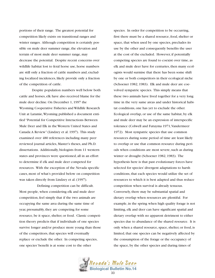portions of their range. The greatest potential for competition likely exists on transitional ranges and winter ranges. Although competition is certainly possible on mule deer summer range, the elevation and terrain of most mule deer summer range, may decrease the potential. Despite recent concerns over wildlife habitat lost to feral horse use, horse numbers are still only a fraction of cattle numbers and, excluding localized incidences, likely provide only a fraction of the competition of cattle.

Despite population numbers well below both cattle and horses, elk have also received blame for the mule deer decline. On December 1, 1997 the Wyoming Cooperative Fisheries and Wildlife Research Unit at Laramie,Wyoming published a document entitled "Potential for Competitive Interactions Between Mule Deer and Elk in the Western United States and Canada:A Review" (Lindzey et al. 1997). This study examined over 480 references including many peer reviewed journal articles, Master's theses, and Ph.D. dissertations. Additionally, biologists from 11 western states and provinces were questioned, all in an effort to determine if elk and mule deer competed for resources. With the exception of the Nevada specific cases, most of what's provided below on competition was taken directly from Lindzey et al. (1997).

Defining competition can be difficult. Most people, when considering elk and mule deer competition, feel simply that if the two animals are occupying the same area during the same time of year, presumably, they are competing for some resource, be it space, shelter, or food. Classic competition theory predicts that if individuals of one species survive longer and/or produce more young than those of the competitors, that species will eventually replace or exclude the other. In competing species, one species' benefit is at some cost to the other

species. In order for competition to be occurring, first there must be a shared resource, food, shelter or space, that when used by one species, precludes its use by the other and consequently benefits the user at the cost of the excluded. However, if potentially competing species are found to coexist over time, as elk and mule deer have for centuries, then many ecologists would surmise that there has been some shift by one or both competitors in their ecological niche (Schoener 1982, 1983). Elk and mule deer are coevolved sympatric species. This simply means that these two animals have lived together for a very long time in the very same areas and under historical habitat conditions, one has yet to exclude the other. Ecological overlap, or use of the same habitat, by elk and mule deer may be an expression of interspecific tolerance (Colwell and Futuyma 1971,Vandermeer 1972). Most sympatric species that use common resources during some period of time are least likely to overlap or use that common resource during periods when conditions are most severe, such as during winter or drought (Schoener 1982, 1983). The hypothesis here is that past evolutionary forces have selected for species' divergent adaptations to harsh conditions, that each species would utilize the set of resources to which it is best adapted and thus reduce competition when survival is already tenuous. Conversely, there may be substantial spatial and dietary overlap when resources are plentiful. For example, in the spring when high quality forage is not limiting, elk and deer can have significant spatial and dietary overlap with no apparent detriment to either species due to abundance of the shared resource. It is only when a shared resource, space, shelter, or food, is limited, that one species can be negatively affected by the consumption of the forage or the occupancy of the space, by the other species and during times of

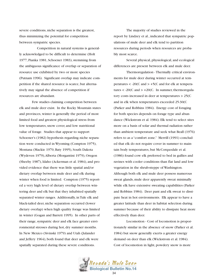severe conditions, niche separation is the greatest, thus minimizing the potential for competition between sympatric species.

Competition in natural systems is generally acknowledged to be difficult to determine (Holt 1977, Pianka 1981, Schoener 1983), stemming from the ambiguous significance of overlap or separation of resource use exhibited by two or more species (Putnam 1996). Significant overlap may indicate competition if the shared resource is scarce, but alternatively may signal the absence of competition if resources are abundant.

Few studies claiming competition between elk and mule deer exist. In the Rocky Mountain states and provinces, winter is generally the period of most limited food and greatest physiological stress from low temperatures, snow cover, and low nutritional value of forage. Studies that appear to support Schoener's (1982) hypothesis regarding niche separation were conducted in Wyoming (Compton 1975), Montana (Mackie 1970, Baty 1995), South Dakota (Wydeven 1979),Alberta (Morgantini 1979), Oregon (Sheehy 1987), Idaho (Ackerman et al. 1984), and provided evidence that there was little spatial and/or dietary overlap between mule deer and elk during winter when food is limited. Compton (1975) reported a very high level of dietary overlap between wintering deer and elk but that they inhabited spatially separated winter ranges. Additionally, in Tule elk and black-tailed deer, niche separation occurred (lower dietary overlap) when high quality forage was limited in winter (Gogan and Barrett 1995). In other parts of their range, sympatric deer and elk face greater environmental stresses during hot, dry summer months. In New Mexico (Sivinski 1979) and Utah (Julander and Jeffery 1964), both found that deer and elk were spatially separated during these severe conditions.

The majority of studies reviewed in the report by Lindzey et al., indicated that sympatric populations of mule deer and elk tend to partition resources during periods when resources are probably most scarce.

Several physical, physiological, and ecological differences are present between elk and mule deer.

Thermoregulation - Thermally critical environments for mule deer during winter occurred at temperatures  $\lt$  -20(C and  $\gt$  +5(C and for elk at temperatures  $\langle$  -20(C and  $\rangle$  +20(C. In summer, thermoregulatory costs increased in deer at temperatures > 25(C and in elk when temperatures exceeded 25-30(C (Parker and Robbins 1984). Energy cost of foraging for both species depends on forage type and abundance (Wickstrom et al. 1984). Elk tend to select sites more on a basis of solar and thermal radiation rather than ambient temperature and seek what Beall (1976) refers to as a "comfort zone." Merrill (1991) concluded that elk do not require cover in summer to maintain body temperatures, but McCorquodale et al. (1986) found cow elk preferred to bed in gullies and ravines with cooler conditions than flat land and low vegetation in the shrub-steppe of Washington. Although both elk and mule deer possess numerous sweat glands, mule deer apparently sweat minimally while elk have extensive sweating capabilities (Parker and Robbins 1984). Deer pant and elk sweat to dissipate heat in hot environments. Elk appear to have a greater latitude than deer in habitat selection during summer because of their ability to dissipate heat more effectively than deer.

Locomotion - Cost of locomotion is proportionately similar in the absence of snow (Parker et al. 1984) but snow generally exerts a greater energy demand on deer than elk (Wickstrom et al. 1984). Cost of locomotion in light, powdery snow is more

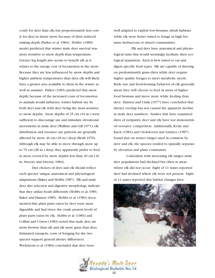costly for deer than elk, but proportionately less costly for deer in dense snow because of their reduced sinking depth (Parker et al. 1984). Hobbs' (1989) model predicted that winter mule deer survival was more sensitive to snow depth than temperature. Greater leg length also seems to benefit elk as it relates to the energy cost of locomotion in the snow. Because they are less influenced by snow depths and higher ambient temperatures than deer, elk will likely have a greater area available to them in the winter as well as summer. Parker (1983) predicted that snow depth, because of the increased costs of locomotion to animals would influence winter habitat use by both deer and elk with deer being the most sensitive to snow depths. Snow depths of 25 cm (10 in.) were sufficient to discourage use and stimulate elevational movements in mule deer (Wallmo and Gill 1971); elk distribution and resource use patterns are generally affected by snow 46 cm (18 in.) deep (Beall 1976). Although elk may be able to move through snow up to 70 cm (28 in.) deep, they apparently prefer to feed in areas covered by snow depths less than 40 cm (16 in. Sweeny and Sweeny 1984).

Diet choices of deer and elk should reflect each species' unique anatomical and physiological adaptations (Baker and Hobbs 1987). Elk and mule deer diet selection and digestive morphology indicate that they utilize foods differently (Hobbs et al. 1983, Baker and Hansen 1985). Hobbs et al. (1983) documented that plant parts eaten by deer were more digestible and had twice the crude protein levels of plant parts eaten by elk. Hobbs et al. (1983) and Collins and Urness (1983) noted that mule deer ate more browse than elk and elk more grass than deer. Estimated energetic costs of foraging for the two species support general dietary differences. Wickstrom et al. (1984) concluded that deer were

well adapted to exploit low-biomass, shrub habitats while elk were better suited to forage in high biomass, herbaceous or mixed communities.

Elk and deer have anatomical and physiological traits that would seemingly facilitate their ecological separation. Each is best suited to eat and digest specific food types. Elk are capable of thriving on predominantly grass diets while deer require higher quality forages to meet metabolic needs. Body size and herd-forming behavior of elk generally mean they will choose to feed in areas of higher food biomass and move more while feeding than deer. Hansen and Clark (1977) have concluded that dietary overlap has not caused the apparent decline in mule deer numbers. Studies that have examined diets of sympatric deer and elk have not demonstrated resource competition. Additionally, Kvale and Kuck (1984) and Oedekoven and Lindzey (1987) found that on winter ranges used in common by deer and elk, the species tended to spatially separate by elevation and plant community.

Coincident with increasing elk ranges, mule deer populations had declined but often in areas where elk did not occur. Eight of 11 states reported deer had declined where elk were not present. Eight of 11 states reported that habitat changes have



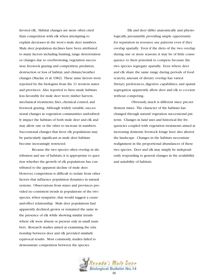favored elk. Habitat changes are more often cited than competition with elk when attempting to explain decreases in the west's mule deer numbers. Mule deer population declines have been attributed to many factors including hunting, range deterioration or changes due to overbrowsing, vegetation succession, livestock grazing and competition, predation, destruction or loss of habitat, and climate/weather changes (Mackie et al. 1982). These same factors were reported by the biologists from the 11 western states and provinces. Also reported to have made habitats less favorable for mule deer were; timber harvest, mechanical treatments, fires, chemical control, and livestock grazing. Although widely variable, successional changes in vegetation communities undoubtedly impact the habitats of both mule deer and elk and may allow one or the other to increase in numbers. Successional changes that favor elk populations may be particularly significant as mule deer habitats become increasingly restricted.

Because the two species often overlap in distribution and use of habitats, it is appropriate to question whether the growth of elk populations has contributed to the apparent decline of mule deer. However, competition is difficult to isolate from other factors that influence population dynamics in natural systems. Observations from states and provinces provided no consistent trends in populations of the two species, when sympatric, that would suggest a causeand-effect relationship. Mule deer populations had apparently declined, grown or remained the same in the presence of elk while showing similar trends where elk were absent or present only in small numbers. Research studies aimed at examining the relationship between deer and elk provided similarly equivocal results. Most commonly, studies failed to demonstrate competition between the species.

Elk and deer differ anatomically and physiologically, presumably providing ample opportunity for separation in resource use patterns even if they overlap spatially. Even if the diets of the two overlap during one or more seasons, it may be of little consequence to their potential to compete because the two species segregate spatially. Even where deer and elk share the same range during periods of food scarcity, amount of dietary overlap has varied. Dietary preferences, digestive capabilities, and spatial segregation apparently allow deer and elk to co-exist without competing.

Obviously, much is different since pre-settlement times. The character of the habitats has changed through natural vegetation successional patterns. Changes in land uses and historical fire frequencies coupled with vegetation treatments aimed at increasing domestic livestock forage have also altered the landscape. Changes in the habitats necessitate realignment in the proportional abundances of these two species. Deer and elk may simply be independently responding to general changes in the availability and suitability of habitats.

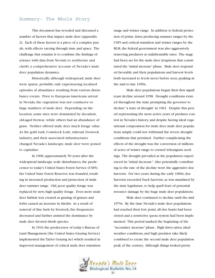## Summary- The Whole Story

This document has revealed and discussed a number of factors that impact mule deer (appendix 2). Each of these factors is a piece of a complex puzzle, with effects varying through time and space. The challenge that remains is to combine the findings of science with data from Nevada to synthesize and clarify a comprehensive account of Nevada's mule deer population dynamics.

Historically, although widespread, mule deer were sparse, probably only experiencing localized episodes of abundance resulting from various disturbance events. Prior to European Americans arrival in Nevada, the vegetation was not conducive to large numbers of mule deer. Depending on the location, some sites were dominated by decadent, old-aged browse, while others had an abundance of grass. Neither offered mule deer much forage value. As the gold rush, Comstock Lode, railroad, livestock industry, and their associated infrastructures changed Nevada's landscape, mule deer were poised to capitalize.

In 1906, approximately 50 years after the widespread landscape scale disturbances, the predecessor to today's United States Forest Service (USFS) the United State Forest Reserves was founded, resulting in increased production and protection of mule deer summer range. Old, poor quality forage was replaced by new, high quality forage. Even more mule deer habitat was created as grazing of grasses and forbs caused an increase in shrubs. As a result of removal of fine fuels by livestock, fire frequencies decreased and further assisted the dominance by mule deer favored shrub species.

In 1934 the predecessor of today's Bureau of Land Management (the United States Grazing Service) implemented the Taylor Grazing Act which resulted in improved management of critical mule deer transition range and winter range. In addition to federal protection of prime, fawn producing summer ranges by the USFS and critical transition and winter ranges by the BLM, the federal government was also aggressively removing predators at unfathomable rates. The stage had been set for the mule deer irruptions that constituted the "initial increase" phase. Mule deer responded favorably and their populations and harvest levels both increased to levels never before seen, peaking in the mid to late 1950s.

Mule deer populations began their first significant decline around 1958. Drought conditions existed throughout the state prompting the governor to declare "a state of drought" in 1961. Despite this period representing the most active years of predator control in Nevada's history, and despite having ideal vegetational composition for mule deer, mule deer populations simply could not withstand the severe drought conditions that persisted. Further complicating the effects of the drought was the conversion of millions of acres of winter range to crested wheatgrass seedings. The drought prevailed as the population experienced its "initial decrease." Also potentially contributing to the rate of the decline were the aggressive doe harvests. For two years during the early 1960s, doe harvests exceeded buck harvests, as was mandated by the state legislature, to help quell fears of potential resource damage by the huge mule deer populations.

Mule deer continued to decline until the mid 1970s. By the time Nevada's mule deer populations had reached their low point, all doe hunts had been closed and a restrictive quota system had been implemented. This period marked the beginning of the "secondary increase" phase. High fawn ratios, ideal weather conditions, and high predator take likely combined to create the second mule deer population peak of the century. Although things looked pretty

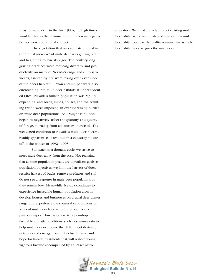rosy for mule deer in the late 1980s, the high times wouldn't last as the culmination of numerous negative factors were about to take effect.

The vegetation that was so instrumental in the "initial increase" of mule deer was getting old and beginning to lose its vigor. The century-long grazing practices were reducing diversity and productivity on many of Nevada's rangelands. Invasive weeds, assisted by fire were taking over ever more of the deers habitat. Pinyon and juniper were also encroaching into mule deer habitats at unprecedented rates. Nevada's human population was rapidly expanding, and roads, mines, houses, and the resulting traffic were imposing an ever-increasing burden on mule deer populations. As drought conditions began to negatively affect the quantity and quality of forage, mortality from all sources increased. The weakened condition of Nevada's mule deer became readily apparent as it resulted in a catastrophic dieoff in the winter of 1992 - 1993.

Still stuck in a drought cycle, we strive to meet mule deer glory from the past. Not realizing that all-time population peaks are unrealistic goals as population objectives, we limit the harvest of does, restrict harvest of bucks, remove predators and still do not see a response in mule deer populations as they remain low. Meanwhile, Nevada continues to experience incredible human population growth, develop houses and businesses on crucial deer winter range, and experience the conversion of millions of acres of mule deer habitat to fire prone weeds and pinyon-juniper. However, there is hope—hope for favorable climatic conditions, such as summer rain to help mule deer overcome the difficulty of deriving nutrients and energy from ineffectual browse and hope for habitat treatments that will restore young vigorous browse accompanied by an intact native

understory. We must actively protect existing mule deer habitat while we create and restore new mule deer habitat because the reality remains that as mule deer habitat goes, so goes the mule deer.

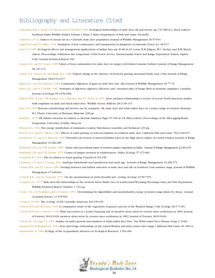## Bibliography and Literature Cited

Ackerman, B.B., L. Kuck, E.H. Merril, and T.P. Hemker. 1984. Ecological relationships of mule deer, elk and moose. pp. 151-268 in L. Kuck (editor).

Southeast Idaho Wildlife Studies,Volume I, Phase I. Idaho Department of Fish and Game, Pocatello.

Anderson, 1972a. Indices of carcass fat in a Colorado mule deer population. Journal of Wildlife Management 36:579-94.

Angell, R.F. and R.F. Miller. 1994. Simulation of leaf conductance and transpiration in Juniperus occidentalis. Forest Sci. 40:5-17.

- Arno, S.F. 1985. Ecological effects and management implications of Indian fires. pp. 81-86 in J.E. Lotan, B.M. Kilgore,W.C. Fischer, and R.W. Mutch, editors. Proceedings, wilderness fire symposium. USDA Forest Service, Intermountain Forest and Range Experiment Station, Ogden, Utah, General Technical Report 182.
- Austin, D.D. and P.J. Urness. 1985. Values of four communities for mule deer on ranges with limited summer habitat. Journal of Range Management 38: 167-171.
- Austin, D.F., Urness, P.J., and Riggs, R.A. 1986. Vegetal change in the absence of livestock grazing, mountain brush zone, Utah. Journal of Range Management 39(6):514-517.

Baker, D.L., and D.R. Hansen. 1985. Comparative digestion of grass in mule deer and elk. Journal of Wildlife Management 49:77-79.

- Baker, D.L., and N.T. Hobbs. 1987. Strategies of digestion: digestive efficiency and retention time of forage diets in montane ungulates. Canadian Journal of Zoology 65:1978-1984.
- Ballard,W.B., D. Lutz,T.W. Keegan, L.H. Carpenter, and J.C. deVos, Jr. 2001. Deer- predator relationships: a review of recent North American studies with emphasis on mule and black-tailed deer. Wildlife Society Bulletin 29(1):99-115.
- Baty, G.R. 1995. Resource partitioning and browse use by sympatric elk, mule deer and white-tailed deer on a winter range in western Montana. M.S.Thesis. University of Montana, Missoula. 228 pp.
- Beall, R.C. 1976. Elk habitat selection in relation to thermal radiation. Pages 97-100 in S.R. Hieb (editor). Proceedings of the Elk-Logging-Roads Symposium. University of Idaho, Moscow.

Blaxter, K.L. 1962.The energy metabolism of ruminants. London: Hutchinson scientific and Technical. 329 pp.

Bowyer, R.T., and V.C. Bleich. 1984. Effects of cattle grazing on selected habitats of southern mule deer. California Fish and Game 70(4):240-247.

Buckhouse, J.C. and J.L. Mattison. 1980. Potential soil erosion of selected habitat types in the high desert region of central Oregon. Journal of Range Management 33:282-285.

Burkhardt, J.W. and E.W.Tisdale. 1969. Nature and successional status of western juniper vegetation in Idaho. Journal of Range Management 22:264-270 Burkhardt, J.W. and E.W.Tisdale. 1975. Causes of juniper invasion in southwestern Idaho. Ecology 57:472-484.

Campbell, R.S. 1954. Fire in relation to forest grazing. Unasylva 8:154-158.

Clements, C.D. and J.A.Young. 2001.Antelope bitterbrush seed production and stand age. Journal of Range Management 54:269-273

Collins,W.B., and P.J. Urness. 1983. Feeding behavior and habitat selection of mule deer and elk on northern Utah summer range. Journal of Wildlife Management 47:646-663.

Colwell, R.K., and D.J. Futuyma. 1971. On the measurement of niche breadth and overlap. Ecology 52:567-576.

Compton,T.L. 1975. Mule deer-elk relationships in the western Sierra Madre area of southcentral Wyoming.Wyoming Game and Fish Department Wildlife Technical Report Number 1. 123 pp.

Cook, C.W., L.A. Stoddard, and L. E. Harris. 1952. Determining the digestibility and metabolizable energy of winter range plants by sheep. Journal of Animal Science 11:578-590.

Cooper, C.F. 1961.The ecology of fire. Scientific American 204:150-156.

Cottom,W.P. and F.R. Evans. 1945.A comparative study of the vegetation of grazed canyons of the Wasatch Range, Utah. Ecology 26:171-181.

Cottom,W.P. and G. Stewart. 1940. Plant succession as a result of grazing and of meadow desiccation by erosion since settlement in 1892. Journal of Forestry 38:613-626. meadow desiccation by erosion since settlement in 1892. Journal of Forestry 38:613-626.

Cowan, R.L. & Long,T.A. 1962. Studies on antler growth and nutrition of white-tailed deer. Proc. Nat.White-tailed Deer Disease Symp. I, 54-60. Dasman W.P & Blaisdell J.A. 1954. Deer and forage relationship on the Lassen-Washoe interstate winter deer range. California Fish Game, 40, 309-12. Daubenmire R. 1968. Ecology of fire in grasslands.Advances in Ecological Research. 5:204-266.

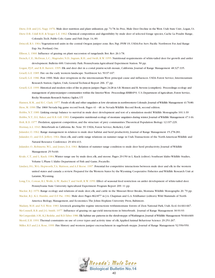Dietz, D.R. and J.G. Nagy. 1976. Mule deer nutrition and plant utilization. pp. 71-78. In: Proc, Mule Deer Decline in the West. Utah State Univ., Logan, Ut.

- Dietz D.R..Udall R.H. & Yeager L.E. 1962. Chemical composition and digestibility by mule deer of selected forage species, Cache La Poudre Range, Colorado.Tech. Publs Colo. Game and Fish Dept. 14, 89.
- Driscoll, R.S. 1964.Vegetation-soil units in the central Oregon juniper zone. Res. Pap. PNW-19, USDA-For. Serv. Pacific Northwest For.And Range Exp. Sta. Portland, Ore.
- Ellison, L. 1960. Influence of grazing on plant succession of rangelands. Bot. Rev. 26:1-78.
- French, C.E.; McEwan, L.C.; Magruder, N.D.; Ingram, R.H.; and Swift, R.W. 1955. Nutritional requirements of white-tailed deer for growth and antler development. Bulletin 600. University Park: Pennsylvania Agricultural Experiment Station. 50 pp.
- Gogan, P.J.P., and R.H. Barrett. 1995. Elk and deer diet in a costal prairie-scrub mosaic, California. Journal of Range Management 48:327-335.
- Gruell, G.E. 1985. Fire on the early western landscape. Northwest Sci. 59:97-107.
- Gruell, G.E. 1986. Post 1900. Mule deer irruptions in the intermountain West: principal cause and influences. USDA Forest Service, Intermountain Research Station, Ogden, Utah, General Technical Report 206. 37 pp.
- Gruell, G.E. 1999. Historical and modern roles of fire in pinyon juniper.Pages 24-28 in S.B.Monsen and R.Stevens (compilers). Proceedings:ecology and
	- management of pinyon-juniper communities within the Interior West. Proceedings RMRS-P-9, U.S. Department of Agriculture, Forest Service, Rocky Mountain Research Station,Ogden,UT

Hansen, R.M., and R.C. Clark. 1977. Foods of elk and other ungulates at low elevations in northwestern Colorado.Journal of Wildlife Management 41:76-80. Hess, M. 1990.The 1860 Nevada big game record book. Pages 41 - 48. in Nevada Wildlife Record Book, second edition.

Hobbs, N.T. 1989. Linking energy balance to survival in mule deer: development and test of a simulation model.Wildlife Monographs 101:1-39 Hobbs, N.T., D.L. Baker, and R.B. Gill. 1983. Comparative nutritional ecology of montane ungulates during winter.Journal of Wildlife Management 47:1-16. Holt, R.D. 1977. Predation, apparent competition, and the structure of prey communities.Theoretical Population Biology 12:197-229.

Hormay,A.L. 1943. Bitterbrush in California. Re. Note 39. USDA, Forest Service, Berkeley, Calif.

- Julander, O. 1962. Range management in relation to mule deer habitat and herd productivity. Journal of Range Management 15:278-281.
- Julander, O., and D.E. Jeffery. 1964. Deer, elk, and cattle range relations on summer range in Utah.Transactions of the North American Wildlife and Natural Resource Conference 29:404-413.
- Julander, O.; Robinette,W.L.; and Jones, D.A. 1961. Relation of summer range condition to mule deer herd productivity. Journal of Wildlife Management 25:54-60.
- Kvale, C.T., and L. Kuck. 1984.Winter range use by mule deer, elk, and moose. Pages 29-150 in L. Kuck (editor). Southeast Idaho Wildlife Studies, Volume I, Phase I. Idaho Department of Fish and Game, Pocatello.
- Lindzey, F.G.,W.G. Hepworth,T.A. Mattson, and A.F. Reese. 1997. Potential for competitive interactions between mule deer and elk in the western united states and canada: a review. Prepared for the Western States by the Wyoming Cooperative Fisheries and Wildlife Research Unit at Laramie,Wyoming.
- Long,T.A.; Cowan, R.L.Wolfe, G.W.; Rader,T. and Swift, R.W. 1959. Effect of seasonal feed restriction on antler development of white-tailed deer. Pennsylvania State University Agricultural Experiment Program Report 209. 11 pp.
- Mackie, R.J. 1970. Range ecology and relations of mule deer, elk, and cattle in the Missouri River Breaks, Montana. Wildlife Monographs 20.79 pp. Mackie, R.J., K.L. Hamlin, and D.F. Pac. 1982. Mule deer. Pages 862-877 in J.A. Chapman and G.A. Feldhamer (editors). Wild Mammals of North

America: Biology, Management, and Economics.The Johns Hopkins University Press, Baltimore.

- Madany, M.H. and N.E.West. 1983. Livestock grazing-fire regime interactions withinmontane forests of Zion National Park, Utah. Ecol. 64:661-667. McConnell, R.B. and J.G. Smith. 1977. Influence of grazing on age-yield interactions in bitterbrush. Journal of Range Management 30:91-93 McCorquodale, S.M., K.J. Redeke, and R.D.Taber. 1986. Elk habitat use patterns in the shrub-steppe of Washington. Journal of Wildlife Management 50:664-669. Merril, E.H. 1991.Thermal constraints on use of cover types and activity time of elk.Applied Animal Behaviour Science 29:251-267.
- Miller, R.F. and J.A. Rose, 1999. Fire History and western juniper encroachment in sagebrush steppe. Journal of Range Management 52:550-559.

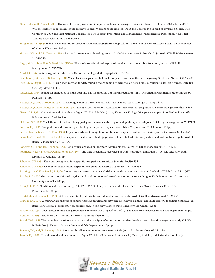- Miller, R.F. and R.J.Tausch. 2001.The role of fire in pinyon and juniper woodlands: a descriptive analysis. Pages 15-30 in K.E.M. Galley and T.P. Wilson (editors). Proceedings of the Invasive Species Workshop: the Role of Fire in the Control and Spread of Invasive Species. Fire Conference 2000: the First National Congress on Fire Ecology, Prevention, and Management. Miscellaneous Publication No.11,Tall Timbers Research Station,Tallahassee, FL.
- Morgantini, L.E. 1979. Habitat selection and resource division among bighorn sheep, elk, and mule deer in western Alberta. M.S.Thesis. University of Alberta, Edmonton. 187 pp.
- Morton, G.H. and L.E. Cheatum. 1946. Regional differences in breeding potential of white-tailed deer in New York. Journal of Wildlife Management 10:242-248
- Nagy, J.G. Steinhoff H.W. & Ward G.M. (1964) Effects of essential oils of sagebrush on deer rumen microbial function. Journal of Wildlife Management 28:785-790

Nord, E.C. 1965.Autecology of bitterbrush in California. Ecological Monographs 35:307-334.

Oedekoven, O.O., and F.G. Lindzey. 1987. Winter habitat-use patterns of elk, mule deer, and moose in southwestern Wyoming. Great Basin Naturalist 47:638-643. Park B.C. & Day B.B. (1942) A simplified method for determining the condition of white-tailed deer herds in relation to available forage.Tech. Bull. U.S. Dep.Agric. 840.60.

Parker, K.L. 1983. Ecological energetics of mule deer and elk: locomotion and thermoregulation. Ph.D. Dissertation.Washington State University, Pullman. 141pp.

Parker, K.L., and C.T. Robbins. 1984.Thermoregulation in mule deer and elk. Canadian Journal of Zoology 62:1409-1422.

Parker, K.L., C.T. Robbins, and T.A. Hanley. 1984. Energy expenditures for locomotion by mule deer and elk.Journal of Wildlife Management 48:474-488.

Pianka, E.R. 1991. Competition and niche theory. Pages 167-196 in R.M. May (editor). Theoretical Ecology, Principles and Applications. Blackwell Scientific Publications, Oxford, England.

Pickford, G.D. 1932.The influence of continued heavy grazing and promiscuous burning on spring-fall ranges in Utah.Journal of Range Management 7:117121 Putnam, R.J. 1996. Competition and resource partitioning in temperate ungulate assemblies. Chapman and Hall, London. 131pp.

Reichenberger, G. and D.A. Pyke. 1990. Impact of early root competition on fitness components of four semiarid species. Oecologia 85:159-166.

Reynolds,T.D. and C.H.Trost.1980.The response of native vertebrate populations to crested wheatgrass planting and grazing by sheep. Journal of Range Management 33:122-125.

Robertson, J.H. and P.B. Kennedy. 1954. Half century changes on northern Nevada ranges. Journal of Range Management 7:117-121.

- Robinette,W.L.; Hancock, N.V.; and Jones, D.A. 1977.The Oak Creek mule deer herd in Utah. Resource Publication 77-15. Salt Lake City: Utah Division of Wildlife. 148 pp.
- Schoener,T.W. 1982.The controversy over interspecific competition.American Scientist 70:586-595.

Schoener,T.W. 1983. Field experiments on interspecific competition.American Naturalist 122:240-285.

Severinghaus C.W. & Tanck J.E. 1964. Productivity and growth of white-tailed deer from the Adirondack region of New York.N.Y.Fish Game J.11,13-27.

- Sheehy, D.P. 1987. Grazing relationships of elk, deer, and cattle on seasonal rangelands in northeastern Oregon. Ph.D. Dissertation. Oregon State University, Corvallis. 283 pp.
- Short, H.L. 1981. Nutrition and metabolism. pp 99-127 in O.C.Wallmo, ed., mule and black-tailed deer of North America. Univ. Nebr. Press, Lincoln. 605 pp

Short, H.L. and Reagor, J.C. 1970. Cell wall digestibility affects forage value of woody twigs. Journal of Wildlife Management 34:964-67.

Sivinski, R.C. 1979.A multivariate analysis of summer habitat partitioning between elk (Cervus elaphus) and mule deer (Odocoileus hemionus) in Bandelier National Monument, New Mexico. M.S.Thesis. New Mexico State University, Las Cruces. 42 pp.

Snyder,W.A. 1959. Deer harvest information.Job Completion Report,P-R W-75-R-6, WP 14,J 3.Santa Fe:New Mexico Game and Fish Department.14 pp. Steinhoff, H. 1957.The buck with 2 points. Colorado Outdoors 6 (5):28-29.

Swank,W.G. 1958.The mule deer in Arizona chaparral and an analysis of other important deer herds:A research and management study.Wildlife Bulletin No. 3. Phoenix:Arizona Game and fish Department. 109 pp.

Sweeny, J.M., and J.R. Sweeny. 1984. Snow depth influencing winter movements of elk. Journal of Mammalogy 65:524-526. Tausch, R.J. 1999. Historic woodland development. Pages 12-19 in S.B. Monsen, R. Stevens, R.J.Tausch, R. Miller, and S. Goodrich (editors).

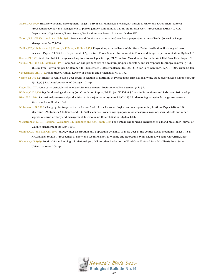- Tausch, R.J. 1999. Historic woodland development. Pages 12-19 in S.B. Monsen, R. Stevens, R.J.Tausch, R. Miller, and S. Goodrich (editors). Proceedings: ecology and management of pinyon-juniper communities within the Interior West. Proceedings RMRS-P-9, U.S. Department of Agriculture, Forest Service, Rocky Mountain Research Station, Ogden, UT
- Tausch, R.J., N.E.West, and A.A. Nabi. 1981.Tree age and dominance patterns in Great Basin pinyon-juniper woodlands. Journal of Range Management 34:259-264
- Tueller, P.T., C.D. Beeson, R.J.Tausch, N.E.West, K.H. Rea. 1979. Pinyon-juniper woodlands of the Great Basin: distribution, flora, vegetal cover. Research Paper INT-229, U.S. Department of Agriculture, Forest Service, Intermountain Forest and Range Experiment Station, Ogden, UT.
- Urness, P.J. 1976. Mule deer habitat changes resulting from livestock practices.pp.21-35.In:Proc.Mule deer decline in the West.Utah State Univ.,Logan,UT.
- Vaitkus, M.R. and L.E. Eddleman. 1987. Composition and productivity of a western juniper understory and its response to canopy removal. p.456- 460. In: Proc, Pinyon-Juniper Conference, R.L. Everett (ed), Inter. For. Range Res. Sta. USDA-For. Serv. Gen.Tech. Rep. INT-215. Ogden, Utah.
- Vandermeer, J.H. 1972. Niche theory.Annual Review of Ecology and Systematics 3:107-132.
- Verme, L.J. 1962. Mortality of white-tailed deer fawns in relation to nutrition. In Proceedings: First national white-tailed deer disease symposium, pp 15-28, 37-38.Athens: University of Georgia. 202 pp.
- Vogle, J.R. 1979. Some basic principles of grassland fire management. EnvironmentalManagement 3:51-57.
- Wallmo, O.C. 1960. Big Bend ecological survey. Job Completion Report, P-R Project W-57-R-8, J 0.Austin:Texas Game and Fish commission. 43 pp.
- West, N.E. 1984. Successional patterns and productivity of pinyon-juniper ecosystems. P. 1301-1332. In: developing strategies for range management. Westview Press, Boulder, Colo.
- Whisenant, S.G. 1990. Changing fire frequencies on Idaho's Snake River Plains: ecological and management implications. Pages 4-10 in E.D. Mcarthur, E.M. Romney, S.D. Smith, and P.R.Tueller, editors. Proceedings-symposium on cheatgrass invasion, shrub die-off, and other aspects of shrub ecoloby and management. Intemountain Reserch Station, Ogden, Utah.
- Wickstrom, M.L., C.T. Robbins,T.A. Hanley, D.E. Spalinger, and S.M. Parish.1984.Food intake and foraging energetics of elk and mule deer. Journal of Wildlife Management 48:1285-1301.
- Wallmo, O.C., and R.B. Gill. 1971. Snow, winter distribution and population dynamics of mule deer in the central Rocky Mountains. Pages 1-15 in A.O. Haugen (editor). Proceedings of Snow and Ice in Relation to Wildlife and Recreation Symposium. Iowa State University,Ames.
- Wydeven,A.P. 1979. Food habits and ecological relationships of elk to other herbivores in Wind Cave National Park. M.S.Thesis. Iowa State University,Ames. 208 pp.

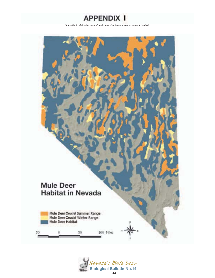

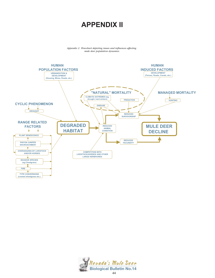# **APPENDIX II**

*Appendix 2. Flowchart depicting issues and influences affecting mule deer population dynamics.*



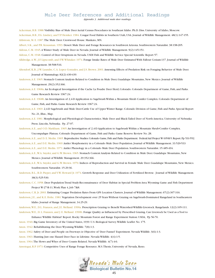## Mule Deer References and Additional Readings

*Appendix 3. Additional mule deer readings.*

Ackerman, B.B. 1988.Visibility Bias of Mule Deer Aerial Census Procedures in Southeast Idaho. Ph.D. Diss. University of Idaho, Moscow. Ackerman, B.B., F.G. Lindzey, and T.P. Hemker. 1984. Cougar Food Habits in Southern Utah, USA. Journal of Wildlife Management. 48(1):147-155. Ahlstrom, M. E. 1987.The Mule Deer. Crestwood House. Mankato, MN.

Albert, S.K., and P.R. Krausman. 1993. Desert Mule Deer and Forage Resources in Southwest Arizona. Southwestern Naturalist. 38:198-205.

Aldous, C.M. 1945.A Winter Study of Mule Deer in Nevada. Journal of Wildlife Management. 9(2):145-151.

Aldous, C.M. 1948. Control of Deer Irruptions in Nevada. USDI Fish and Wildlife Service Special Scientific Report 57.

- Alldredge,A.W., J.F. Lipscomb, and F.W.Whitaker. 1974. Forage Intake Rates of Mule Deer Estimated With Fallout Cesium-137. Journal of Wildlife Management. 38:508-516.
- Altendorf, K.B., J.W. Laundre, C.A. Lopez Gonzales, and J.S. Brown. 2001.Assessing Effects of Predation Risk on Foraging Behavior of Mule Deer. Journal of Mammalogy. 82(2):430-439.

Anderson,A.E. 1965. Stomach Content Analysis Related to Condition in Mule Deer, Guadalupe Mountains, New Mexico. Journal of Wildlife Management. 29(2):352-366.

Anderson,A.E. 1968a.An Ecological Investigation if the Cache La Poudre Deer Herd, Colorado. Colorado Department of Game, Fish, and Parks. Game Research Review 1967:24.

Anderson,A.E. 1968b.An Investigation of 2,4-D Application to Sagebrush Within a Mountain Shrub Conifer Complex. Colorado Department of Game, Fish, and Parks. Game Research Review 1967:24.

- Anderson,A.E. 1969. 2,4-D Sagebrush and Mule Deer-Cattle Use of Upper Winter Range. Colorado Division of Game, Fish and Parks. Special Report No. 21, Illus., Map.
- Anderson,A.E. 1981. Morphological and Physiological Characteristics. Mule Deer and Black-Tailed Deer of North America. University of Nebraska Press. Lincoln, Nebraska. Pp. 27-97.

Anderson,A.E., and O.D. Markham. 1965.An Investigation of 2,4-D Application to Sagebrush Within a Mountain Shrub-Conifer Complex.

Uncompahgre Plateau. Colorado Department of Game, Fish and Parks. Game Reserve Review No. 28.

Anderson,A.E., and D. E. Medin. 1965. Reproductive Studies.Colorado Game,Fish and Parks Department. Federal Aid Project W-105-R-5.Report.Pp 531-552.

Anderson,A.E., and D.E. Medin. 1969.Antler Morphometry in a Colorado Mule Deer Population. Journal of Wildlife Management. 33:520-533

Anderson,A.E., and D.E. Medin. 1971.Antler Phenology in a Colorado Mule Deer Population. Southwestern Naturalist. 15:485-494.

- Anderson,A.E.,W.A. Snyder, and G.W. Brown. 1965. Stomach Content Analysis Related to Condition in Mule Deer. Guadalupe Mountains, New Mexico. Journal of Wildlife Management. 29:352-366.
- Anderson,A.E.,W.A. Snyder, and G.W. Brown. 1970. Indices of Reproduction and Survival in Female Mule Deer. Guadalupe Mountains, New Mexico. Southwestern Naturalist. 15:29-36.
- Anderson, B.L., R.D. Pieper, and V.W. Howard Jr. 1974. Growth Response and Deer Utilization of Fertilized Browse. Journal of Wildlife Management. 38(3):525-530.
- Anderson, C.C. 1958. Deer Population Trend Study-Reconnaissance of Deer Habitat in Special Problem Area.Wyoming Game and Fish Department Project W-27-R-11,Work Plan 4, Job 7&8.
- Anderson, C.R. Jr. 2003. Estimating Cougar Predation Rates From GPS Location Clusters. Journal of Wildlife Management. 67(2):307-316.
- Anderson, J.E., and K.E. Holte. 1981.Vegetation Development over 25 Years Without Grazing on Sagebrush-Dominated Rangeland in Southeastern Idaho. Journal of Range Management. 34:25-29.

Anderson,W.E., D.L. Franzen, and J.E. Melland. 1990a. Prescription Grazing to Benefit Watershed-Wildlife-Livestock. Rangelands. 12(2):105-111. Anderson,W.E., D. L. Franzen, and J. E. Melland. 1990b. Forage Quality as Influenced by Prescribed Grazing. Can Livestock be Used as a Tool to

Enhance Wildlife Habitat? Report. Rocky Mountain Forest and Range Experiment Station: USDA, Pp 56-70.

Anon. 1940. Big Game Inventory of the United States, 1939. U.S. Biological Survey.Wildlife Leaflet No. 175.

Anon. 1942. Rehabilitating the Deer.Wyoming Wildlife. 7(8):1-3.

Anon. 1962. Safety of Deer and People on Freeways is Objective of 'Deer Funnel' Experiment. Nevada Wildlife. 3(6):1-3.

Anon. 1963. Hunting Just one Hazard Deer Face in Lifetime. Nevada Wildlife. 4(4):1-5.

Anon. 1964.The Hows and Whys of Deer Counts Related. Nevada Wildlife. 4(7):4-6.

Ansotegui, R.P. 1973. Competitive Uses of Range Forage Resource. M.S.Thesis, University of Nevada, Reno.

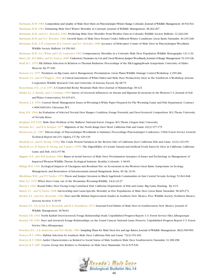Bartmann, R.M. 1983. Composition and Quality of Mule Deer Diets on Pinyon-Juniper Winter Range, Colorado. Journal of Wildlife Management. 36:534-541. Bartmann, R.M. 1984. Estimating Mule Deer Winter Mortality in Colorado. Journal of Wildlife Management. 48:262-267.

Bartmann, R.M., and D.C. Bowden. 1984. Predicting Mule Deer Mortality From Weather Data in Colorado.Wildlife Society Bulletin. 12:246-248. Bartmann, R.M. and D.C. Bowden. 1986. Growth Rates of Mule Deer Fetuses Under Different Winter Conditions. Great Basin Naturalist. 46:245-248. Bartmann, R.M., L.H. Carpenter, R.A. Garrott, and D.C. Bowden. 1986.Accuracy of Helicopter Counts of Mule Deer in Pinyon-Juniper Woodland.

#### Wildlife Society Bulletin. 14:356-363.

Bartmann, R.M., G.C. White and L.H. Carpenter. 1992. Compensatory Mortality in a Colorado Mule Deer Population. Wildlife Monographs. 121:1-39. Bates, J.D., R.F. Miller, and T.J. Svejcar. 2000. Understory Dynamics in Cut and Uncut Western Juniper Woodlands. Journal of Range Management. 53:119-126.

Beall, R.C. 1976. Elk Habitat Selection in Relation to Thermal Radiation. Proceedings of the Elk-Logging-Roads Symposium. University of Idaho, Moscow. Pp 97-100.

Beasom, S.L. 1979. Predation on Big Game and it Management. Proclamation- Great Plains Wildlife Damage Control Workshop. 4:259-266.

Beasom, S.L., and E.P.Wiggers. 1984.A Critical Assessment of White-Tailed and Mule Deer Productivity. Deer in the Southwest:A Workshop.Arizona Cooperative Wildlife Research Unit and University of Arizona,Tucson. Pp 68-79.

Beauchamp, D.E., et al. 1957.A Cryptorchid Rocky Mountain Mule Deer. Journal of Mammology. 38:423.

Belsky,A.J.,A. Matzke, and S. Uselman. 1999. Survey of Livestock Influences on Stream and Riparian Ecosystems in the Western U.S. Journal of Soil and Water Conservation. 54:419-431.

- Bennett, L.E. 1999. Current Shrub Management Issues in Wyoming-A White Paper Prepared for The Wyoming Game and Fish Department. Contract # 06SC0403104. Cheyenne,WY.
- Berg, R.H. 1966.An Evaluation of Selected Nevada Deer Ranges: Condition, Forage Potential, and Deer-Livestock Competition. M.S.Thesis, University of Nevada, Reno.

Berghuis, D.P. 1939. Mule Deer Problem of the Malheur National Forest, Oregon. M.S.Thesis, Oregon State University.

Bertram, R.C., and R.D. Rempel. 1977. Migration of the North Kings Deer Herd. California Fish and Game. 63(3):157-179.

- Betancourt, J.L. 1987. Paleoecology of Pinyon-Juniper Woodlands:A Summary. Proceedings: Pinyon-Juniper Conference. USDA Forest Service General Technical Report Int-215. Ogden, UT. Pp 129-139.
- Bischoff,A.I., and H. Strong. 1955a.The Crude Protein Variation in the Browse Diet of California Deer. California Fish and Game. 41(2):145-155.
- Bischoff,A.I., B. Harris, H. Strong, and F. James. 1955b. The Digestibility of Certain Natural and Artificial Foods Eaten by Deer in California. California Game and Fish. 41(1):57-58.
- Biggins, D.E., and M.R. Jackson. 1984. Biases in Aerial Surveys of Mule Deer. Proclamation Synopses of Issues and Technology in Management of Impacted Western Wildlife.Thorne Ecological Institute. Boulder, Colorado. 1: 60-65.
- Billngs,W.D. 1994. Ecological Impacts of Cheatgrass and Resultant Fire on Ecosystems in the Western Great Basin. Symposium on Ecology, Management, and Restoration of Intermountain Annual Rangelands. Boise, ID. Pp 22-30.
- Blackburn, W.H., and P.T.Tueller. 1970. Pinon and Juniper Invasion in Black Sagebrush Communities in East Central Nevada. Ecology. 51:841-848. Blair, N.L. 1970.When Deer Come out of the Mountains.Wyoming Wildlife. 34(2):22-27.

Bleich,V. 1992. Round Valley Deer Facing Long Comeback Trail. California Department of Fish and Game. Big Game Hunting. Pp 9-15.

Bleich,V.C., and T.J.Taylor. 1998. Survivorship and Cause-Specific Mortality in Five Populations of Mule Deer. Great Basin Naturalist. 58:265-272.

- Boeker, E.L., and H.G. Reynolds. 1966. Deer and Elk Habitat Improvement Studies in Southern New Mexico. Proc.Wildlife Society, Northern Mexico-Arizona Section. 5:29-35.
- Boeker, E.L.,V.E. Scott, H.G. Reynolds, and B.A. Donaldson. 1972. Seasonal Food Habits of Mule Deer in Southwestern New Mexico. Journal of Wildlife Management. 36:56-63.
- Bostick,V.B. 1949. North Kaibab Deer-Livestock Forage Relationship Study. Unpublished Progress Report. U.S. Forest Service Files,Albuquerque.
- Bostick,V.B. 1950. Deer and Livestock Forage Relationships on the Grand Canyon National Game Preserve. Unpublished Progress Report U.S. Forest Service Files,Albuquerque.
- Bowden, D.C.,A.E.Anderson, and D.E. Medin. 1984. Sampling Plans for Mule Deer Sex and Age Ratios. Journal of Wildlife Management. 48(2):500-509. Bowyer, R.T. 1986a. Habitat Selection by Southern Mule Deer. California Fish and Game. 72(3):153-169.
- Bowyer, R.T. 1986b.Antler Characteristics as Related to Social Status of Male Southern Mule Deer. Southwestern Naturalist. 31:289-298. Bowyer, R.T. 1987. Coyote Group Size Relative to Predation on Mule Deer. Mammalia. 51(4):515-526.

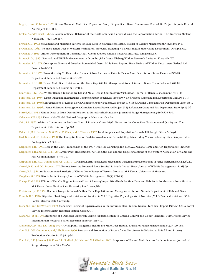- Bright, L., and C.Trainer. 1970. Steens Mountain Mule Deer Population Study. Oregon State Game Commission Federal Aid Project Reports. Federal Aid Project W-64-R-1.
- Brokx, P., and V. Geist. 1967.A Review of Social Behavior of the North American Cervids during the Reproduction Period. The American Midland Naturalist. 77(2):390-417.
- Brown, C.G. 1992. Movement and Migration Patterns of Mule Deer in Southeastern Idaho. Journal of Wildlife Management. 56(2):246-253.
- Brown, E.R. 1961.The Black-Tailed Deer of Western Washington. Biological Bulleting # 13.Washington State Game Department, Olympia,WA.

Brown, R.D. 1983. Antler Development in Cervidae. (Ed.) Caesar Kleberg Wildlife Research Institute. Kingsville,TX.

- Brown, R.D., 1985. Livestock and Wildlife Management in Drought. (Ed.) Caesar Kleberg Wildlife Research Institute. Kingsville,TX.
- Brownlee, S.L. 1971. Conception Rates and Breeding Potential of Desert Mule Deer. Report. Texas Parks and Wildlife Department Federal Aid Project E-48-D-21.
- Brownlee, S.L. 1976. Fawn Mortality:To Determine Causes of Low Increment Rates in Desert Mule Deer. Report.Texas Parks and Wildlife Department Federal Aid Project W-48-D-25.
- Brownlee, S.L. 1981. Desert Mule Deer Nutrition on the Black Gap Wildlife Management Area of Western Texas. Texas Parks and Wildlife Department Federal Aid Project W-109-R-3.
- Buechner, H.K. 1952.Winter Range Utilization by Elk and Mule Deer in Southeastern Washington. Journal of Range Management. 5:76-80. Bumstead, R.S. 1955. Range Utilization Investigations.Complete Report Federal Aid Project W-53-R-6.Arizona Game and Fish Department Litho.Pp 11-17 Bumstead, R.S. 1956a. Investigations of Kaibab North. Complete Report Federal Aid Project W-53-R-6.Arizona Game and Fish Department Litho. Pp 7. Bumstead, R.S. 1956b. Range Utilization Investigations.Complete Report Federal Aid Project W-53-R-6.Arizona Game and Fish Department Litho.Pp 19-24. Burrell, G.C. 1982.Winter Diets of Mule Deer in Relation to Bitterbrush Abundance. Journal of Range Management. 35(4):508-510. Cahalane,V.H. 1939. Deer of the World. National Geographic Magazine. October.
- Cain, S.A. 1972.Advisory Committee on Predator Control. Predator Control-1971-Report to the Council on Environmental Quality and The Department of the Interior. Pp 207.

Calder, R., B.R. Passmore, N.W. Pirie, C. Clark, and B.Thomas. 1962. Food Supplies and Population Growth. Edinburgh: Oliver & Boyd.

- Carl, G.R. and C.T. Robbins. 1988.The Energetic Cost of Predator Avoidance in Neonatal Ungulates Hiding Versus Following. Canadian Journal of Zoology. 66(1):239-246.
- Carpenter, L.H. 1997. Deer in the West. Proceedings of the 1997 Deer/Elk Workshop, Rio Rico,AZ.Arizona Game and Fish Department, Phoenix. Carpenter, L.H. and R.B. Gill. 1987.Antler Point Regulations:The Good, the Bad and the Ugly.Transactions of the Western Association of Game and Fish Commissioners. 67:94-107.
- Carpenter, L.H., O.C.Wallmo and R.B. Gill. 1979. Forage Diversity and Dietary Selection by Wintering Mule Deer.Journal of Range Management.32:226-229. Carroll, B.K., and D.L. Brown. 1979. Factors Affecting Neonatal Fawn Survival in South-Central Texas. Journal of Wildlife Management. 41:63-69.
- Carter, R.L. 1951.An Environmental Analysis of Winter Game Range in Western Montana. M.S.Thesis, University of Montana.
- Caughley, G. 1974. Bias in Aerial Surveys. Journal of Wildlife Management. 38(4):921-933.
- Cheap, K.M. 1983. Effects of Two-Cabling on Seasonal Use of Pinyon-Juniper Woodlands by Mule Deer and Rabbits in Southeastern New Mexico. M.S.Thesis. New Mexico State University, Las Cruces, NM.
- Christensen, G.C. 1976. Recent Changes in Nevada's Mule Deer Populations and Management. Report. Nevada Department of Fish and Game.
- Church, D.C. 1976. Digestive Physiology and Nutrition of Ruminants:Vol. 1 Digestive Physiology,Vol. 2 Nutrition,Vol. 3 Practical Nutrition. O&B Books. Oregon State University.
- Clary,W.P., and B.F.Webster. 1989. Managing Grazing of Riparian Areas in the Intermountain Region. General Technical Report INT-263 USDA Forest Service Intermountain Research Station. Ogden, UT.
- Clary,W.P., et al. 1996. Response of a Depleted Sagebrush Steppe Riparian System to Grazing Control and Woody Plantings. USDA Forest Service Intermountain Research Station Research Paper INT-RP-492.
- Clements, C.D., and J.A.Young. 1997.A Viewpoint: Rangeland Health and Mule Deer Habitat. Journal of Range Management. 50(2):129-138.
- Coe, M.J., D.H. Cummings, and J. Phillipson. 1976. Biomass and Production of Large African Herbivores in Relation to Rainfall and Primary Production. Oecologia. 22:341-354.
- Coe, P.K., B.K. Johnson, J.W. Kern, S.L. Findholt, J.G. Kie, and M.J.Wisdom. 2001. Responses of Elk and Mule Deer to Cattle in Summer. Journal of Range Management. 54:A51-A76.

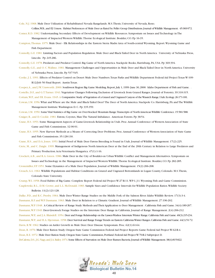Cole, N.J. 1968. Mule Deer Utilization of Rehabilitated Nevada Rangelands. M.S.Thesis, University of Nevada, Reno.

Collins,W.B.,and P.J.Urness. Habitat Preferences of Mule Deer as Rated by Pellet Group Distributions.Journal of Wildlife Management. 45:969-972. Comer, R.D. 1982.Understanding Secondary Effects of Development on Wildlife Resources. Symposium on Issues and Technology in The

Management of Impacted Western Wildlife.Thorne Ecological Institute. Boulder, CO. Pp 16-35.

- Compton,Thomas. 1975. Mule Deer Elk Relationships in the Eastern Sierra Madre Area of South-central Wyoming. Report.Wyoming Game and Fish Department.
- Connolly, G.E. 1981. Limiting Factors and Population Regulation. Mule Deer and Black-Tailed Deer in North America. University of Nebraska Press, Lincoln. Pp 245-286.
- Connolly, G.E. 1978. Predators and Predator Control. Big Game of North America. Stackpole Books, Harrisburg, PA, USA. Pp 369-394.
- Connolly, G.E., and O. C.Wallmo. 1981. Management Challenges and Opportunities in Mule Deer and Black-Tailed Deer in North America. University of Nebraska Press, Lincoln. Pp 537-545.
- Cooke, J. L. 1991. Effects of Predator Control on Desert Mule Deer Numbers.Texas Parks and Wildlife Department Federal Aid Project Texas W-109- R12/Job 50 Final Report. Austin Texas.

Cooper,A., and J.W. Unsworth. 2000. Southwest Region Big Game Modeling.Report,July 1,1999- June 30,2000. Idaho Department of Fish and Game. .

Costello, D.F., and G.T.Turner. 1941.Vegetation Changes Following Exclusion of Livestock from Grazed Ranges. Journal of Forestry. 39:310-315.

Cottam,W.P., and F.R. Evans. 1945.A Comparative Study of Vegetation of a Grazed and Ungrazed Canyon of the Wasatch Range,Utah.Ecology.26:171-181.

- Cowan, I.M. 1956.What and Where are the Mule and Black-Tailed Deer? The Deer of North America. Stackpole Co. Harrisburg, PA and The Wildlife Management Institute.Washington D. C. Pp 335-359.
- Cowan, I.M. 1950. Some Vital Statistics of Big Game on Over-Stocked Mountain Range.Transcripts of North American Wildlife Conference.15:581-588. Craiger, R., and D. Cockle. 1981. Fawns, Coyotes, Man:The Natural Imbalance. American Forests. Pp 38-54.
- Crane, H.S. 1953. Some Management Aspects of Game-Livestock Relationship in Utah. Proc.Annual Conference of Western Association of State Game and Fish Commissions. 32:90-91.
- Crane, H.S. 1955. New Harvest Methods as a Means of Correcting Deer Problems. Proc.Annual Conference of Western Association of State Game and Fish Commissions. 35:128-130.
- Crane, H.S., and D.A. Jones. 1953. Initial Proof of Mule Deer Fawns Breeding is Found in Utah. Journal of Wildlife Management. 17(2):225.
- Crete, M., and C. Daigle. 1999. Management of Indigenous North American Deer at the End of the 20th Century in Relation to Large Predators and Primary Production.Acta Veterinaria Hungarica. 47(1):1-16.

Crockett,A.B., and R.A. Green. 1986. Mule Deer in the City of Boulder-on Urban Wildlife Conflict and Management Alternatives. Symposium on

- Issues and Technology in the Management of Impacted Western Wildlife.Thorne Ecological Institute. Boulder, CO. Pp 282-285. Cronemiller, F.P. 1951. Some Dynamics of a Mule Deer Population. Journal of Wildlife Management. 15(2):206-208.
- Crouch, G.L. 1961.Wildlife Populations and Habitat Conditions on Grazed and Ungrazed Bottomlands in Logan County, Colorado. M.S.Thesis, Colorado State University.
- Crump,W.I. 1958. Food Habits of Big Game. Complete Report Federal Aid Project W-27-R-11.WP-1, J-1.Wyoming Fish and Game Commission. Czaplewski, R.L., D.M. Crowe, and L.L. McDonald. 1983. Sample Sizes and Confidence Intervals for Wildlife Population Ratios.Wildlife Society

Bulletin. 11(2):121-128.

Dalke, P.D., and R.C. Presby. 1964. Mule Deer Winter Range Studies on the Middle Fork of the Salmon River. Idaho Wildlife Review. 17(3):3-4. Dasmann, R.F. and W.P. Dasmann. 1963. Mule Deer in Relation to a Climatic Gradient. Journal of Wildlife Management. 27:196-202.

Dasmann,W.P. 1948. A Critical Review of Range Study Methods and Their Application to Deer Management . California Fish and Game. 34(4):189-207. Dasmann,W.P. 1949. Deer-Livestock Forage Studies on the Interstate Deer Range in California. Journal of Range Management. 2(4):206-212.

Dasmann,W.P,. and J.A. Blaisdell. 1954. Deer and Forage Relationship on the Lassen-Washoe Interstate Winter Range.California Fish and Game.40(3):215-234. Dasmann,W.P., and H.A. Hjersman. 1958.Deer Survival and Range Forage Trends on Eastern California Winter Ranges.California Fish and Game.44(1):51-72. Davis, R.W. 1962. Studies on Antler Growth in Mule Deer. Deer Disease Symposium. Proc. 62(1):61-64.

Dean, R. 1970. Mule Deer Ration Study. Oregon State Game Commission Federal Aid Project Reports Game Federal Aid Project W-62-R-4.

Dean, R.E. 1972. Mule Deer Ration Study.Oregon State Game Commission,Portland.Federal Aid Project W-70-R-2 Subproject D.

DeCalesta,D.S.,J.G.Nagy,and J.A.Bailey.1974.Some Effects of Starvation on Mule Deer Rumen Bacteria.Journal of Wildlife Management.38(4):815-822.

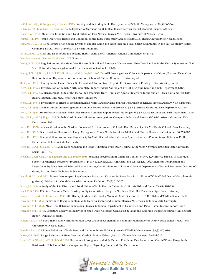DeCalesta, D.S., J.G. Nagy, and J.A. Bailey. 1975. Starving and Refeeding Mule Deer. Journal of Wildlife Management. 39(4):663-669. DeCalesta,D.S.,G.M.Ward,J.G.Nagy,and J.A.Bailey.Effect of Starvation on Mule Deer Rumen Bacteria.Journal of Animal Science.39(1):236. Deibert,W.J. 1968. Mule Deer Condition and Food Habits on Two Nevada Ranges. M.S.Thesis University of Nevada, Reno. Delmas, R.E. 1971. Mule Deer Food Habits and Condition on the Ruby-Butte Study Area (Nevada). M.S.Thesis, University of Nevada, Reno. Demarchi, D.A. 1966.The Effects of Excluding Livestock and Big Game and Live-Stock on a Seral Shrub Community in the East Kooteney, British

Columbia. B.S.A.Thesis. University of British Columbia.

De Nio, R.M. 1938. Elk and Deer Foods and Feeding Habits.Trans. North American Wildlife Conference. 3:421-427.

Deer Management Plan for California. 1975. Editorial.

- Denny, R.N. 1976. Regulations and the Mule Deer Harvest: Political and Biological Management. Mule Deer Decline in the West: a Symposium. Utah State University Logan.Agricultural Experimentation Station. Pp 85-90.
- Denny, R.N., R.J. Boyd, R.B. Gill, D.F. Gordon, and M.C. Coghill. 1965. Deer-Elk Investigations, Colorado Department of Game, Fish and Parks Game Reserve Review. Department of Conservation, School of Natural Resources, University of
- Michigan. 1962. Hunting in the United States- Its Present and Future Role. Report. U.S. Government Printing Office.Washington D.C.
- Diem, K.L. 1952a. Investigation of Kaibab North. Complete Report Federal Aid Project W-53-R-2.Arizona Game and Fish Department, Litho.
- Diem, K.L. 1952b.A Management Study of the Idaho-Utah Interstate Deer Herd,With Special Reference to the Sublett, Black Pine, and East Raft River Mountain Unit. M.S.Thesis Utah State University.

Diem, K.L. 1953a. Investigation of Effects of Predation (Kaibab North).Arizona Game and Fish Department Federal Aid Project Arizona W-53-R-3.Phoenix.

Diem, K.L. 1953b. Range Utilization Investigations. Complete Report Federal Aid Project W-53-R-3.Arizona Game and Fish Department, Litho.

Diem, K.L. 1954.Annual Rocky Mountain Mule Deer Surveys. Complete Report Federal Aid Project W-53-R-4.Arizona Game and Fish Department, Litho.

- Diem, K.L., and D.J. Illige. 1952.Kaibab North Range Utilization Investigations. Complete Federal Aid Project W-53-R-2.Arizona Game and Fish Department, Litho.
- Dietz, D.R. 1958. Seasonal Variation in the Nutritive Content of Five Southwestern Colorado Deer Browse Species.M.S.Thesis,Colorado State University.
- Dietz, D.R. 1965. Deer Nutrition Research in Range Management.Trans. North American Wildlife and Natural Resources Conference 30:274-285.
- Dietz, D.R. 1967. Chemical Composition and Digestibility by Mule Deer of Selected Forage Species, Cache LaPoudre Range, Colorado. Ph.D. Dissertation. Colorado State University.
- Dietz, D.R., and J.G. Nagy. 1976. Mule Deer Nutrition and Plant Utilization. Mule Deer Decline in the West:A Symposium. Utah State University, Logan. Pp 71-78.
- Dietz, D.R., R.H. Udall, H.R. Shepard, and L.E.Yeager. 1958. Seasonal Progression in Chemical Content of Five Key Browse Species in Colorado. Society of American Foresters Proclamation. Pp 117-122.Dietz, D.R., R.H. Udall, and L.E.Yeager. 1962. Chemical Composition and Digestibility by Mule Deer of Selected Forage Species, Cache LaPoudre, Colorado. Colorado Department of Natural Resources Division of Game, Fish and Parks Technical Publication 14.
- Ditchkoff, S.S. et al. 2001. Major-Histocompatibility-Complex Associated Variation in Secondary Sexual Traits of White-Tailed Deer (Odocoileus vir ginianus): Evidence for Good-Genes Advertisement. Evolution. 55(3):616-625.

Dixon, J.S. 1934.A Study of the Life History and Food Habits of Mule Deer in California. California Fish and Game 20(3-4):181-354. Doell, D.D. 1966. Effects of Summer Cattle Grazing on Big Game Winter Range in Northern Utah. M.S.Thesis Michigan State University.

Doman, E.R., and D.I. Rasmussen. 1943. Life History Studies of the Rocky Mountain Mule Deer in Utah. U.S.D.I. Fish and Wildlife Service. M.S.

Dorrance, M.J. 1965a. Behavior of Rocky Mountain Mule Deer on Winter and Summer Ranges. M.S.Thesis. Colorado State University.

- Dorrance, M.J. 1965b. Mule Deer Behavior on Seasonal Ranges. Colorado Department of Game, Fish and Parks. Game Reserve Report Part 5.
- Dorrance, M.J. 1967.A Literature Review on Behavior of Mule Deer. Colorado Game, Fish & Parks and Colorado Wildlife Resources Unit Special Report. Denver, Colorado.
- Doughty, L.A. 1966. Food Habits and Nutrition of Mule Deer (Odocoileus heminous heminous Rafinesque) on Four Nevada Ranges. M.S.Thesis, University of Nevada Reno.
- Doughty, L.A. 1975. Range Relations of Mule Deer and Cattle in Prairie Habitat. Journal of Wildlife Management. 39(3):605-616.
- Dusek, G.L. 1975. Range Relations of Mule Deer and Cattle in Prairie Habitat. Journal of Range Management. 28:605-616.
- Easterly,T.,A.Wood, and T. Litchfield. 1991. Response of Pronghorn and Mule Deer to Petroleum Development on Crucial Winter Range in the Rattlesnake Hills. Unpublished Completion Report,Wyoming Game and Fish Department.

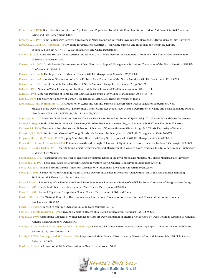Edwards,A.C. 1950. Deer Classification, Sex, and Age Ratios and Population Trend Study. Complete Report Federal Aid Project W-26-R-3.Arizona Game and Fish Department, Litho.

Edwards, A.C. 1957. Some Relationships Between Mule Deer and Alfalfa Production in Powder River Country, Montana.M.S. Thesis. Montana State University.

Edwards,A.C., and H.O. Compton. 1962.Wildlife Investigations (District 7). Big Game Surveys and Investigations Complete Report.

Federal Aid Project W-77-R-7, J-A-1. Montana Fish and Game Department.

- Eicher,T.A. 1978. Some Life History Characteristics and Habitat Use of Mule Deer in the Sacramento Mountains. M.S.Thesis. New Mexico State University. Las Cruces, NM.
- Einarsen,A.S. 1946a. Crude Protein Determination of Deer Food as an Applied Management Technique.Transcripts of the North American Wildlife Conference. 11:309-312.

Einarsen,A.S. 1946b.The Importance of Weather Data in Wildlife Management. Murrelet. 27(2):29-33.

Einarsen,A.S. 1947. Nine-Year Observation of a Deer Problem Area.Transcripts of the North American Wildlife Conference. 12:193-203.

Einarsen,A.S. 1956. Life of the Mule Deer.The Deer of North America. Stackpole, Harrisburg, PA. Pp 363-390.

Elder, J.B. 1954. Notes on Water Consumption by Desert Mule Deer. Journal of Wildlife Management. 18:540-541.

Elder, J.B. 1956.Watering Patterns of Some Desert Game Animals. Journal of Wildlife Management. 20(4):368-378.

Ellis, F.G. 1939.The Carrying Capacity of Winter Deer Ranges in Idaho. M.S.Thesis University of Idaho.

Elonowitz,A., and D. Humphreys. 1988. Precision of Aerial and Ground Surveys of Desert Mule Deer:A Validation Experiment. New

Mexico's Mule Deer Population/ Environment/ Hunt Computer Model. New Mexico Department of Game and Fish. Federal Aid Project New Mexico W-124-R-11/WkPl 5/ Job 1-4. Santa Fe, NM.

Eustace, C.D. 1971. Mule Deer Food Habits and Browse Use Study.Final Report Federal Aid Project W-130-R-1&2.J-1-7-1.Montana Fish and Game Department.

Evans,T.B. 1943.A Study of the Rocky Mountain Mule Deer,Odocoileus hemionus marcrotis (Say),in Northern Utah.M.S.Thesis.Utah State University.

Fairman, L.L. 1966. Movements, Populations, and Behavior of Deer on a Western Montana Winter Range. M.S.Thesis. University of Montana.

Ferguson, R.B. 1968. Survival and Growth of Young Bitterbrush Browsed by Deer. Journal of Wildlife Management. 32(4):769-772.

Ferguson, R.B., and J.V. Basile. 1965.Topping Stimulates Bitterbrush Twig Growth. Journal of Wildlife Management. 30(4):839-841.

Fernandez, R.J., and J.F. Reynolds. 2000. Potential Growth and Drought Tolerance of Eight Desert Grasses: Lack of a Trade-off? Oecologia. 123:90-98.

Ffolliot, P.F., and S. Gallina. 1981. Deer Biology, Habitat Requirements, and Management in Western North America. Institutio de Ecologia. Publication 9. Mexico City, Mexico.

Firebaugh, J.E. 1969. Relationship of Mule Deer to Livestock on Summer Range in the Pryor Mountains, Montana. M.S. Thesis. Montana State University. Fleischner,T.L. 1994. Ecological Costs of Livestock Grazing in Western North America. Conservation Biology. 8:629-644.

Fletch,A.L. 1970. Foot-and Mouth Disease. Infections Diseases of Wild Animals. Iowa State University Press,Ames.

Flook, D.R. 1955.A Study of Winter Foraging Habits of Mule Deer in Enclosures in Northern Utah,With a Test of the Half-and-Half Sampling Technique. M.S.Thesis. Utah State University.

Foote, L.E. 1962. Proceedings of the First National Deer Disease Symposium.Southeastern Section of the Wildlife Society.University of Georgia.Athens,Georgia.

Foree, S. 1987. Nevada Mule Deer Herd Management Plan. Nevada Department of Wildlife.

Foree, S. 1991. Livestock/Big Game Symposium Notes. Nevada Department of Fish and Game.

Fowle, C.D. 1950.The 'Natural' Control of Deer Populations. International Association of Game, Fish, and Conservation Commissioners.

Proclamation. 40:56-63.

Fowle, K.E. 1969.A Record of Multiple Ovulation in Mule Deer. Murrelet. 50:12.

Fox, K.B., and P.R. Krausman. 1994. Fawning Habitat of Desert Mule Deer. Southwestern Naturalist. 39(3):269-275.

- Freddy, D.J. 1986. Quantifying Capacity of Winter Ranges to Support Deer Evaluation of Thermal Cover Used by Deer. Colorado Division of Wildlife. Wildlife Research Report, Denver, CO.
- Freddy, D.J., D.L. Baker, R.M. Bartmann, and R.C. Kufeld. 1993. Deer and Elk Management Analysis Guide, 1992-1994. Colorado Division of Wildlife Report No. 17. Fort Collins, CO.
- Freddy, D.J.,W.M. Bronaugh, and M.C. Fowler. 1986. Responses of Mule Deer to Disturbance by Persons Afoot and Snowmobiles.Wildlife Society Bulletin. 14:63-68.
- Fowle, K. E. 1969.A Record of Multiple Observation in Mule Deer. Murrelet. 50:12.

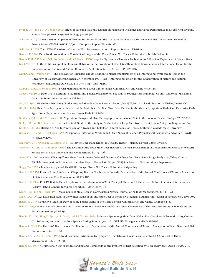- Fynn, R.W.S., and T.G. O'Connor. 2000. Effect of Stocking Rate and Rainfall on Rangeland Dynamics and Cattle Performance in a Semi-Arid Savanna, South Africa. Journal of Applied Ecology. 37:491-507.
- Galliziloi, S. 1959. Deer Carrying Capacity of Various Sub-Types Within the Chaparral Habitat.Arizona Game and Fish Department. Federal Aid Project Arizona W-78-R-3/WkPl 5/ Job 1 Complete Report. Phoenix,AZ.

Galliziloi, S. 1974.The 1972-1973 Arizona Game and Fish Department Annual Report. Research Division.

Gates, B.R. 1968. Deer Food Production in Certain Seral Stages of the Coast Forest. M.S.Thesis, University of British Columbia.

Gaufin, D.M.,A.D. Smith,W.L. Robinette, and O. Julander. 1950.Range for Big Game and Livestock.Publication No.2.Utah State Department of Fish and Game.

- Geist, V. 1974. On the Relationship of Ecology and Behavior in the Evolution of Ungulates: Theoretical Considerations. International Union for the Conservation of Nature and Natural Resources. Publication, N.S. N. 24,Vol. 1, Pp 235-246.
- Geist, V., and F. Walther. 1974. The Behavior of Ungulates and its Relation to Management; Papers of an International Symposium Held at the University of Calgary,Alberta, Canada, 2-5 November 1971 (Eds.). International Union for the Conservation of Nature and Natural Resources Publication, N.S. No. 24. 2 Vol. (941 pg.). Illus., Maps.

Gibbens, R.P.,A.M. Schultz. 1963. Brush Manipulation on a Deer Winter Range. California Fish and Game 49:95-118.

- Gilbert, W.L. 1972. Deer Use in Relation to Nutrients and Forage Availability on Six Soils in Southeastern Humboldt County, California. M.S. Thesis, California State University,Arcata, California.
- Gill, R.B. 1972. Middle Park Deer Study: Productivity and Mortality. Game Research Report, July 1972, Part 2. Colorado Division of Wildlife, Denver, CO.
- Gill, R.B. 1976. Mule Deer Management Myths and the Mule Deer Decline. Mule Deer Decline in the West:A Symposium. Utah State University, Utah Agricultural Experimentation Station, Logan, Utah. Pp 99-106.
- Goldberg, D.E., and R.M.Turner. 1986.Vegetation Change and Plant Demography in Permanent Plots in the Sonoran Desert. Ecology. 67:695-712. Golley, F.B., and H.K. Buechner. 1968.A Practical Guide to the Study of Productivity of Large Herbivores. Great Britain,Abington: Burgess and Son.
- Gordon, D.F. 1965. Relation of Age to Percentage of Nitrogen and Cellulose in Fecal Pellets of Deer. M.S.Thesis. Colorado State University.
- Grasman, B.T., and E.C. Hellgren. 1993. Phosphorus Nutrition in White-Tailed Deer: Nutrient Balance, Physiological Responses, and Antler Growth. 74(8):2279-2296.

Greenley, J., F. Groves, and D. Mathis. 1967. History of Deer Management in Nevada. Report - March. Nevada Game Division.

- Greenley, J.C., and M. Humphreys. 1964.The Decline in the 1962 Mule Deer Harvest in Nevada. Proclamation of the Annual Conference of Western Association of State Game and Fish Commissions. 44:173-176.
- Greer, K.R. 1960.Analysis of Twenty-Three Mule Deer Rumens Collected During 1958 From Fort Peck Game Range Study Area,Valley County.
- Wildlife Investigations Laboratory. Complete Report Federal Aid Project W-83-R-3. Montana Fish and Game Department.
- Gregg, P.A. 1952. Chemical Analysis of Six Wildlife Forage Plants. M.S.Thesis. University of Wyoming.
- Gruell, G.E. 1958. Results From Four Years of Trapping Deer in Northeastern Nevada. Proclamation of the Annual Conference of Western Association of State Game and Fish Commission. 38:179-183.
- Gruell, G.E. 1986. Post-1900 Mule Deer Irruptions in the Intermountain West: Principal Cause and Influences. U.S. Forest Service, Intermountain Reserve Station General Technical Report. INT 206. Ogden, UT.
- Gruell, G.E., and N.J. Papez. 1963. Movements of Mule Deer in Northeastern Nevada. Journal of Wildlife Management. 27:414-422.
- Gysel, L.W. 1960.An Ecological Study of the Winter Range of Elk and Mule Deer in the Rocky Mountain National Park. Journal of Forestry. 58(9):696-703.
- Hagen, H.L. 1953. Nutritive Value for Deer of Some Forage Plants in the Sierra Nevada. California Fish and Game. 39(2):163-175.
- Hall, J.M. 1953. Game-Livestock Relationship Studies in Arizona. Proclamation of the Annual Conference of Western Association of State Game and Fish Commissions. 32:86-89.
- Hamlin, K.L., D.J. Riley, D. Pyrah,A.R. Dood, and R.J. Mackie. 1984. Relationships Among Mule Deer (Odocoileus Heminous) Fawn Mortality, Coyote (Canis-Latrans) and Alternate Prey Species During Summer. Journal of Wildlife Management. 48(2):489-499.
- Hancock, N.V. 1964.The 1963 Deer Harvest Decline in Utah. Proclamation of the Annual Conference of Western Association of State Game and Fish Commissions. 44:181-188.
- Hanley,T.A., and K.A. Hanley. 1982. Food Resource Partitioning by Sympatric Ungulates on Great Basin Rangeland, USA. Journal of Range Management. 35(2):152-158.
- Hanley,T.A. 1997.A Nutritional View of Understanding and Complexity in the Problem of Diet Selection by Deer (Cervidae). Oikos. 79:209-218.

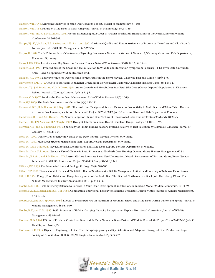Hanson,W.R. 1956.Aggressive Behavior of Mule Deer Towards Bobcat. Journal of Mammology. 37:458.

Hanson,W.R. 1958. Failure of Mule Deer to Wean Offspring. Journal of Mammology. 39(1):155.

- Hanson,W.R., and C.Y. McCulloch. 1955. Factors Influencing Mule Deer in Arizona Brushlands.Transactions of the North American Wildlife Conference. 20:568-588.
- Happe, P.J., K.J. Jenkins, E.E. Starkey, and S.H. Sharrow. 1990. Nutritional Quality and Tannin Astrigency of Browse in Clear-Cuts and Old -Growth Forests. Journal of Wildlife Management. 54:557-566.
- Harjus, H. 1989.The '4 Point or Better' Controversy.Wyoming Landowner Newsletter.Volume 4 Number 2,Wyoming Game and Fish Department, Cheyenne,Wyoming.
- Haskell, E.S. 1946. Livestock and Big Game on National Forests. Natural Wool Grower. 36(8):12-13, 52:1946.
- Haugen,A.O. 1971. Proceedings of the Snow and Ice in Relation to Wildlife and Recreation Symposium February 11-12. Iowa State University, Ames. Iowa Cooperative Wildlife Research Unit.
- Haugen, H.L. 1953. Nutritive Value for Deer of some Forage Plants in the Sierra Nevada. California Fish and Game. 39:163-175.
- Hawthorne, V.M. 1972. Coyote Food Habits in Sagehen Creek Basin, Northeastern California. California Fish and Game. 58(1):4-12.
- Hayden,T.J., J.M. Lynch and C.G. O'Corry. 1994.Antler Growth and Morphology in a Feral Sika Deer (Cervus Nippon) Population in Killarney,

Ireland. Journal of Zoology-London. 232(1):21-35.

Haynes, C.D. 1967. Food is the Key to Deer Management. Idaho Wildlife Review. 19(5):10-13.

Hays,W.J. 1869.The Mule Deer.American Naturalist. 3(4):180-181.

- Haywood, D.D., R. Miller and G.I. Day. 1987. Effects of Hunt Design and Related Factors on Productivity in Mule Deer and White-Tailed Deer in
- Arizona:A Problem Analysis Report. Federal Aid Project W-78-R,WP2, Job 30.Arizona Game and Fish Department, Phoenix.
- Henderson, R.E., and A. O'Herren. 1992.Winter Range for Elk and Deer:Victims of Uncontrolled Subdivisions? Western Wildlands. 18:20-25.

Herbel, C.H., F.N. Ares, and R.A. Wright. 1972. Drought Effects on a Semi-Desert Grassland Range. Ecology. 53:1084-1093.

- Herman,A.E., and C.T. Robbins. 1993. Specificity of Tannin-Binding Salivary Proteins Relative to Diet Selection by Mammals. Canadian Journal of Zoology. 71(3):628-633.
- Hess, M. 1997. Density Dependency in Nevada Mule Deer. Report. Nevada Division of Wildlife.
- Hess, M. 1987. Mule Deer Species Management Plan. Report. Nevada Department of Wildlife.
- Hess, M. Date Unknown. Nevada Bonanza Deforestation and Mule Deer. Report. Nevada Department of Wildlife.
- Hess, M. Date Unknown. Nevada's Use of Change-in-Ratio Estimates to Establish Deer Hunting Quotas. Game Harvest Management. 67-81.
- Hess, M., F. Smith, and S. Millazzo. 1974. Lassen-Washoe Interstate Deer Herd Delineation. Nevada Department of Fish and Game, Reno. Nevada `
- Federal Aid in Wildlife Restoration Project W-48-R-5, Study RI-B-RI, Job 1.
- Hibben, F.C. 1939. The Mountain Lion and Ecology. Ecology. 20(4):584-586.
- Hibler, C.P. 1981. Diseases In Mule Deer and Black-Tailed Deer of North America. Wildlife Management Institute and University of Nebraska Press, Lincoln.
- Hill, R.R. 1956. Forage, Food Habits, and Range Management of the Mule Deer.The Deer of North America. Stackpole, Harrisburg, PA and The Wildlife Management Institute,Washington D.C. Pp 393-414.
- Hobbs, N.T. 1989. Linking Energy Balance to Survival in Mule Deer: Development and Test of a Simulation Model.Wildlife Monogram. 101:1-39.
- Hobbs, N.T., D.L. Baker, and R.B. Gill. 1983. Comparative Nutritional Ecology of Montane Ungulates During Winter. Journal of Wildlife Management. 47(1):1-16.
- Hobbs, N.T., and R.A. Spowart. 1984. Effects of Prescribed Fire on Nutrition of Mountain Sheep and Mule Deer During Winter and Spring. Journal of Wildlife Management. 48:551-560.
- Hobbs, N.T., and D.M. 1985. Swift. Estimates of Habitat Carrying Capacity Incorporating Explicit Nutritional Constraints. Journal of Wildlife Management. 49:814-822.
- Hobson, M.D. 1990. Effects of Predator Control on Desert Mule Deer Numbers.Texas Parks and Wildlife Federal Aid Project Texas W-125-R-1/Job 50 Final Report.Austin,TX.
- Hofmann, R.R. 1985. Digestive Physiology of Deer-Their Morphophysiological Specialization and Adaption. Biology of Deer Production. Royal Society of New Zealand Bulletin 22,Wellington, New Zealand. Pp 393-407.

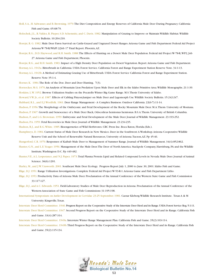- Holl, S.A., H. Salwasser, and B. Browning. 1979.The Diet Composition and Energy Reserves of California Mule Deer During Pregnancy. California Fish and Game. 65:68-79.
- Holochek, J.L., R.Valdez, R. Pieper, S.D. Schemnitz, and C. Davis. 1982. Manipulation of Grazing to Improve or Maintain Wildlife Habitat.Wildlife Society Bulletin. 10:204-210.
- Horejsi, R. G. 1982. Mule Deer Fawn Survival on Cattle-Grazed and Ungrazed Desert Ranges.Arizona Game and Fish Department Federal Aid Project Arizona W-78-R/WkPl 2/Job 17 Final Report. Phoenix,AZ.
- Horejsi, R.G., D.D. Haywood, and R.H. Smith. 1988.The Effects of Hunting on a Desert Mule Deer Population. Federal Aid Project W-78-R,WP2, Job 27.Arizona Game and Fish Department, Phoenix.
- Horejsi, R.G., and R.H. Smith. 1983. Impact of a High Density Deer Population on Desert Vegetation. Report.Arizona Game and Fish Department. Hormay,A.L. 1943a. Bitterbrush in California. USDA Forest Service. California Forest and Range Experiment Station Reserve Note. 34:1-13. Hormay,A.L. 1943b.A Method of Estimating Grazing Use of Bitterbrush. USDA Forest Service California Forest and Range Experiment Station.

Reserve Note 35:1-4.

Horner, K. 1984.The Role of the Doe. Deer and Deer Hunting. 7(3).

- Hornocker, M.G. 1970.An Analysis of Mountain Lion Predation Upon Mule Deer and Elk in the Idaho Primitive Area.Wildlife Monographs. 21:1-39. Hoskins, L.W. 1952. Browse Utilization Studies on the Pocatello Winter Big Game Range. M.S.Thesis University of Idaho.
- Howard,V.W. Jr., et al. 1987. Effects of Cabling Pinyon-Juniper on Mule Deer and Lagomorph Use.Wildlife Society Bulletin. 15:242-247.
- Hubbard, R.L., and E.J.Woolfolk. 1961. Deer Range Management A Complex Business. Outdoor California. 22(6-7):11-14.
- Hudson, P. 1956.The Morphology of the Ombryonic and Fetal Development of the Rocky Mountain Mule Deer. M.A.Thesis. University of Montana.
- Hudson, P. 1967. Growth and Senescence of a Mule Deer Buck, Odocoileus hemionus hemionus. B.S.A.Thesis. University of British Columbia.
- Hudson, P., and L.G. Browman. 1959. Embryonic and Fetal Development of the Mule Deer. Journal of Wildlife Management. 23:193-252.
- Hudson, P.A. 1959. Fetal Recoveries in Mule Deer. Journal of Wildlife Management. 23:234-235.
- Hudson, R.J., and R.G.White. 1985. Bioengernetics of Wild Herbivores. CRC Press Inc. Boca Raton, Florida.(Eds.).
- Humphreys, D. 1984. Current Status of Mule Deer Research in New Mexico. Deer in the Southwest:A Workshop.Arizona Cooperative Wildlife Reserve Unit and the School of Renewable Natural Resources, University of Arizona.Tucson,AZ. Pp 45-46.
- Hungerford, C.R. 1970. Responses of Kaibab Mule Deer to Management of Summer Range. Journal of Wildlife Management. 34(4):852-862.
- Hunter, G.N., and L.E.Yeager. 1956. Management of the Mule Deer.The Deer of North America. Stackpole Company, Harrisburg, PA and the Wildlife Institute,Washington D.C. Pp 449-482.
- Hunter,V.E.,A.L. Lesperance, and N.J. Papez. 1973.Total Plasma Protein Lipid and Related Compound Levels in Nevada Mule Deer. Journal of Animal Science. 36(6):1201.
- Hurley, M., and J.W. Unsworth. 2001. Southeast Mule Deer Ecology. Progress Report July 1, 2000 to June 30, 2001. Idaho Fish and Game.
- Illige, D.J. 1951. Range Utilization Investigations. Complete Federal Aid Project W-53-R-1.Arizona Game and Fish Department Litho.
- Illige, D.J. 1953. Productivity Data of Arizona Mule Deer. Proclamation of the Annual Conference of the Western State Game and Fish Commission 33:117-127.
- Illige, D.J., and A.C. Edwards. 1951. Field-Laboratory Studies of Mule Deer Reproduction in Arizona. Proclamation of the Annual Conference of the Western Association of State Game and Fish Commissions 31:195-198.
- International Symposium on Antler Development in Cervidae 23-25 September. 1981. Caesar Kleberg Wildlife Research Institute. Texas A & M University. Kingsville,Texas.
- Interstate Deer Herd Committee. 1946. Progress Report on the Cooperative Study of the Interstate Deer Herd and its Range. USDA Forest Service Reg. 5:1-11.
- Interstate Deer Herd Committee. 1947. Second Progress Report on the Cooperative Study of the Interstate Deer Herd and its Range. California Fish and Game. 33(4):287-314.
- Interstate Deer Herd Committee. 1949a. Interstate Winter Range Management Plan. California Fish and Game. 35(2):103-114.
- Interstate Deer Herd Committee. 1949b.Third Progress Report on the Cooperative Study of the Interstate Deer Herd and its Range. California Fish and Game. 35(2):115-134.

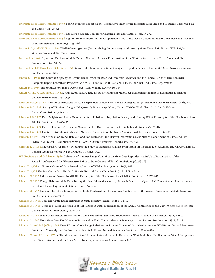- Interstate Deer Herd Committee. 1950. Fourth Progress Report on the Cooperative Study of the Interstate Deer Herd and its Range. California Fish and Game. 36(1):27-52.
- Interstate Deer Herd Committee. 1951.The Devil's Garden Deer Herd. California Fish and Game. 37(3):233-272.
- Interstate Deer Herd Committee. 1954. Eighth Progress Report on the Cooperative Study of the Devil's Garden Interstate Deer Herd and its Range. California Fish and Game. 40(3):235-266.
- Janson, R.G., and H.D. Pictor. 1961.Wildlife Investigations (District 4): Big Game Surveys and Investigations. Federal Aid Project W-74-R-6 J-A-1. Montana Game and Fish Department.
- Jantzen, R.A. 1964. Population Declines of Mule Deer in Northern Arizona. Proclamation of the Western Association of State Game and Fish Commissions. 44:158-166.
- Jantzen, R.A., L.E. Powell, and K.L. Diem. 1954. Range Utilization Investigations. Complete Report Federal Aid Project W-53-R-4.Arizona Game and Fish Department. Litho.
- Jensen, C.H. 1968.The Carrying Capacity of Certain Range Types for Deer and Domestic Livestock and the Forage Habits of These Animals. Complete Report Federal Aid Project W-65-4,9,10,11 and W-105-R-1,2,3 and 4, JA-4c. Utah Fish and Game Department.
- Jensen, D.R. 1964.The Southeastern Idaho Deer Herds. Idaho Wildlife Review. 16(4):3-7.
- Jensen,W., and W.L. Robinette. 1955.A High Reproductive Rate for Rocky Mountain Mule Deer (Odocoileus heminous heminous). Journal of Wildlife Management. 19(4):503.
- Johnson, B.K., et al. 2000. Resource Selection and Spatial Separation of Mule Deer and Elk During Spring. Journal of Wildlife Management. 64:685-697.
- Johnson, D.E. 1952. Survey of Big Game Ranges. P-R Quarterly Report (April-June). Project W-3-R-4.Work Plan No. 2 Nevada Fish and Game Commission. (mimeo.)
- Johnson, F.W. 1937. Deer Weights and Antler Measurements in Relation to Population Density and Hunting Effort. Transcripts of the North American Wildlife Conference. 2:446-457.
- Johnson, F.W. 1939. Deer Kill Records-A Guide to Management of Deer Hunting. California Fish and Game. 25(2):96-165.
- Johnson, F.W. 1943. Hunter Distribution-Studies and Methods. Transcripts of the North American Wildlife Conference. 8:392-407.
- Johnson, J.F. 1977. Deer Population Trend, Habitat Condition Evaluation, and Harvest Information. New Mexico Department of Game and Fish Federal Aid Project - New Mexico W-93-R-19/WkPl 2/Job 6 Progress Report, Santa Fe, NM.
- Johnson, K.L. 1984. Sagebrush Over Time:A Photographic Study of Rangeland Change. Symposium on the Biology of Artemisia and Chrysothamnus.

General Technical Report INT-200. Ogden, UT. Jones, D.A.,

- W.L. Robinette, and O. Julander. 1956. Influence of Summer Range Condition on Mule Deer Reproduction in Utah. Proclamation of the
	- Annual Conference of the Western Association of State Game and Fish Commissions. 36:195-199.
- Jones, F.L. 1954.An Unusual Cause of Deer Mortality. Journal of Wildlife Management. 18(1):142.
- Jones, F.L. 1955.The Inyo-Sierra Deer Herds. California Fish and Game (Deer Studies). No. 5 Final Report.
- Julander, O. 1937.Utilization of Browse by Wildlife.Transcripts of the North American Wildlife Conference. 2:276-287.
- Julander, O. 1952. Forage Habits of Mule Deer During the Late Fall as Measured by Stomach Content Analysis. USDA Forest Service Intermountain Forest and Range Experiment Station Reserve Note 2.
- Julander, O. 1953. Deer and Livestock Competition in Utah. Proclamation of the Annual Conference of the Western Association of State Game and Fish Commissions. 32:79-85.
- Julander, O. 1955a. Deer and Cattle Range Relations in Utah. Forestry Science. 1(2):130-139.
- Julander, O. 1955b. Ecology of Deer-Livestock Foot-Hill Ranges in Utah. Proclamation of the Annual Conference of the Western Association of State Game and Fish Commissions. 34:186-194.
- Julander, O. 1962. Range Management in Relation to Mule Deer Habitat and Herd Productivity. Journal of Range Management. 15:278-281.
- Julander, O. 1966. How Mule Deer Use Mountain Rangeland in Utah. Utah Academy of Science,Arts, and Letters. Proclamation. 43(2):22-28.
- Julander, O., and D.E. Jeffery. 1964. Deer, Elk, and Cattle Range Relations on Summer Range in Utah. North American Wildlife and Natural Resources Conference,Transcripts of the North American Wildlife and Natural Resources Conference. 29:404-414.
- Julander, O., and J.B. Low. 1976.A Historical Account and Present Status of the Mule Deer in the West. Mule Deer Decline in the West:A Symposium. Utah State University and the Utah Agricultural Experimentation Station. Logan, UT.

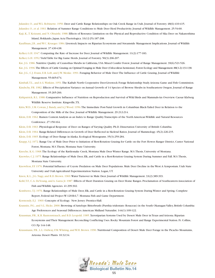Julander, O., and W.L. Robinette. 1950. Deer and Cattle Range Relationships on Oak Creek Range in Utah. Journal of Forestry. 48(6):410-415. Julander, O., et al. 1961. Relation of Summer Range Conditions to Mule Deer Herd Productivity. Journal of Wildlife Management. 25:54-60. Kaji, K.,T. Koizumi, and N. Ohtaishi. 1988. Effects of Resource Limitation on the Physical and Reproductive Condition of Sika Deer on Nakanoshima

Island, Hokkaido, Japan.Acta Theriologica. 33(12-25):187-208. Kauffman, J.B., and W.C. Krueger. 1984. Livestock Impacts on Riparian Ecosystems and Streamside Management Implications. Journal of Wildlife

#### Management. 37:430-438.

Kelker, G.H. 1947. Computing the Rate of Increase for Deer. Journal of Wildlife Management. 11(2):177-183.

Kelker, G.H. 1952.Yield Table for Big Game Herds. Journal of Forestry. 50(3):206-207.

Kie, J.G. 1986. Nutritive Quality of Ceanothus Shrubs in California, USA Mixed Conifer Forest. Journal of Range Management. 39(6):521-526.

Kie, J.G. 1996.The Effects of Cattle Grazing on Optimal Foraging in Mule Deer (Odocoileus hemionus).Forest Ecology and Management.88(1-2):131-138.

Kie, J.G., C.J. Evans, E.R. Loft, and J.W. Menke. 1991. Foraging Behavior of Mule Deer:The Influence of Cattle Grazing. Journal of Wildlife

Management. 55:665-674.

Kimball,T.L., and A.G.Watkins. 1951.The Kaibab North Cooperative Deer-Livestock Forage Relationship Study.Arizona Game and Fish Commission. Kindschy, P.R. 1982. Effects of Precipitation Variance on Annual Growth of 14 Species of Browse Shrubs in Southeastern Oregon. Journal of Range Management. 35:265-266.

- Kirkpatrick, R.L. 1988. Comparative Influence of Nutrition on Reproduction and Survival of Wild Birds and Mammals-An Overview. Caesar Kleberg Wildlife Reserve Institute. Kingsville,TX.
- Kitts, W.D., I.M. Cowan, J. Bandy, and A.J. Wood. 1956. The Immediate Post-Natal Growth in Columbian Black-Tailed Deer in Relation to the Composition of the Milk of the Doe. Journal of Wildlife Management. 29:212-214.
- Klein, D.R. 1962. Rumen Content Analysis as an Index to Range Quality.Transcripts of the North American Wildlife and Natural Resources Conference. 27:150-164.
- Klein, D.R. 1963. Physiological Response of Deer on Ranges of Varying Quality. Ph.D. Dissertation University of British Columbia.
- Klein, D.R. 1964. Range-Related Differences in Growth of Deer Reflected in Skeletal Ratios. Journal of Mammology. 45(2):226-235.
- Klein, D.R. 1965. Ecology of Deer Range in Alaska. Ecological Monograms. 35(3):259-284.
- Knapp, S.J. 1972. Range Use of Mule Deer Prior to Initiation of Rest-Rotation Grazing for Cattle on the Fort Howes Ranger District, Custer National Forest, Montana. M.S.Thesis, Montana State University.
- Knoche, K.G. 1968.The Ecology of the Rattlesnake Creek, Montana Mule Deer Winter Range. M.S.Thesis, University of Montana.
- Knowles, C.J. 1975. Range Relationships of Mule Deer, Elk, and Cattle in a Rest-Rotation Grazing System During Summer and Fall. M.S.Thesis, Montana State University.
- Knowlton, F.F. 1976. Potential Influence of Coyote Predation on Mule Deer Populations. Mule Deer Decline in the West:A Symposium. Utah State University and Utah Agricultural Experimentation Station. Logan, UT.
- Knox, K.L., J.G. Nagy, and R.D. Brown. 1969.Water Turnover in Mule Deer. Journal of Wildlife Management. 33(2):389-393.
- Kohl, T.F., C.A. DeYoung, and A. Garza Jr. 1987. Effects of Short Duration Grazing on Deer Home Ranges. Proclamation of Southeastern Association of Fish and Wildlife Agencies. 41:299-302.
- Komberec,T.J. 1976. Range Relationships of Mule Deer, Elk, and Cattle in a Rest-Rotation Grazing System During Winter and Spring. Complete Report, Federal Aid Project W-120-R-6,7. Montana Fish and Game Department.
- Kormondy, E.J. 1969. Concepts of Ecology. New Jersey: Prentice-Hall.
- Krannitz, P.G., and S.L. Hicks. 2000. Browsing of Antelope Bitterbrush (Purshia tridentate: Rosaceae) in the South Okanagan Valley, British Columbia: Age Preferences and Seasonal Differences.American Midland Naturalist. 144(1):109-122.

Krausman, P.R., K.R. Rautenstrauch, and B.D. Leopold. 1985. Xeroriparian Systems Used by Desert Mule Deer in Texas and Arizona. Riparian

Ecosystems and Their Management: Reconciling Conflicting Uses. Rocky Mountain Forest and Range Experimental Station. Ft. Collins, CO. Pp 144-148.

Krausmann, P.R., L.L. Ordway, F.M.Whiting, and W.H. Brown. 1990. Nutritional Composition of Desert Mule Deer Forage in the Picacho Mountains, Arizona. Desert Plants. 10:32-34.

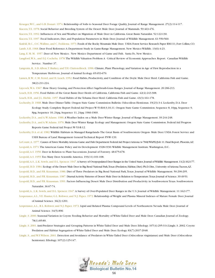Krueger,W.C., and G.B. Donart. 1974. Relationship of Soils to Seasonal Deer Forage Quality. Journal of Range Management. 27(2):114-117.

- Kucera,T.E. 1978. Social Behavior and Breeding System of the Desert Mule Deer. Journal of Mammals. 59:463-476.
- Kucera,T.E. 1992. Influences of Sex and Weather on Migration of Mule Deer in California. Great Basin Naturalist. 52:122-130.
- Kucera,T.E. 1997. Fecal Indicators, Diet, and Population Parameters in Mule Deer. Journal of Wildlife Management. 61:550-560.
- Kufeld, R.C., O.C.Wallmo, and C. Feddema. 1973. Foods of the Rocky Mountain Mule Deer. USDA Forest Service Research Paper RM-111,Fort Collins,CO.
- Lamb, S.H. 1968. Deer Food Reference:A Department Study in Game-Range Management. New Mexico Wildlife. 13(6):4-23.
- Lang, E. M. M. 1957. Deer of New Mexico. New Mexico Department of Game and Fish. Santa Fe, New Mexico.
- Langford,W.A., and D.J. Cocheba. 1978.The Wildlife Valuation Problem:A Critical Review of Economic Approaches. Report. Canadian Wildlife Service. Number 37.
- Langvatn, R., S.D. Albon, T. Burkey, and T.H. Clutton-Brock. 1996. Climate, Plant Phenology, and Variation in Age of First Reproduction in a Temperature Herbivore. Journal of Animal Ecology. 65:653-670.
- Lassen, R.W., C.M. Ferrel, and H. Leach. 1952. Food Habits, Productivity, and Condition of the Doyle Mule Deer Herd. California Fish and Game. 38(2):211-224.
- Laycock,W.A. 1967. How Heavy Grazing, and Protection Affect Sagebrush-Grass Ranges. Journal of Range Management. 20:206-213.
- Leach, H.R. 1956. Food Habits of the Great Basin Deer Herds of California. California Fish and Game. 42(4):243-308.
- Leach, H.R., and J.L. Hiehle. 1957. Food Habits of the Tehama Deer Herd. California Fish and Game. 43(3):161-178.
- Lechenby, D. 1968. Mule Deer Dinner Table. Oregon State Game Commission Bulletin. Odocoileus Hemionus. 19(23):3-4. Leckenby, D.A. Deer
	- Ecology Study. Complete Report Federal Aid Project W-53-R-8,9,10,11. Oregon State Game Commission. Sequence 8, 10pg, Sequence 9, 8pg, Sequence 10, 24pg, Sequence 11, 24pg: 1966-1969.
- Leckenby, D.A., and A.W.Adams. 1986.A Weather Index on a Mule Deer Winter Range. Journal of Range Management. 39:244-248.
- Leckenby, D.A., and A.W.Adams. 1970. Mule Deer Winter Range Ecology and Management. Oregon State Game Commission. Federal Aid Progress Reports Game Federal Aid Project W-53-R-12.
- Leckenby, D.A. et al. 1982.Wildlife Habitats in Managed Rangelands- The Great Basin of Southwestern Oregon- Mule Deer. USDA Forest Service and USDI Bureau of Land Management General Technical Report PNW-139.
- LeCount,A. 1977. Causes of Fawn Mortality.Arizona Game and Fish Department Federal Aid Project Arizona w-78-R/WkPl2/Job 11.Final Report.Phoenix,AZ. Leopold,A. 1971.The American Game Policy and its Development 1928-1930.Wildlife Management Institute.Washington, D.C.
- Leopold,A.S. 1950. Deer in Relation to Plant Successions. Journal of Forestry. 48:675-678.
- Leopold,A.S. 1955.Too Many Deer. Scientific America. 193(11):101-108.
- Leopold,A.S., L.K. Sowls, and D.L. Spencer. 1947.A Survey of Overpopulated Deer Ranges in the United States.Journal of Wildlife Management.11(2):162-177.
- Leopold, B.D. 1984. Ecology of the Desert Mule Deer in Big Bend National Park,Texas (Predation, Habitat, Diet). Ph.D. Diss., University of Arizona.Tucson,AZ.
- Leopold, B.D., and P.R. Krausman. 1986. Diet of Three Predators in Big Bend National Park,Texas. Journal of Wildlife Management. 50:290-295.
- Leopold, B.D., and P.R. Krausman. 1987. Diurnal Activity Patterns of Desert Mule Deer in Relation to Temperature.Texas Journal of Science.39:49-53.
- Leopold, B.D., and P.R. Krausman. 1991. Factors Influencing Desert Mule Deer Distribution and Productivity in Southwestern Texas. Southwestern Naturalist. 36:67-74.
- Leopold,A., L.K. Sowls, and D.L. Spencer. 1947.A Survey of Over-Populated Deer Ranges in the U.S. Journal of Wildlife Management. 11:162-177.
- Lesperance,A.L.,V.E. Hunter, G.L. Rohwer, and N.J. Papez. 1972. Relationship of Weight and Plasma Mineral Indexes of Mature Female Deer. Journal of Animal Science. 36(2):1201.
- Lesperance,A.L., R.L. Rohwer, and N.J. Papez. 1972. Lipid and Related Plasma Compound Levels of Northeastern Nevada Mule Deer. Journal of Animal Science. 34(5):896
- Lingle, S. 2000. Seasonal Variation in Coyote Feeding Behavior and Mortality of White-Tailed Deer and Mule Deer. Canadian Journal of Zoology. 78(1):85-89.
- Lingle, S. 2001.Anti-Predator Strategies and Grouping Patterns in White-Tailed Deer and Mule Deer. Ethology. 107(4):295-314.Lingle, S. 2002. Coyote Predation and Habitat Segregation of White-Tailed Deer and Mule Deer. Ecology. 83(7):2037-2048.
- Lingle, S., and W.F.Wilson. 2001. Detection and Avoidance of Predators in White-Tailed Deer (Odocoileus virginianus) and Mule Deer (Odocoileus hemionus). Ethology. 107(2):125-147.

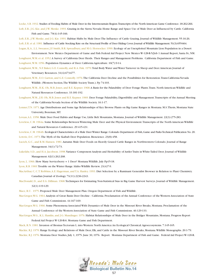Locke, S.B. 1932. Studies of Feeding Habits of Mule Deer in the Intermountain Region.Transcripts of the North American Game Conference.18:262-266.

Loft, E.R., J.G. Kie, and J.W. Menke. 1993. Grazing in the Sierra Nevada: Home Range and Space Use of Mule Deer as Influenced by Cattle. California Fish and Game. 79(4):145-166.

Loft, E.R., J.W. Menke, and J.G. Kie. 1991. Habitat Shifts by Mule Deer:The Influence of Cattle Grazing. Journal of Wildlife Management. 55:16-26. Loft, E.R. et al. 1981. Influence of Cattle Stocking Rate on the Structural Profile of Deer Hiding Cover. Journal of Wildlife Management. 51(3):655-664. Logan, K.A., L.L. Sweanor, J.F. Smith, B.R. Spreadbury, and M.G. Hornocker. 1990. Ecology of an Unexploited Mountain Lion Population in a Desert

Enviornment. New Mexico Department of Game and Fish Federal Aid Project New Mexico W-128-R-5/Job 1 Annual Report, Santa Fe, NM. Longhurst,W.M. et al. 1952.A Survey of California Deer Herds. Their Ranges and Management Problems. California Department of Fish and Game. Longhurst,W.M. 1956. Population Dynamics of Deer. California Agriculture. 10(7):9-14.

- Longhurst,W.M., N.F. Baker, G.E. Connolly, and R.A. Fisk. 1970.Total Body Water and Water Turnover in Sheep and Deer.American Journal of Veterinary Resources. 31(4):673-677.
- Longhurst,W.M., E.O. Garton, and G.E. Connolly. 1976.The California Deer Decline and the Possibilities for Restoration.Trans-California-Nevada Wildlife. (Western Section,The Wildlife Society Trans.). Pp 74-103.
- Longhurst,W.M., H.K. Oh, M.B. Jones, and R.E. Kepner. 1968.A Basis for the Palatability of Deer Forage Plants.Trans. North American Wildlife and Natural Resources Conference. 33:181-192.
- Longhurst,W.M., J.H. Oh, M.B. Jones and R.E. Kepner. 1969. Deer Forage Palatability, Digestibility and Management.Transcripts of the Annual Meeting of the California-Nevada Section of the Wildlife Society. 16:1-17.
- Lonner,T.N. 1971.Age Distributions and Some Age Relationships of Key Browse Plants on Big Game Ranges in Montana. M.S.Thesis, Montana State University, Bozeman, MT.
- Lovaas,A.L. 1958. Mule Deer Food Habits and Range Use, Little Belt Mountains, Montana. Journal of Wildlife Management. 22(3):275-283.
- Loveless, C.M. 1964a. Some Relationships Between Wintering Mule Deer and the Physical Environment.Transcripts of the North American Wildlife and Natural Resources Conference. 29:415-431.

Loveless, C.M. 1964b. Ecological Characteristics of a Mule Deer Winter Range.Colorado Department of Fish,Game and Parks Technical Publication No.20. Lowrie, D.C. 1973.The Myth of the Kaibab Deer Population. Bioscience. 23(8):458.

Lucich, G.C., and R.M. Hansen. 1981.Autumn Mule Deer Foods on Heavily Grazed Cattle Ranges in Northwestern Colorado. Journal of Range Management. 34(1):72-73.

Lukefahr, S.D., and H.A. Jacobson. 1998.Variance Component Analysis and Heritability of Antler Traits in White-Tailed Deer. Journal of Wildlife Management. 62(1):262-268.

Lyon, L. 1966. How Many Serviceberry = 1 Deer? Montana Wildlife. July Pp15-18.

Lyon, R.B. 1969.Trouble on the Winter Range. Idaho Wildlife Review. 21(4)7-9.

- MacArthur, C, C.T. Robbins,A.E. Hagerman, and T.A. Hanley. 1993. Diet Selection by a Ruminant Generalist Browser in Relation to Plant Chemistry. Canadian Journal of Zoology. 71(11):2236-2243.
- MacDonald, D., and E.G. Dillman. 1968.Techniques for Estimating Non-Statistical bias in Big Game Harvest Surveys. Journal of Wildlife Management. 32(1):119-129.
- Mace, R.U. 1975. Proposed Mule Deer Management Plan. Oregon Department of Fish and Wildlife.
- MacGregor,W.G. 1964.Analysis of Great Basin Deer Decline California. Proclamation of the Annual Conference of the Western Association of State Game and Fish Commissions. 44:167-169.
- MacGregor,W.G. 1966. Some Phenomena Associated With Dynamics of Mule Deer in the Missouri River Breaks, Montana. Proclamation of the Annual Conference of the Western Association of State Game and Fish Commissions. 46:129-133.
- MacGregor,W.G., K.L. Hamlin, and J.G. Mundinger. 1976. Habitat Relationships of Mule Deer in the Bridger Mountains, Montana. Progress Report Federal Aid Project W-120-R-6. Montana Game and Fish Department.

Mack, R.N. 1981. Invasion of Bromus Tectorum L. into Western North America:An Ecological Chronical.Agroecosystems. 7:145-165.

Mackie, R.J. 1970. Range Ecology and Relations of Mule Deer, Elk, and Cattle in the Missouri River Breaks, Montana.Wildlife Monographs. 20:1-79. Mackie, R.J. 1976. Montana Deer Studies, July 1, 1975- June 30, 1976. Report. Montana Department of Fish and Game. Federal Aid Project W-120-R.

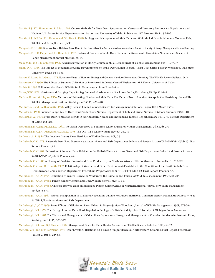Mackie, R.J., K.L. Hamlin, and D.F. Pac. 1981. Census Methods for Mule Deer. Symposium on Census and Inventory Methods for Populations and Habitats. U.S. Forest Service Experimentation Station and University of Idaho Publication 217. Moscow, ID. Pp 97-106.

Mackie, R.J., D.F. Pac, K.L. Hamlin and G.L. Dusek. 1998. Ecology and Management of Mule Deer and White-Tailed Deer in Montana. Montana Fish, Wildlife and Parks, Bozeman, MT.

Mahgoub, E.E. 1984. Seasonal Food Habits of Mule Deer in the Foothills of the Sacramento Mountains, New Mexico. Society of Range Management Annual Meeting. Mahgoub, E., R.D Pieper, and J.L. Holechek. 1985. Botanical Content of Mule Deer Diets in the Sacramento Mountains, New Mexico. Society of

Range Management Annual Meeting. 38:43.

.

Main, M.B., and B.E. Coblentz. 1996. Sexual Segregation in Rocky Mountain Mule Deer. Journal of Wildlife Management. 60(3):497-507.

Mann, D.K. 1985.The Impact of Mountain Housing Developments on Mule Deer Habitat in Utah. Third Utah Shrub Ecology Workshop. Utah State University: Logan Pp 43-51.

Martin,W.E., and R.L. Gum. 1978. Economic Value of Hunting Fishing and General Outdoor Recreation.(Reprint). The Wildlife Society Bulletin. 6(1). Martinsen, C.F. 1960.The Effects of Summer Utilization of Bitterbrush in North-Central Washington. M.S.Thesis. University of Idaho. Mathis, D. 1997. Following the Nevada Wildlife Trail. Nevada Agriculture Foundation.

Mautz,W.W. 1978. Nutrition and Carrying Capacity. Big Game of North America. Stackpole Books, Harrisburg, PA. Pp 321-348.

McCain, R., and W.P.Taylor. 1956. Methods of Estimating Numbers of Mule Deer.The Deer of North America. Stackpole Co. Harrisburg, PA and The Wildlife Management Institute,Washington D.C. Pp 431-448.

McClure, M., and J.A. Bissonette. 1996.Valley Deer in Cache County:A Search for Management Solutions. Logan, UT. 1 March 1996.

McColm, M. 1968. Summer Range-Key to Deer Herd Productivity. Nevada Department of Fish and Game. Nevada Outdoors. Summer, 1968:8-10.

McColm, M.A. 1976. Mule Deer Population Trends in Northeastern Nevada and Influencing Factors. Report, January 10, 1976. Nevada Department of Game and Fish.

McConnell, B.R., and P.D. Dalke. 1960.The Cassia Deer Herd of Southern Idaho. Journal of Wildlife Management. 24(3):265-271.

McConnell, B.R., J.A. Davis, and P.D. Dalke. 1975.The Old '1-2-3 Idaho Wildlife Review. 28(2):3-7.

McCormack, R. 1956.The Owyhee County Deer Herd. Idaho Wildlife Review. 8(5):6-9.

McCulloch, C.Y. 1978. Statewide Deer Food Preference.Arizona Game and Fish Department Federal Aid Project Arizona W-78-R/WkPl 4/Job 15. Final Report. Phoenix,AZ.

McCulloch, C.Y. 1982. Evaluation of Summer Deer Habitat on the Kaibab Plateau.Arizona Game and Fish Department Federal Aid Project Arizona W-78-R/WkPl 4/ Job 12 Phoenix,AZ.

McCulloch, C.Y. 1986.A History of Predator Control and Deer Productivity in Northern Arizona, USA. Southwestern Naturalist. 31:215-220. McCulloch, C.Y., and R.H. Smith. 1987. Relationship of Weather and Other Environmental Variables to the Condition of the North Kaibab Deer

Herd.Arizona Game and Fish Department Federal Aid Project Arizona W-78-R/WkPl 2/Job 12, Final Report, Phoenix,AZ.

McCullough, Jr., C.Y. 1955.Utilization of Winter Browse on Wilderness Big Game Range. Journal of Wildlife Management. 19(2):206-215. McCullough, Jr., C.Y. 1966a. Pinyon-Juniper Control and Deer.Wildlife Views. 13(2):10-13.

McCullough, Jr., C.Y. 1966b. Cliffrose Browse Yield on Bulldozed Pinyon-Juniper Areas in Northern Arizona. Journal of Wildlife Management. 19(6):373-374.

McCullough, Jr., C.Y. 1967. Habitat Manipulation in Chaparral Vegetation.Wildlife Resources in Arizona. Complete Report Federal Aid Project W-78-R-11.WP 5 J2.Arizona Game and Fish Department.

McCullough, Jr., C.Y. 1969. Some Effects of Wildfire on Deer Habitat in Pinyon-Juniper Woodland. Journal of Wildlife Management. 33(4):778-784. McCullough, D.R. 1979.The George Reserve Deer Herd: Population Ecology of a K-Selected Species. University of Michigan Press,Ann Arbor.

McCullough, D.R. 1987.The Theory and Management of Odocoileus Populations. Biology and Management of Cervidae. Smithsonian Institute Press, Washington D.C. Pp 535-549.

McCullough, D.R., and W.J. Carmen. 1982. Management Goals for Deer Hunter Satisfaction. Wildlife Society Bulletin. 10(1):49-52.

McKean,W.T., and R.W. Bartmann. 1971. Deer-Livestock Relations on a Pinyon-Juniper Range in Northwestern Colorado. Final Report. Federal Aid Project W-101-R.WP 2, J1.

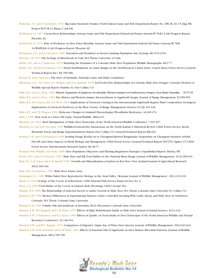- McKenzie, J.V., and J. Samuelson. 1973. Big Game Exclosure Studies. North Dakota Game and Fish Department Report No. 188, III, 16, 15, 6pg. P.R. Project W-67-R-13, Phase C, Job VII.
- McMichael,T.J. 1967. Coyote-Deer Relationships.Arizona Game and Fish Department Federal Aid Project Arizona W-78-R-12 Job Progress Report, Phoenix,AZ.
- McMichael,T.J. 1970. Role of Predation on Deer Fawn Mortality.Arizona Game and Fish Department Federal Aid Project Arizona W-78-R-14/WkPl/Job 6, Job Progress Report, Phoenix,AZ.
- McNamara, J.M., and A.I.Houston. 1987. Starvation and Predation as Factors Limiting Population Size. Ecology. 68:1515-1519.

McNulty, I.B. 1947.The Ecology of Bitterbrush in Utah. M.S.Thesis. University of Utah.

- Medin, D.E., and A.E.Anderson. 1979. Modeling the Dynamics of a Colorado Mule Deer Population.Wildlife Monographs. 68:1-77.
- Medin, D.E., and R.B. Ferguson. 1972. Shrub Establishment on Game Ranges in the Northwestern United States. United States Forest Service General Technical Report Int-1 Pp 359-368.

Menzel, K. Date Unknown.The Deer of Nebraska. Nebraska Game and Parks Commision.

Milchunas, D.G., M.I. Dyer, O.C.Wallmo, and D.E. Johnson. 1978. In-Vivo/In-Vitro Relationships of Colorado Mule Deer Forages. Colorado Division of Wildlife Special Report Number 43, Fort Collins, CO.

Miller, R.F., and J.A. Rose. 1995. Historic Expansion of Juniperus Occidentalis (Western Juniper) in Southwestern Oregon.Great Basin Naturalist. 55:37-45. Miller, R.F., and J.A. Rose. 1999. Fire History and Western Juniper Encroachment in Sagebrush Steppe. Journal of Range Management. 52:550-559. Miller, R.F., R.J. Svejcar, and N.E.West. 1994. Implications of Livestock Grazing in the Intermountain Sagebrush Region: Plant Composition. Ecological

Implications of Livestock Herbivory in the West. Society of Range Management, Denver, CO. Pp 101-146.

- Miller, R.F., and P.E.Wigand. 1994. Holocene Changes in Semiarid Pinyon-Juniper Woodlands. BioScience. 44:465-474.
- Mills, J. 1990. New Look at a Deer Old Game. Natural Wildlife. 28(6):4-9.
- Mitchell, G.E. 1942. Herd Management of Mule Deer.Transcripts of the North American Wildlife Conference. 7:391-397.
- Mitchell, J.E., and D.R. Freeman. 1993.Wildlife-Livestock-Fire Interactions on the North Kaibab:A Historical Review. USDA Forest Service, Rocky Mountain Forest and Range Experimentation Station, Fort Collins, CO. General Technical Report RM-222.
- Monsen, S.B., and D.Turnipseed. 1990. Seeding Forage Kochia on to Cheatgrass-Infested Rangelands. Symposium on Cheatgrass Invasion, Schrub
	- Die-Off, and Other Aspects of Shrub Biology and Management. USDA Forest Service General Technical Report INT-276. Ogden, UT. USDA Forest Service Intermountain Research Station. Pp 66-71.
- Montana Fish,Wildlife and Parks. 1998. Deer Population Objectives and Hunting Regulation Strategies. Unpublished Report, Helena, MT. Morrie, M.S., and J.E. Schwartz. 1957. Mule Deer and Elk Food Habits on the National Bison Range. Journal of Wildlife Management. 21(2):189-193. Muir, P.D.,A.R. Sykes, and G.K. Barrell. 1987. Growth and Mineralization of Antlers in Red Deer. New Zealand Journal of Agricultural Research.

#### 30(3):305-316.

Mule Deer Foundation. 1995. Mule Deer, winter issue.

Mundinger, J.G. 1981.White-Tailed Deer Reproductive Biology in the Swan Valley, Montana. Journal of Wildlife Management. 45(1):132-139.

Murie, O. 1940. Ecology of the Coyote in Yellowstone. USDI National Park Service Fauna Service No. 4.

Murie, O.J. 1935. Food Habits of the Coyote in Jackson Hole,Wyoming. USDA Circular 362.

- Murphy, B.D. 1969.The Relationship of Selected Factors to Antler Growth in Mule Deer. M.S.Thesis, Colorado State University, Ft. Collins, CO.
- Mustard, E.W. 1958. Browse Differences in Experimental Pastures Under Controlled Stocking With Cattle, Sheep, and Mule Deer in Northwest Colorado. M.S.Thesis. Colorado State University.

Mustard, E.W. 1966.Volatile Oils and Antibiosis of Artemisia. Ph.D. Discussion. Colorado State University.

- Mustard, E.W.,W. Chappell, and G.M.Ward. 1975. Effects of High Molybdenum Intake in Mule Deer. Journal of Animal Science. 41(1):412.
- Mustard, E.W.,T. Hakonson, and K.L. Knox. 1969. Effects of Quality on Food Intake in Deer.Transcripts of the North American Wildlife and Natural Resources Conference. 34:146-154.
- Mustard, E.W., and W.L. Regelin. 1975. Comparison of Digestive Organ Size of Three Deer Species. Journal of Wildlife Management. 39(3):621-624.
- Mustard, E.W., H.W. Steinhoff, and G.M.Ward. 1964. Effects of Essential Oils of Sagebrush on Deer Rumen Microbial Function. Journal of Wildlife Management. 28(4):785-790.

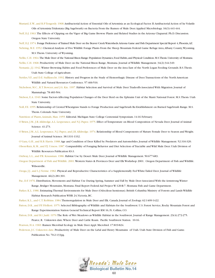- Mustard, E.W., and R.P.Tengerdy. 1968.Antibacterial Action of Essential Oils of Artemisia as an Ecological Factor. II:Antibacterial Action of he Volatile Oils of Artemisia Tridentata (Big Sagebrush) on Bacteria From the Rumen of Mule Deer.Applied Microbiology. 16(3):441-444.
- Neff, D.J. 1963.The Effects of Clipping on the Vigor of Big Game Browse Plants and Related Studies in the Arizona Chaparral. Ph.D. Discussion. Oregon State University.
- Neff, D.J. 1974. Forage Preference of Trained Mule Deer on the Beaver Creek Watersheds.Arizona Game and Fish Department Special Report 4,Phoenix,AZ.
- Nehring, M.E. 1952. Chemical Analysis of Five Wildlife Forage Plants From the Sheep Mountain Federal Game Refuge Area,Albany County,Wyoming. M.S.Thesis. University of Wyoming.
- Nellis, C.H. 1964. The Mule Deer of the National Bison Range: Population Dynamics, Food Habits, and Physical Condition. M.S. Thesis. University of Montana. Nellis, C.H. 1968. Productivity of Mule Deer on the National Bison Range, Montana. Journal of Wildlife Management. 34(2):344-349.

Nemanic, J.J. 1942.Winter Browsing Habits and Food Preferences of Mule Deer on the Area East of the North Logan Feeding Grounds. B.S.Thesis.

Utah State College of Agriculture.

- Nettles,V.F., and D.E. Stallknecht. 1992. History and Progress in the Study of Hemorrhagic Disease of Deer.Transactions of the North American Wildlife and Natural Resources Conference. 57:466-516.
- Nicholson, M.C., R.T. Bowyer, and J.G. Kie. 1997. Habitat Selection and Survival of Mule Deer:Tradeoffs Associated With Migration. Journal of Mammalogy. 78:483-504.
- Nielson, E.A. 1949. Some Factors Affecting Population Changes of the Deer Herd on the Ephraim Unit of the Manti National Forest. M.S.Thesis. Utah State University.
- Noll, F.E. 1955. Relationship of Crested Wheatgrass Stands to Forage Production and Sagebrush Re-Establishment on Burned Sagebrush Range. M.S. Thesis. Colorado State University.
- Nutrition of Plants,Animals, Man. 1955. Editorial. Michigan State College Centennial Symposium. 14-16 February.
- O'Brien, J.M., J.R.Alldredge,A.L. Lesperance, and N.J. Papez. 1975. Effect of Temperature on Blood Composition of Nevada Deer. Journal of Animal Science. 41:273.
- O'Brien, J.M.,A.L. Lesperance, N.J. Papez, and J.R.Alldredge. 1974. Relationship of Blood Components of Mature Female Deer to Season and Weight. Journal of Animal Science. 38:1331-1332.
- O'Gara, G.H., and R.B. Harris. 1988.Age and Condition of Deer Killed by Predators and Automobiles. Journal of Wildlife Management. 52:316-320.
- Olson-Rutz, K.M., and P.J. Urness. 1987. Comparability of Foraging Behavior and Diet Selection of Tractable and Wild Mule Deer. Utah Division of Wildlife Resources Publication 83-3.
- Ordway, L.L., and P.R. Krausman. 1986. Habitat Use by Desert Mule Deer. Journal of Wildlife Management. 50:677-683.
- Oregon Department of Fish and Wildlife. 2001.Western States & Provinces Deer and Elk Workshop 2001. Oregon Department of Fish and Wildlife. Wilsonville.
- Ozoga, J.J., and L.J.Verme. 1982. Physical and Reproductive Characteristics of a Supplementally Fed White-Tailed Deer. Journal of Wildlife Management. 46(2):281-301.
- Pac, D.F. 1976. Distribution, Movements and Habitat Use During Spring, Summer and Fall by Mule Deer Associated With the Armstrong Winter Range, Bridger Mountains, Montana. Final Report Federal Aid Project W-120-R-7. Montana Fish and Game Department.
- Parker, K.L. 1986. Estimating Thermal Environments for Mule Deer (Odocileus hemionus). British Columbia Ministry of Forests and Lands Wildlife Habitat Research Publication WHR 24,Victoria, BC.
- Parker, K.L., and C.T. Robbins. 1984.Themoregulation in Mule Deer and Elk. Canada Journal of Zoology. 62:1409-1422.
- Patton, D.R., and P.F. Ffolliott. 1975. Selected Bibliography of Wildlife and Habitats for the Southwest. U.S. Forest Service, Rocky Mountain Forest and Range Experimentation Station General Technical Report RM 16, Ft. Collins, CO.
- Patton, D.R., and B.I. Judd. 1970.The Role of Wet Meadows as Wildlife Habitat in the Southwest. Journal of Range Management. 23(4):272-275.
	- Pearce, R. Unknown date.Where Deer and Cattle Roam. Pacific Southwest Station. 10-16.

Pearson, H.A. 1969. Rumen Microbial Ecology in Mule Deer.Appl. Microbiol. 17:819-824.

Pederson, J.C. Unknown date. Productivity of Mule Deer on the LaSal and Henry Mountains of Utah. Utah State Division of Fish and Game.

Publication No. 70-2:133pg.

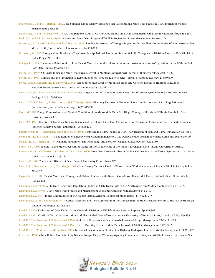- Pederson, J.C., and K.T. Harper. 1984. Does Summer Range Quality Influence Sex Ratios Among Mule Deer Fawns in Utah? Journal of Wildlife Management. 38:32-41.
- Pederson, J.C., and R.C.Tuckfield. 1983.A Comparative Study of Coyote Food Habits on 2 Utah Deer Herds. Great Basin Naturalist. 43(3):432-437. Peek, J.M., and P.R. Krausman. 1996. Grazing and Mule Deer. Rangeland Wildlife. Society for Range Management, Denver, CO.
- Peters,A.J., B.C. Reed, M.D. Eve, and K.M. Havstad. 1993. Satellite Assessment of Drought Impact on Native Plant Communities of Southeastern New

Mexico, USA. Journal of Arid Environments. 24:305-319.

- Peterson, J.G. 1995. Ecological Implications of Sagebrush Manipulation-A Literature Review.Wildlife Management Division, Montana Fish Wildlife & Parks. Project W-101-R-2.
- Phillips, J.L. 1974.The Annual Behavioral Cycle of Desert Mule Deer (Odocoileus hemionus crookii) in Relation to Vegetation Use. M.S.Thesis. Sul Ross State University,Alpine,TX.
- Picton, H.D. 1979.A Climate Index and Mule Deer Fawn Survival in Montana. International Journal of Biometeorology. 23:115-122.
- Picton, H.D. 1984. Climate and the Prediction of Reproduction of Three Ungulate Species. Journal of Applied Ecology. 21:869-879.
- Pierce, B.M., C.V. Bleich, and R.T. Bowyer. 2000a. Selection of Mule Deer by Mountain Lions and Coyotes: Effects of Hunting Style, Body Size, and Reproductive Status. Journal of Mammalogy. 81(2):462-472.
- Pierce, B.M.,V.C. Bleich and R.T. Bowyer. 2000b. Social Organization of Mountain Lions: Does a Land-Tenure System Regulate Population Size? Ecology. 81(6):1533-1543.
- Pierce, B.M.,V.C. Bleich, J.D.Wehausen, and R.T. Bowyer. 1999. Migratory Patterns of Mountain Lions: Implications for Social Regulation and Conservation. Journal of Mammalogy. 80(3):986-992.
- Pious, M. 1989. Forage Composition and Physical Condition of Southern Mule Deer, San Diego County, California. M.S.Thesis. Humboldt State University,Arcata, CA.
- Platts,W.S. 1991. Chapter 11-Livestock Grazing. Sciences of Forest and Rangeland Management on Salmanoid Fishes and Their Habitats.American Fisheries Society Special Publication. 19:3898-423.
- Plummer,A.P., D.R. Christensen, and S.B. Monsen. 1968. Restoring Big Game Range in Utah. Utah Division of Fish and Game. Publication No. 68-3.
- Pojar,T.M., and D.F. Reed. 1973.The Relation of Three Physical Condition Indices of Mule Deer.Colorado Division of Wildlife.Game Info Leaflet No.96.
- Post, E. and N.C. Stenseth. 1999. Climatic Variability, Plant Phenology, and Northern Ungulates. Ecology. 80:1322-1339.
- Presby, R.C. 1963. Ecology of the Mule Deer Winter Range on the Middle Fork of the Salmon River, Idaho. M.S. Thesis. University of Idaho.
- Prestwood, A.K., V.F. Nettles, C.P. Hibler, and F.A. Hayes. 1976. Mule Deer Disease Problems. Mule Deer Decline in the West:A Symposium. Utah State University, Logan. Pp 119-124.
- Putman, R. 1988.The Natural History of Deer. Cornell University Press. Ithaca, NY.
- Rabe, M.J., S. Rosenstock, and J.C. deVos, Jr. 2002. Game Survey Methods Used by Western State Wildlife Agencies:A Review.Wildlife Society Bulletin. 30:46-52.
- Ragotzkie, K.E. 1988. Desert Mule Deer Ecology and Habitat Use on Cattle-Grazed Grass-Shrub Range. M.S.Thesis, Colorado State University, Ft. Collins, CO.
- Rasmussen, D.I. 1939a. Mule Deer Range and Population Studies in Utah.Transcripts of the North American Wildlife Conference. 4:236-243.
- Rasmussen, D.I. 1939b. Utah's Mule Deer Studies and Management Problems.American Wildlife. 28(5):232-240.
- Rasmussen, D.I. 1941. Biotic Communities of the Kaibab Plateau,Arizona. Ecological Monographs. 11(3):229-275.
- Rasmussen, D.I., and E.R. Doman. 1947. Census Methods and their Application in the Management of Mule Deer.Transcripts of the North American Wildlife Conference. 12:132-139.
- Reed, D.F. 1974. Evaluation of Deer Underpasses. Colorado Division of Wildlife. Game Reserve Reports. Pp 303-305.
- Reed, D.F. 1981. Conflicts With Civilization. Mule and Black-Tailed Deer of North America. University of Nebraska Press, Lincoln, NE. Pp 509-535.
- Reed, D.F.,T.M. Pojar, and T.N.Woodward. 1974a. Mule deer Responses to Deer Guards. Journal of Range Management. 27(2):111-113.
- Reed, D.F.,T.M. Pojar, and T.N.Woodward. 1974b.Use of One Way Gates by Mule Deer. Journal of Wildlife Management. 38(1):9-15.
- Reed, D.F.,T.N.Woodward, and T.M. Pojar. 1975. Behavioral Response of Mule Deer to a Highway Underpass.Journal of Wildlife Management.39:361-367. Reeve,A.F. 1990.Vehicle-Related Mortality of Big Game in Nugget Canyon,Wyoming.Wyoming Cooperative Fishery and Wildlife Research Unit,Laramie,WY.

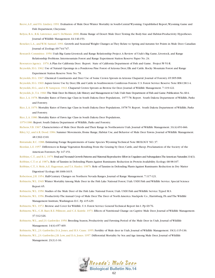- Reeve,A.F., and F.G. Lindzey. 1991. Evaluation of Mule Deer Winter Mortality in South-Central Wyoming. Unpublished Report,Wyoming Game and Fish Department, Cheyenne.
- Relyea, R.A., R.K. Lawrence, and S. DeMarais. 2000. Home Range of Desert Mule Deer:Testing the Body-Size and Habitat-Productivity Hypotheses. Journal of Wildlife Management. 64:146-153.
- Reneker, L.A., and W.M. Samuel. 1991. Growth and Seasonal Weight Changes as They Relate to Spring and Autumn Set Points in Mule Deer. Canadian Journal of Zoology. 69:744-747.

Research Committee. 1950.Utah Big Game-Livestock and Range Relationship Project.A Review of Utah's Big Game, Livestock, and Range Relationship Problems. Intermountain Forest and Range Experiment Station Reserve Paper No. 24.

Resources Agency. 1976.A Plan for California Deer. Report. State of California Department of Fish and Game. Project W-51-R.

- Reynolds, H.G. 1962.Use of Natural Openings in a Ponderosa Pine Forest of Arizona Deer, Elk and Cattle. Rocky Mountain Forest and Range Experiment Station Reserve Note No. 78.
- Reynolds, H.G. 1967. Chemical Constituents and Deer Use of Some Crown Sprouts in Arizona Chaparral. Journal of Forestry. 65:905-908.
- Reynolds, H.G. 1969.Aspen Grove Use by Deer, Elk and Cattle in Southwestern Coniferous Forests. U.S. Forest Service Reserve Note RM-138:1-4.
- Reynolds, H.G., and A.W. Sampson. 1943. Chaparral Crown Sprouts as Browse for Deer. Journal of Wildlife Management. 7:119-122.

Reynolds, Jr.,T.A. 1960.The Mule Deer:Its History,Life History and Management in Utah.Utah State Department of Fish and Game.Publication No.60-4.

- Rice, L.A. 1978. Mortality Rates of Fawn Age Class in South Dakota Deer Populations, 1977-78. Report. South Dakota Department of Wildlife, Parks and Forestry.
- Rice, L.A. 1979. Mortality Rates of Fawn Age Class in South Dakota Deer Populations, 1978-79. Report. South Dakota Department of Wildlife, Parks and Forestry.

Rice, L.A. 1980. Mortality Rates of Fawn Age Class in South Dakota Deer Populations,

- 1979-1980. Report. South Dakota Department of Wildlife, Parks and Forestry.
- Richens, V.B. 1967. Characteristics of Mule Deer Herds and Their Range in Northeastern Utah. Journal of Wildlife Management. 31(4):651-666.
- Riley, S.J., and A.R. Dood. 1984. Summer Movements, Home Range, Habitat Use, and Behavior of Mule Deer Fawns. Journal of Wildlife Management. 48:1302-1310.
- Rintamaki, R.C. 1988. Estimating Forage Requirements of Game Species.Wyoming Technical Note BIOLOGY NO. 37.
- Riordan, L.E. 1957. Differences in Range Vegetation Resulting From the Grazing by Deer, Cattle, and Sheep. Proclamation of the Society of the American Foresters. Pp 147-151.
- Robbins, C.T., and B. L. 1979.Fetal and Neonatal Growth Patterns and Maternal Reproductive Effort in Ungulates and Subungulates.The American Naturalist.114(1). Robbins, C.T. et al. 1987a. Role of Tannins in Defending Plants Against Ruminants: Reduction in Protein Availability. Ecology. 68:98-107.
- Robbins, C.T., S. Mole,A.E. Hagerman, and T.A. Hanley. 1987b. Role of Tannins in Defending Plants Against Ruminants: Reduction in Dry Matter Digestion? Ecology. 68:1606-1615.
- Robertson, J.H. 1954. Half-Century Changes on Northern Nevada Ranges. Journal of Range Management. 7:117-121.
- Robinette,W.L. 1949.Winter Mortality Among Mule Deer in the Fish Lake National Forest, Utah. USDI Fish and Wildlife Service. Special Science Report 65.
- Robinette,W.L. 1950. Studies of the Mule Deer of the Fish Lake National Forest, Utah. USDI Fish and Wildlife Service.Typed M.S.
- Robinette,W.L. 1956. Productivity-The Annual Crop of Mule Deer.The Deer of North America. Stackpole Co., Harrisburg, PA and The Wildlife Management Institute,Washington D.C. Pp 415-429.
- Robinette,W.L. 1972. Browse and Cover for Wildlife. U.S. Forest Service General Technical Report Int-1. Pp 69-76.
- Robinette,W.L., C.H. Baer, R.E. Pillmore, and C.E. Knittle. 1973. Effects of Nutritional Change on Captive Mule Deer. Journal of Wildlife Management. 37:312-326.
- Robinette,W.L., and J.S. Gashwiler. 1950. Breeding Season, Productivity and Fawning Period of the Mule Deer in Utah. Journal of Wildlife Management. 14(4):457-469.
- Robinette,W.L., J.S. Gashwiler, D.A. Jones, and H.S. Crane. 1955. Fertility of Mule deer in Utah. Journal of Wildlife Management. 19(1):115-136.

Robinette,W.L., J.S. Gashwiler, J.B. Low, and D.A. Jones. 1957. Differential Mortality by Sex and Age Among Mule Deer. Journal of Wildlife Management. 21(1):1-16.

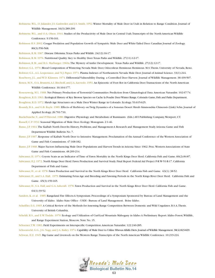- Robinette,W.L., O. Julander, J.S. Gashwiler, and J.S. Smith. 1952.Winter Mortality of Mule Deer in Utah in Relation to Range Condition. Journal of Wildlife Management. 16(3):289-299.
- Robinette,W.L., and O.A. Olsen. 1944. Studies of the Productivity of Mule Deer in Central Utah.Transcripts of the North American Wildlife Conference. 9:156-161.
- Robinson H.S. 2002. Cougar Predation and Population Growth of Sympatric Mule Deer and White-Tailed Deer. Canadian Journal of Zoology. 80(3):556-568.
- Robinson, R.M. 1967. Disease Dilemma.Texas Parks and Wildife. 24(12):16-17.

Robinson, R.M. 1976. Nutritional Quality: Key to Healthy Deer.Texas Parks and Wildlife. 27(11):12-17.

Robinson, R.M., and R.G. Marburger. 1969a.The Mystery of Antler Development. Texas Parks and Wildlife. 27(12):12-17.

Rohwer, G.L. 1970. Blood Composition of Wintering Nevada Mule Deer, Odocoileus Heminous Heminous. M.S.Thesis. University of Nevada, Reno. Rohwer, G.L.,A.L. Lesperance, and N.J. Papez. 1971. Plasma Indexes of Northeastern Nevada Mule Deer. Journal of Animal Science. 33(1):244.

Roseberry, J.L., and W.D. Klimstra. 1974. Differential Vulnerability During a Controlled Deer Harvest. Journal of Wildlife Management. 38:499-507.

- Rosen, M.N., O.A. Brunetti,A.I. Bischoff, and J.A.Azevedo. 1951.An Epizootic of Foot Rot in California Deer.Transactions of the North American Wildlife Conference. 16:164-177.
- Rosenzweig, M.L. 1968. Net Primary Production of Terrestrial Communities: Prediction from Climatological Data.American Naturalist. 102:67-74. Roughton, R.D. 1963. Ecological History of Key Browse Species on Cache la Poudre Deer Winter Range.Colorado Game,Fish and Parks Department. Roughton, R.D. 1972. Shrub Age Structures on a Mule Deer Winter Range in Colorado. Ecology. 53:615-625.
- Roundy, B.A., and G.B. Ruyle. 1989. Effects of Herbivory on Twig Dynamics of a Sonoran Desert Shrub Simmondsia Chinensis (Link) Schn. Journal of Applied Ecology. 26:701-710.
- Ruckebusche,Y., and P.Thivend. 1980. Digestive Physiology and Metabolism of Ruminants (Eds.) AVI Publishing Company,Westport, CT.
- Russell, C.P. 1932. Seasonal Migration of Mule Deer. Ecology Monogram. 2:1-46.
- Russo, J.P. 1964.The Kaibab North Deer-Its History, Problems, and Management-A Research and Management Study.Arizona Game and Fish Department Wildlife Bulletin No. 7.
- Russo, J.P. 1967. Response of Kaibab North Deer to Intensive Management. Proclamation of the Annual Conference of the Western Association of Game and Fish Commissions. 47:168-182.
- Russo, J.P. 1968. Major Factors Influencing Mule Deer Populations and Harvest Trends in Arizona Since 1962. Proc.Western Associations of State Game and Fish Commisions. 48:209-214.
- Salwasser, H. 1974. Coyote Scats as an Indicator of Time of Fawn Mortality in the North Kings Deer Herd. California Fish and Game. 60(2):84-87.
- Salwasser, H.J. 1972. North Kings Deer Herd: Fawn Production and Survival Study. Final Report Federal Aid Project P-R W-51-R-17. California Department of Fish and Game.
- Salwasser, H., et al. 1978. Fawn Production and Survival in the North Kings River Deer Herd. California Fish and Game. 63(1): 38-52.
- Salwasser, H., and S.A. Hall. 1979. Estimating Fetus Age and Breeding and Fawning Periods in the North Kings River Deer Herd. California Fish and Game. 65(3):159-165.
- Salwasser, H., S.A. Hall, and G.A.Ashcraft. 1978. Fawn Production and Survival in the North Kings River Deer Herd. California Fish and Game. 64(1):39-52.
- Sanders, K. et al. 1985. Rangeland Fire Effects-A Symposium. Proceedings of a Symposium Sponsored by Bureau of Land Management and the University of Idaho. Idaho State Office - USDI - Bureau of Land Management. Boise Idaho.
- Scheffler, E.G. 1965.A Critical Review of the Methods for Assessing Range Competition Between Domestic and Wild Ungulates. B.S.A.Thesis. University of British Columbia.
- Scheldt, R.S., and E.W.Tisdale. 1970. Ecology and Utilization of Curl-Leaf Mountain Mahogany in Idaho:A Preliminary Report. Idaho Forest,Wildlife, and Range Experiment Station, Moscow. Note No. 15.

Schoener,T.W. 1983. Field Experiments on Interspecific Competition.American Naturalist. 122:240-285.

Schoonveld, G.G., J.G. Nagy, and J.A. Bailey. 1974. Capability of Mule Deer to Utilize Fibrous Alfalfa Diets.Journal of Wildlife Management.38(4):823-829. Schwan, H.E. 1945. Big Game and Livestock on the Western Range.Transcripts of the North American Wildlife Conference. 10:219-224.

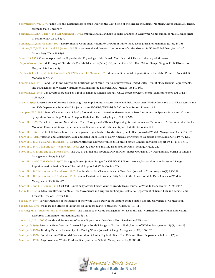- Schwarzkoon,W.F. 1973. Range Use and Relationships of Mule Deer on the West Slope of the Bridger Mountains, Montana. Unpublished M.S.Thesis, Montana State University.
- Scribner, K.T., R.A. Garrott, and L.H. Carpenter. 1991.Temporal, Spatial, and Age Specific Changes in Genotypic Composition of Mule Deer. Journal of Mammology. 72:126-137.
- Scribner, K.T., and P.E. Johns. 1997. Environmental Components of Antler Growth in White-Tailed Deer. Journal of Mammology. 78:744-755.
- Scribner, K.T., M.H. Smith, and P.E. Johns. 1989. Environmental and Genetic Components of Antler Growth in White-Tailed Deer. Journal of Mammalogy. 70(2):284-291.
- Sears, H.S. 1955. Certain Aspects of the Reproductive Physiology of the Female Mule Deer. M.S.Thesis. University of Montana.
- Segura-Bustamante, M. Ecology of Bitterbrush, Purshia Tridentata (Pursh). DC, in the Silver Lake Deer Winter Range, Oregon. Ph.D. Dissertation. Oregon State University.
- Seidensticker, J.C. (IV)., M.G. Hornocker, W.V. Wiles, and J.P. Messick. 1973. Mountain Lion Social Organization in the Idaho Primitive Area. Wildlife Monogram No. 35.
- Severson, K.E. 1981. Food Habits and Nutritional Relationships of Mule Deer in Southwestern United States. Deer Biology, Habitat Requirements, and Management in Western North America. Instituto de Ecologica,A.C., Mexico. Pp 149-164.
- Severson, K.E. 1990. Can Livestock be Used as a Tool to Enhance Wildlife Habitat? USDA Forest Service General Technical Report. RM-194, Ft. Collins, CO.
- Shaw, H. 1965. Investigations of Factors Influencing Deer Populations. Arizona Game and Fish Department Wildlife Research in 1964.Arizona Game and Fish Department Federal Aid Project Arizona W-78-R-9/WkPl 4/Job 5 Complete Report, Phoenix,AZ.
- Sheppard,W.D. 1981. Stand Characteristics of Rocky Mountain Aspen. Situation Management of Two Intermountain Species:Aspen and Coyotes. Symposium Proceedings.Volume 1,Aspen. Utah State University, Logan, UT. Pp 22-30.
- Short, H.L. 1979. Deer in Arizona and New Mexico:Their Ecology and a Theory Explaining Recent Population Decreases. U.S. Forest Service, Rocky Mountain Forest and Range Experimentation Station General Technical Report. RM 70, Ft. Collins, CO.
- Short, H.L. 1966. Effects of Cellulose Levels on the Apparent Digestibility of Foods Eaten By Mule Deer. Journal of Wildlife Management 30(1):163-167.
- Short, H.L. 1981. Nutrition and Metabolism. Mule and Black-Tailed Deer of North America. University of Nebraska Press, Lincoln, NE. Pp 99-127.
- Short, H.L., R.M. Blair, and L. Buckhart. 1972. Factors Affecting Nutritive Values. U.S. Forest Service General Technical Report Int-1. Pp 311-318.
- Short, H.L., D.R. Deitz, and E.H. Remmenga. 1966. Selected Nutrients in Mule Deer Browse Plants. Ecology. 47:222-229.
- Short, H.L.,W. Evans, and E.L. Boeker. 1977.The Use of Natural and Modified Pinyon Pine/Juniper Woodlands by Deer and Elk. Journal of Wildlife Management. 41(3):543-559.
- Short, H.L. and C.Y. McCulloch. 1977. Managing Pinyon-Juniper Ranges for Wildlife. U.S. Forest Service, Rocky Mountain Forest and Range Experimentation Station General Technical Report RM 47, Ft. Collins, CO.
- Short, H.L., D.E. Medin, and A.E.Anderson. 1965. Rumino-Reticular Characteristics of Mule Deer. Journal of Mammology. 46(2):196-199.
- Short, H.L., D.E. Medin, and A.E.Anderson. 1966. Seasonal Variations in Volatile Fatty Acids in the Rumen of Mule Deer. Journal of Wildlife Management. 30(3):466-470.
- Short, H.L., and J.C. Reagor. 1970. Cell Wall Digestibility Affects Forage Value of Woody Twigs. Journal of Wildlife Management. 34:964-967.
- Siglin, R.J. 1965.A Literature Review on Mule Deer Movements and Capture Techniques. Colorado Department of Game, Fish and Parks, Game Research Division, Denver, CO.
- Sileo, L. Jr. 1973. Fertility Analyses of the Ranges of the White-Tailed Deer in the Eastern United States. Report. University of Connecticut. Skogland,T. 1991.What are the Effects of Predators on Large Ungulate Populations? Oikos. 61:401-411.
- Skovlin, J.M., P.J. Edgerton, and R.W. Harris.1968. The Influence of Cattle Management on Deer and Elk. North American Wildlife and Natural Resources Conference Transactions. 33:169-181.
- Slobodkin, L.B. 1966. Growth and Regulation of Animal Populations. New York: Holt, Rinehart and Winston.
- Smith,A.D. 1949. Effects of Mule Deer and Livestock Upon Foothill Range in Northern Utah. Journal of Wildlife Management. 13(4):421-423. Smith,A.D. 1950a. Feeding Deer on Browse Species During Winter. Journal of Range Management. 3(2):130-132.
- Smith,A.D. 1950b. Inquiries into Differential Consumption of Juniper by Mule Deer. Utah Fish and Game Department Bulletin. 9(5):4.
- Smith,A.D. 1950c. Sagebrush as a Winter Feed for Deer. Journal of Wildlife Management. 14(3):285-289.

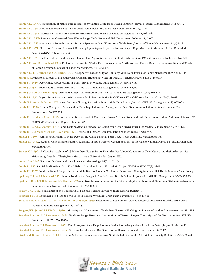- Smith,A.D. 1953. Consumption of Native Forage Species by Captive Mule Deer During Summer. Journal of Range Management. 6(1):30-37.
- Smith,A.D. 1954. How Much Water Does a Deer Drink? Utah Fish and Game Department Bulletin. 10(9):1-8.
- Smith,A.D. 1957a. Nutritive Value of Some Browse Plants in Winter. Journal of Range Management. 10(4):162-164.
- Smith,A.D. 1957b. Renovating Overused Deer Winter Range. Utah Game and Fish Department Bulletin. 13(1):6-7.
- Smith,A.D. 1959.Adequacy of Some Important Browse Species in Over-Wintering of Mule Deer. Journal of Range Management. 12(1):8-13.
- Smith,A.D. 1971. Effects of Deer and Livestock Browsing Upon Aspen Reproduction and Aspen Reproduction Study. State of Utah Federal Aid Project W-105-R, Job-A4i and A-4m.
- Smith, A.D. 1972. The Effect of Deer and Domestic Livestock on Aspen Regeneration in Utah. Utah Division of Wildlife Resources Publication No. 72-1.
- Smith,A.D., and R.L. Hubbard. 1954. Preference Ratings for Winter Deer Forages From Northern Utah Ranges Based on Browsing Time and Weight of Forge Consumed. Journal of Range Management. 7(6):262-265.
- Smith,A.D., R.B.Turner, and G.A. Harris. 1956.The Apparent Digestibility of Lignin by Mule Deer. Journal of Range Management. 9(3):142-145.
- Smith, G.E. Nutritional Effects of Big Sagebrush,Artemisia Tridentata (Nutt) on Deer. M.S.Thesis. Oregon State University.
- Smith, J.G. 1949. Deer Forage Observations in Utah. Journal of Wildlife Management. 13(3):314-315.
- Smith, J.G. 1952. Food Habits of Mule Deer in Utah. Journal of Wildlife Management. 16(2):148-155.
- Smith, J.G., and O. Julander. 1953. Deer and Sheep Competition in Utah. Journal of Wildlife Management. 17(2):101-112.
- Smith, J.R. 1990. Coyote Diets Associated with Seasonal Mule Deer Activities in California, USA. California Fish and Game. 76(2):78-82.
- Smith, N.S., and A. LeCount. 1979. Some Factors Affecting Survival of Desert Mule Deer Fawns. Journal of Wildlife Management. 43:657-665.
- Smith, R.H. 1976. Recent Changes in Arizona Mule Deer Populations and Management. Proc.Western Association of State Game and Fish Commissions. 56:367-369.
- Smith, R.H., and A. LeCount. 1976. Factors Affecting Survival of Mule Deer Fawns.Arizona Game and Fish Department Federal Aid Project Arizona W-78-R/WkPl 2/Job 4 Final Report, Phoenix,AZ.
- Smith, R.H., and A. LeCount. 1979. Some Factors Affecting Survival of Desert Mule Deer Fawns. Journal of Wildlife Management. 43:657-665.
- Smith, R.H., J.J. McMichael, and H.G. Shaw. 1969. Decline of a Desert Deer Population.Wildlife Digest Abstract 3.
- Snyder, E.T. 1937.Winter Food Habits of Mule Deer on the Cache National Forest. B.S.Thesis. Utah State Agricultural Col.
- Snyder, N. 1936.A Study of Concentrations and Food Habits of Mule Deer on Certain Sections of the Cache National Forest. B.S.Thesis. Utah State Agricultural Col.
- Snyder,W.A. 1961.A Chemical Analysis of 13 Major Deer Forage Plants From the Guadalupe Mountains of New Mexico and their Adequacy for Maintaining Deer. M.S.Thesis, New Mexico State University, Las Cruces, NM.
- Sooter, C.A. 1943. Speed of Predator and Prey. Journal of Mammalogy. 24(1):102-103.
- South, P. 1955. Special Studies-Mule Deer Food Habits. Complete Report Federal Aid Project W-35-R-6.WP-2.VI(2):64-69.
- South, P.R. 1957. Food Habits and Range Use of the Mule Deer in Scudder Creek Area, Beaverhead County, Montana. M.S.Thesis. Montana State College. Spalding, D.J., and J. Lesowski. 1971.Winter Food of the Cougar in South-Central British Columbia. Journal of Wildlife Management. 35(2):378-381.
- Spalinger, D.E., C.T. Robbins, and T.A. Hanley. 1993.Adaptive Rumen Function in Elk (Cervus elaphus nelsoni) and Mule Deer (Odocoileus hemionus hemionus). Canadian Journal of Zoology. 71(3):601-610.
- Sperry, C.C. 1941. Food Habits of the Coyote. USDI Fish and Wildlife Service Wildlife Reserve Bulletin 4.
- Springer, J.T. 1981. Summer Food Habits of Coyotes in Central Wyoming. Great Basin Naturalist. 41(4):449-456.
- Stauber, E.H., C.H. Nellis, R.A. Magonigle, and H.W.Vaughn. 1985. Prevalence of Reactors to Selected Livestock Pathogens in Idaho Mule Deer. Journal of Wildlife Management. 49:146-151.
- Steigers,W.D. Jr., and J.T. Flinders. 1980b. Mortality and Movements of Mule Deer Fawns in Washington. Journal of wildlife Management. 44:381-388. Stoddart, L.A., and D.I. Rasmussen. 1945a. Big Game-Range Livestock Competition on Western Ranges.Transcripts of the North American Wildlife Conference. 10:251-256:1945a.
	-
- Stoddart, L.A. and D.I. Rasmussen. 1945b. Deer Management and Range Livestock Production.Utah Agricultural Experiment Station,Logan.Circular No.121.
- Stoddart, L.A., and D.I. Rasmussen. 1945c. Growing Livestock and Big Game on the Range. Farm and Home Science. 6(3):12.
- Strickland, Bronson K, et al. 2001. Effects of Selective-Harvest strategies on White-Tailed Deer Antler Size.Wildlife Society Bulletin 29(2):509-520.

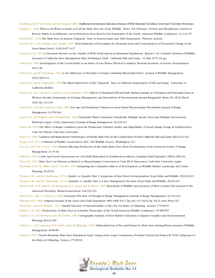Sundberg, J.P., M.Van Ranst, and A.B. Jenson. 2001. Papillomavirus infections.Infectious Diseases of Wild Mammals 3rd Edition.Iowa State University Press,Ames. Supplee,T. 1996.What to do When it Seems as if all the Mule Deer Are Gone.Wildlife News. 8-9. February. Protein and Phosphorus Content of

Browse Plants as an Influence on Southwestern Deer Herd Levels.Transcripts of the North American Wildlife Conference. 21:141-157 Swank,W.G. 1958.The Mule Deer in Arizona Chaparral. State of Arizona Game and Fish Department. Phoenix,Arizona.

Sweitzer, R.A., S.H. Jenkins, and J. Berger. 1997. Near-Extinction of Porcupines by Mountain Lions and Consequences of Ecosystem Change in the Great Basin Desert. 11(6):1407-1417.

- Swenson, L.K. 1973.A Literature Review on the Natality in Wild North American Ruminant Populations. Report # 30. Colorado Division of Wildlife. Synopsis of California Deer Management Plan. Preliminary Draft. California Fish and Game. 13 May 1975: 24 pp.
- Taber, R.D. 1958. Development of the Cervid Antler as an Index of Late Winter Physical Condition. Montana Academy of Science Proclamation. 18:27-28.
- Taber, R.D., and R.F. Dasmann. 1954.A Sex Difference in Mortality in Young Columbian Black-Tailed Deer. Journal of Wildlife Management. 18(3):309-314.
- Taber, R.D., and R.F. Dasmann. 1958.The Black-Tailed Deer of the Chaparral. State of California Department of Fish and Game. University of California, Berkley.
- Tausch, R.J., R.S. Nowak,A.D. Bruner, and J. Smithson. 1992. Effects of Simulated Fall and Early Spring Grazing on Cheatgrass and Perennial Grass in Western Nevada. Symposium on Ecology, Management, and Restoration of Intermountain Annual Rangelands. Boise, ID. 18-22 March 1992. Pp 113-119.
- Tausch, R.J., N.E.West, and A.A. Nabi. 1981.Tree age and Dominance Patterns in Great Basin Pinyon-Juniper Woodlands. Journal of Range Management 34:259-264.
- Tausch, R.J., P.E. Wigand, and J.W. Burkhardt. 1993. Viewpoint: Plant Community Thresholds, Multiple Steady States and Multiple Successional Pathways: Legacy of the Quaternary? Journal of Range Management. 46:439-447.
- Taylor, J.K. 1962.The Effect of Range Condition Upon the Production, Nutritive Intake, and Digestibility of Desert Range Forage in Southwestern Utah. M.S.Thesis. Utah State University.
- Taylor,T.J. 1996. Condition and Reproductive Performance of Female Mule Deer in the Central Sierra Nevada.California Fish and Game.82(3):122-132.

Teague, R.D. 1971.A Manual of Wildlife Conservation. (Ed). The Wildlife Society. Washington, D.C.

- Teer, J.G., and N.K. Forrest. 1968. Factors Affecting Production of the Llano Basin Deer Herd. Proclamation of the American Society of Range Management. 21:15-16.
- Telfer, E.S. 1994. Cattle and Cervid Interactions on a Foothills Watershed in Southwestern Alberta. Canadian Field Naturalist. 108(2):186-194.
- Terrel,T.L. 1973. Mule Deer Use Patterns as Related to Pinyon-Juniper Conversion in Utah. Ph.D. Discussion. Utah State University, Logan.
- Theobald, D.M., J.R. Miller, and N.T. Hobbs. 1997. Estimating the Cumulative Effects of Development on Wildlife Habitat. Landscape and Urban Planning. 39:25-36.
- Thomas, J.W., and R.G. Marburger. 1971a. Quality vs. Quanity: Part 1, Symptoms of Deer Herd Overpopulation.Texas Parks and Wildlife. 29(9):16-19. Thomas, J.W., and R.G. Marburger. 1971b. Quantity vs. Quality: Part 2,A deer Management Decision.Texas Parks and Wildlife. 29(10):6-9.
- Thorpe, B.D., R.W. Sidwell, J.B. Bushmann, K.L. Smart, and R. Moyes. 1965. Brucellosis in Wildlife and Livestock of West Central Utah. Journal of the American Veterinary Medical Association. 146:225-232.
- Thurow,T.L., and C.A.Taylor, Jr. 1999.Viewpoint:The Role of Drought in Range Management. Journal of Range Management. 52:413-419.
- Thwaites, R.E. 1969. Original Journals of the Lewis and Clark Expedition 1804-1806.Vol. I, Pg.140, 152.Vol II, Pg. 20-21.Arno Press, NY.
- Tivers, R.L., and D.E.Willard. 1973. Natural Selection of Parental Ability to Vary the Sex Ratio of Offspring. Science 179:90-92.
- Tolman, C.D. 1950. Productivity of Mule Deer in Colorado.Transcripts of the North American Wildlife Conference. 15:589-597.
- Tomlin, C.D., S.H. Berwick, and S.M.Tomlin. 1983. Cartographic Analysis of Deer Habitat Utilization. Computer Graphics and Environmental Planning. Pp141-150.
- Torbti, S.C., L.H. Carpenter, D.M. Swift, and A.W.Alldredge. 1985. Differential Loss of Fat and Protein by Mule Deer During Winter. Journal of Wildlife Management. 49:80-85.
- Trainer, C. 1972. Steens Mountain Mule Deer Population Study. Oregon State Game Commission, Portland. Federal Aid Project W-70-R-2 Subproject F. Sex Ratio of Offspring. Science 179:90-92.

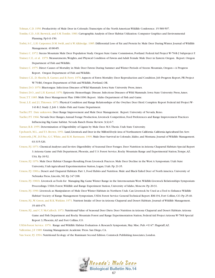Tolman, C.D. 1950. Productivity of Mule Deer in Colorado.Transcripts of the North American Wildlife Conference. 15:589-597.

Tomlin, C.D., S.H. Berwick, and S.M.Tomlin. 1983. Cartographic Analysis of Deer Habitat Utilization. Computer Graphics and Environmental Planning. Pp141-150.

Torbti, S.C., L.H. Carpenter, D.M. Swift, and A.W.Alldredge. 1985. Differential Loss of Fat and Protein by Mule Deer During Winter. Journal of Wildlife Management. 49:80-85.

Trainer, C. 1972. Steens Mountain Mule Deer Population Study. Oregon State Game Commission, Portland. Federal Aid Project W-70-R-2 Subproject F.

- Trainer, C.E., et al. 1979. Measurements,Weights, and Physical Condition of Fawns and Adult Female Mule Deer in Eastern Oregon. Report. Oregon Department of Fish and Wildlife.
- Trainer, C. 1975. Direct Causes of Mortality in Mule Deer Fawns During Summer and Winter Periods of Steens Mountain, Oregon—A Progress Report. Oregon Department of Fish and Wildlife.
- Trainer, C.E., D. Sheehy, R. Garner, and B. Ferry. 1976.Aspects of Fawn Mortality: Deer Reproduction and Condition. Job Progress Report, PR Project W-70-R6, Oregon Department of Fish and Wildlife, Portland, OR.

Trainer, D.O. 1970. Bluetongue. Infectious Diseases of Wild Mammals. Iowa State University Press,Ames.

Trainer, D.O., and L.H. Karstad. 1970. Epizootic Hemorrhagic Disease. Infectious Diseases of Wild Mammals. Iowa State University Press,Ames.

Trent,T.T. 1985. Mule Deer Management Plan 1986-1990. Report. Idaho Department of Fish and Game.

Trout, L.E. and J.L.Thiessen. 1973. Physical Condition and Range Relationships of the Owyhee Deer Herd. Complete Report Federal Aid Project W-141-R-2. Study 2, Job 1. Idaho Fish and Game Department.

Tueller, P.T. Date unknown. Deer Range Improvement and Mule Deer Management. Report. University of Nevada, Reno.

Tueller, P.T. 1966. Nevada Deer Ranges,Annual Forage Production, Livestock Competition, Feed Preferences and Range Improvement Practices Influencing Big Game habitat. Nevada Ranch Home Review. 3(4):6-7.

Turner, R.B. 1955. Determination of Digestibility of Lignin by Mule Deer. M.S.Thesis. Utah State University.

Upchurch, M.L., and T.S. Brown. 1951. Land,Livestock and Deer in the Milford-Doyle Area of Northeastern California.California Agricultural Ext.Serv.

- Unsworth, J.W., D.F. Pac, G.C.White, and R.M. Bartmann. 1999. Mule Deer Survival in Colorado, Idaho, and Montana. Journal of Wildlife Management. 63:315-326.
- Urness, P.J. 1973. Chemical Analyses and In-vitro Digestibility of Seasonal Deer Forages. Deer Nutrition in Arizona Chaparral Habitats Special Report 3.Arizona Game and Fish Department, Phoenix, and U.S. Forest Service, Rocky Mountain Range and Experimental Station,Tempe,AZ. USA. Pp 39-52.
- Urness, P.J. 1976. Mule Deer Habitat Changes Resulting From Livestock Practces. Mule Deer Decline in the West:A Symposium. Utah State University, Utah Agricultural Experimentation Station, Logan, Utah. Pp 21-35.
- Urness, P.J. 1981a. Desert and Chaparral Habitats: Part 1, Food Habits and Nutrition. Mule and Black-Tailed Deer of North America. University of Nebraska Press, Lincoln, NE. Pp 347-398.
- Urness, P.J. 1981b. Livestock as Tools for Managing Big Game Winter Range in the Intermountain West. Wildlife-Livestock Relationships Symposium-Proceedings. USDA Forest,Wildlife and Range Experiment Station, University of Idaho, Moscow. Pp 20-31.
- Urness, P.J. 1990. Livestock as Manipulators of Mule Deer Winter Habitats in Northern Utah. Can Livestock be Used as a Tool to Enhance Wildlife Habitat? Society of Range Management Symposium, USDA Forest Service General Technical Report. RM-194, Fort Collins, CO. Pp 25-40.
- Urness, P.J., W. Green, and R.K. Watkins. 1971. Nutrient Intake of Deer in Arizona Chaparral and Desert Habitats. Journal of Wildlife Management. 35:469-475.
- Urness, P.J., and C.Y. McCulloch. 1973. Nutritional Value of Seasonal Deer Diets. Deer Nutrition in Arizona Chaparral and Desert Habitats. Arizona Game and Fish Department and Rocky Mountain Forest and Range Experimentation Station, Federal Aid Project Arizona W-78-B Special Report 3, Phoenix,AZ and Fort Collins, CO.
- USDA-Forest Service. 1970. Range and Wildlife Habitat Evaluation- A Research Symposium, May. Misc. Pub. #1147. Flagstaff,AZ.

Vallentine, J.F. 1989. Grazing Management.Academic Press. San Diego, CA.

Van Soest, P.J. 1994. Nutritional Ecology of the Ruminant Second Edition. Comstock Publishing Associates, London.

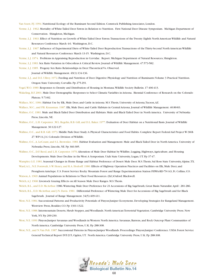Van Soest, P.J. 1994. Nutritional Ecology of the Ruminant Second Edition. Comstock Publishing Associates, London.

- Verme, L.J. 1962. Mortality of White-Tailed Deer Fawns in Relation to Nutrition. First National Deer Disease Symposium. Michigan Department of Conservation. Shingleton, Michigan.
- Verme, L.J. 1963. Effect of Nutrition on Growth of White-Tailed Deer Fawns.Transactions of the Twenty Eighth North American Wildlife and Natural Resources Conference March 4-6. Washington, D.C.
- Verme, L.J. 1967. Influence of Experimental Diets of White-Tailed Deer Reproduction.Transactions of the Thirty-Second North American Wildlife and Natural Resources Conference March 13-15. Washington, D.C.
- Verme, L.J. 1974. Problems in Appraising Reproduction in Cervidae. Report. Michigan Department of Natural Resources, Shingleton.
- Verme, L.J. 1983. Sex Ratio Variation in Odocoileus A Critical Review. Journal of Wildlife Management. 47:573-582.
- Verme, L.J. 1985. Progeny Sex Ratio Relationships in Deer:Theoretical Vs. Observed.

Journal of Wildlife Management. 49(1):134-136.

Verme, L.J., and D.E. Ullrey. 1972. Feeding and Nutrition of Deer. Digestive Physiology and Nutrition of Ruminants:Volume 3 Practical Nutrition. Oregon State University, Corvallis. Pp 275-291.

Vogel,W.O. 1989. Responses to Density and Distribution of Housing in Montana.Wildlife Society Bulletin. 17:406-413.

- Wakeling, B.F. 2001. Mule Deer Demographic Responses to Select Climatic Variables in Arizona. Biennial Conference of Research on the Colorado Plateau. 5:73-82.
- Wallace, M.C. 1984. Habitat Use by Elk, Mule Deer, and Cattle in Arizona. M.S.Thesis, University of Arizona,Tucson,AZ.
- Wallace, M.C., and P.R. Krausman. 1987. Elk, Mule Deer, and Cattle Habitats in Central Arizona. Journal of Wildlife Management. 40:80-83.
- Wallmo, O.C. 1981. Mule and Black-Tailed Deer Distribution and Habitats. Mule and Black-Tailed Deer in North America. University of Nebraska Press, Lincoln, NE.
- Wallmo, O.C., L.H. Carpenter ,W.L. Regelin, R.B. Gill, and D.L. Baker. 1977. Evaluation of Deer Habitat on a Nutritional Basis. Journal of Wildlife Management. 30:122-127.
- Wallmo, O.C., and R.B. Gill. 1973. Middle Park Deer Study:A Physical Characteristics and Food Habits. Complete Report Federal Aid Project W-38-R-27.WP-14, J-4. Colorado Division of Wildlife.
- Wallmo, O.C.,A. LeCount, and S.L. Brownlee. 1981. Habitat Evaluation and Management. Mule and Black-Tailed Deer in North America. University of Nebraska Press, Lincoln, NE. Pp 366-385.
- Wallmo, O.C., D.F. Reed, and L.H. Carpenter. 1976.Alteration of Mule Deer Habitat by Wildfire, Logging, Highways,Agriculture, and Housing Developments. Mule Deer Decline in the West:A Symposium. Utah State University, Logan, UT. Pp 37-47.
- Wampler, G.E. 1981. Seasonal Changes in Home Range and Habitat Preference of Desert Mule Deer. M.S.Thesis, Sul Ross State University,Alpine,TX.
- Ward,A.L., N.E. Fornwalt, S.W. Henry, and R.A. Hodorff. 1980. Effects of Highway Operation Practices and Facilities on Elk, Mule Deer, and
	- Pronghorn Antelope. U.S. Forest Service Rocky Mountain Forest and Range Experimentation Station FHWA-RD-79-143, Ft. Collins, CO.

Watson,A. 1969.Animal Populations in Relations to Their Food Resources. (Ed.)Oxford: Blackwell.

- Welch,A.J. 1968. Livestock Grazing Effects on All Season Mule Deer Ranges. M.S.Thesis.
- Welch, B.L., and E.D. McArthur. 1986.Wintering Mule Deer Preference for 21 Accessions of Big Sagebrush, Great Basin Naturalist.April : 281-286.
- Welch, B.L., E.D. McArthur, and J.N. Davis. 1981. Differential Preference of Wintering Mule Deer for Accessions of Big Sagebrush and for Black Sagebrush. Journal of Range Management. 34(5):409-411.
- West, N.E. 1984. Successional Patterns and Productivity Potentials of Pinyon-Juniper Ecosystems. Developing Strategies for Rangeland Management. Westview Press, Boulder, CO. Pp 1301-1322.
- West, N.E. 1988. Intermountain Deserts, Shrub Steppes, and Woodlands. North American Terrestrial Vegetation. Cambridge University Press. New York, NY. Pp 209-230.
- West, N.E. 1999. Pinyon-Juniper Savannas and Woodlands in Western North America. Savannas, Barrens, and Rock Outcrop Plant Communities of North America. Cambridge University Press, U.K. Pp 288-308.
- West, N.E., and N.Van Pelt. 1987. Successional Patterns in Pinyon-Juniper Woodlands. Proceedings: Pinyon-Juniper Conference. USDA Forest Service General Technical Report INT-215, Ogden, UT. North America. Cambridge University Press, U.K. Pp 288-308.

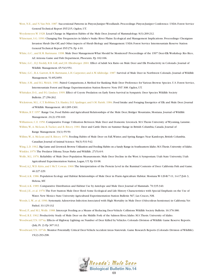- West, N.E., and N.Van Pelt. 1987. Successional Patterns in Pinyon-Juniper Woodlands. Proceedings: Pinyon-Juniper Conference. USDA Forest Service General Technical Report INT-215, Ogden, UT.
- Weydemeyer,W. 1928. Local Change in Migration Habits of the Mule Deer. Journal of Mammalology. 9(3):209-212.
- Whisenant, S.G. 1990. Changing Fire Frequencies in Idaho's Snake River Plains: Ecological and Management Implications. Proceedings: Cheatgrass Invasion Shrub Die-Off, and Other Aspects of Shrub Biology and Management. USDA Forest Service Intermountain Reserve Station General Technical Report INT-276. Pp 4-10.
- White, G.C., and R.M. Bartmann. 1998. Mule Deer Management-What Should be Monitered? Proceedings of the 1997 Deer-Elk Workshop. Rio Rico, AZ.Arizona Game and Fish Department, Phoexnix. Pp 102-106.
- White, G.C., D.J. Freddy, R.B. Gill, and J.H. Ellenberger. 2001. Effect of Adult Sex Ratio on Mule Deer and Elk Productivity in Colorado. Journal of Wildlife Management. 65:543-551.
- White, G.C., R.A. Garrott, R.M. Bartmann, L.H. Carpenter, and A.W.Alldredge. 1987. Survival of Mule Deer in Northwest Colorado. Journal of Wildlife Management. 51:852-859.
- White, S.M., and B.L.Welch. 1981. Paired Comparisons,A Method for Ranking Mule Deer Preference for Various Browse Species. U.S. Forest Service, Intermountain Forest and Range Experimentation Station Reserve Note INT 308. Ogden, UT.
- Whittaker, D.G., and F.G. Lindzey. 1999. Effect of Coyote Predation on Early Fawn Survival in Sympatric Deer Species. Wildlife Society Bulletin. 27:256-262.
- Wickstrom, M.L., C.T. Robbins,T.A. Hanley, D.E. Spalinger, and S.M. Parish. 1984. Food Intake and Foraging Energetics of Elk and Mule Deer. Journal of Wildlife Management. 48:1285-1301.
- Wilkins, B.T. 1957. Range Use, Food Habits and Agricultural Relationships of the Mule Deer, Bridger Mountains, Montana. Journal of Wildlife Management. 21(2):159-169.
- Williamson, C.E. 1950. Comparative Forage Utilization Between Mule Deer and Domestic Livestock. M.S.Thesis University of Wyoming, Laramie.
- Willms,W.,A. McLean, R.Tucker, and R. Ritcey. 1981. Deer and Cattle Diets on Summer Range in British Columbia, Canada. Journal of Range Management. 33(1):55-59.
- Willms,W.,A. McLean and R. Ritcey. 1976. Feeding Habits of Mule Deer on Fall,Winter, and Spring Ranges Near Kamloops, British Columbia. Canadian Journal of Animal Science. 56(3):531-542.
- Wing, L.D. 1962. Big Game and Livestock Browse Utilization and Feeding Habits on a Sandy Range in Southeastern Idaho.M.S.Thesis. University of Idaho. Winkler, 1979.The Predator Dilema.Texas Parks and Wildlife. 27(5):6-9.
- Wolfe, M.L. 1976. Reliability of Mule Deer Population Measurements. Mule Deer Decline in the West:A Symposium. Utah State University, Utah Agricultural Experimentation Station, Logan, UT. Pp 93-98.
- Wood,A.J.,W.D. Kitts, and I McT. Cowan. 1960.The Interpretation of the Protein Level in the Ruminal Contents of Deer. California Fish and Game. 46:227-229.
- Wood,A.K. 1986. Population Ecology and Habitat Relationships of Mule Deer in Prarie-Agriculture Habitat. Montana W-120-R-7-11, 14-17/Job 3, Helena, MT.
- Wood,A.K. 1989. Comparative Distribution and Habitat Use by Antelope and Mule Deer. Journal of Mammals. 70:335-340.
- Wood, J.E., et al. 1970.The Fort Stanton Mule Deer Herd: Some Ecological and Life History Characteristics with Special Emphasis on the Use of Water. New Mexico State University Agricultural Experimentation Station Bulletin 567, Las Cruces, NM.
- Woods, L.W., et al. 1996. Systematic Adenovirus Infection Associated with High Mortality in Mule Deer (Odocoileus hemionus) in California.Vet Pathol. 33:125-132
- Wood, P., and M.L.Wolfe. 1988. Intercept Feeding as a Means of Reducing Deer-Vehicle Collisions.Wildlife Society Bulletin. 16:376-380.
- Wood, R.E. 1962. Productivity Study of Mule Deer on the Middle Fork of the Salmon River, Idaho. M.S.Thesis. University of Idaho.
- Woodward,T.N. 1974a. Effects of Highway Lighting on Number of Deer Killed by Vehicles. Colorado Division of Wildlife Game Reserve Reports. (July, Pt. 2) Pp 307-312.
- Woodward,T.N. 1974b. Monitor Potentially Critical Deer-Vehicle Accident Areas Statewide. Game Research Reports (Colorado Division of Wildlife). 15(2):293-298.

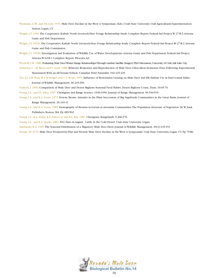- Workman, G.W., and J.B. Low. 1976. Mule Deer Decline in the West:A Symposium. (Eds.) Utah State University, Utah Agricultural Experimentation Station, Logan, UT.
- Wright, J.T. 1950.The Cooperative Kaibab North Livestock-Deer Forage Relationship Study. Complete Report Federal Aid Project W-27-R-2.Arizona Game and Fish Department.
- Wright, J.T. 1952a.The Cooperative Kaibab North Livestock-Deer Forage Relationship Study. Complete Report Federal Aid Project W-27-R-2.Arizona Game and Fish Commission.
- Wright, J.T. 1952b. Investigation and Evaluation of Wildlife Use of Water Developments.Arizona Game and Fish Department Federal Aid Project Arizona W-62-R-1 Complete Report. Phoenix,AZ.
- Wyckoff, J.W. 1980.Evaluating Mule Deer Winter Range Relationships Through Landsat Satellite Imagery.PhD Discussion,University of Utah,Salt Lake City.
- Yarmoloy, C., M. Bayer, and V. Geist. 1988. Behavior Responses and Reproduction of Mule Deer, Odocoileus hemionus Does Following Experimental Harassment With an All-Terrain Vehicle. Canadian Field Naturalist. 102:425-429.
- Yeo, J.J., J.M. Peek, W.T. Wittinger, and C.T. Kvale. 1993. Influence of Restoration Grazing on Mule Deer and Elk Habitat Use in East-Central Idaho. Journal of Wildlife Management. 46:245-250.
- Yoakum, J. 1966. Comparison of Mule Deer and Desert Bighorn Seasonal Food Habits. Desert Bighorn Counc.Trans. 10:65-70.
- Young, J.A., and F.L.Allen. 1997. Cheatgrass and Range Science: 1930-1950. Journal of Range Management. 50:530-535.
- Young, J.A., and R.A. Evans. 1973. Downy Brome- Intruder in the Plant Succession of Big Sagebrush Communities in the Great Basin. Journal of Range Management. 26:410-41
- Young, J.A., and R.A. Evans. 1985. Demography of Bromus tectorum in Artemisia Communities.The Population Structure of Vegetation. Dr.W. Junk Publishers, Boston, MA. Pp 489-502.
- Young, J.A., R.A. Evans, R.E. Eckert, Jr. and B.L. Kay. 1987. Cheatgrass. Rangelands. 9:266-270.
- Young, J.A., and B.A. Sparks. 2001. Five Days in August. Cattle in the Cold Desert. Utah State University. Logan.
- Zalunardo, R.A. 1965.The Seasonal Distribution of a Migratory Mule Deer Herd. Journal of Wildlife Management. 29(2):345-351.
- Zwank, P.J. 1976. Mule Deer Productivity-Past and Present Mule Deer Decline in the West: A Symposium. Utah State University, Logan, UT. Pp 79-86.